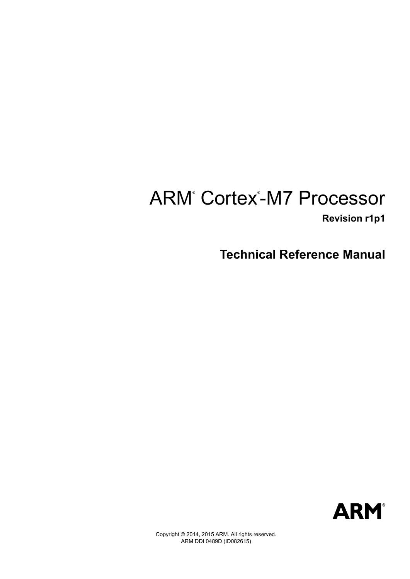# ARM<sup>®</sup> Cortex<sup>®</sup>-M7 Processor

 **Revision r1p1**

**Technical Reference Manual**



Copyright © 2014, 2015 ARM. All rights reserved. ARM DDI 0489D (ID082615)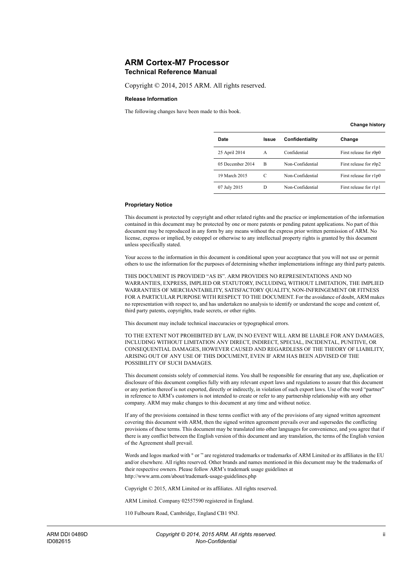### **ARM Cortex-M7 Processor Technical Reference Manual**

Copyright © 2014, 2015 ARM. All rights reserved.

#### **Release Information**

The following changes have been made to this book.

**Change history**

| Date             | Issue | Confidentiality  | Change                 |
|------------------|-------|------------------|------------------------|
| 25 April 2014    | A     | Confidential     | First release for r0p0 |
| 05 December 2014 | B     | Non-Confidential | First release for r0p2 |
| 19 March 2015    | C     | Non-Confidential | First release for r1p0 |
| 07 July 2015     | D     | Non-Confidential | First release for r1p1 |

#### **Proprietary Notice**

This document is protected by copyright and other related rights and the practice or implementation of the information contained in this document may be protected by one or more patents or pending patent applications. No part of this document may be reproduced in any form by any means without the express prior written permission of ARM. No license, express or implied, by estoppel or otherwise to any intellectual property rights is granted by this document unless specifically stated.

Your access to the information in this document is conditional upon your acceptance that you will not use or permit others to use the information for the purposes of determining whether implementations infringe any third party patents.

THIS DOCUMENT IS PROVIDED "AS IS". ARM PROVIDES NO REPRESENTATIONS AND NO WARRANTIES, EXPRESS, IMPLIED OR STATUTORY, INCLUDING, WITHOUT LIMITATION, THE IMPLIED WARRANTIES OF MERCHANTABILITY, SATISFACTORY QUALITY, NON-INFRINGEMENT OR FITNESS FOR A PARTICULAR PURPOSE WITH RESPECT TO THE DOCUMENT. For the avoidance of doubt, ARM makes no representation with respect to, and has undertaken no analysis to identify or understand the scope and content of, third party patents, copyrights, trade secrets, or other rights.

This document may include technical inaccuracies or typographical errors.

TO THE EXTENT NOT PROHIBITED BY LAW, IN NO EVENT WILL ARM BE LIABLE FOR ANY DAMAGES, INCLUDING WITHOUT LIMITATION ANY DIRECT, INDIRECT, SPECIAL, INCIDENTAL, PUNITIVE, OR CONSEQUENTIAL DAMAGES, HOWEVER CAUSED AND REGARDLESS OF THE THEORY OF LIABILITY, ARISING OUT OF ANY USE OF THIS DOCUMENT, EVEN IF ARM HAS BEEN ADVISED OF THE POSSIBILITY OF SUCH DAMAGES.

This document consists solely of commercial items. You shall be responsible for ensuring that any use, duplication or disclosure of this document complies fully with any relevant export laws and regulations to assure that this document or any portion thereof is not exported, directly or indirectly, in violation of such export laws. Use of the word "partner" in reference to ARM's customers is not intended to create or refer to any partnership relationship with any other company. ARM may make changes to this document at any time and without notice.

If any of the provisions contained in these terms conflict with any of the provisions of any signed written agreement covering this document with ARM, then the signed written agreement prevails over and supersedes the conflicting provisions of these terms. This document may be translated into other languages for convenience, and you agree that if there is any conflict between the English version of this document and any translation, the terms of the English version of the Agreement shall prevail.

Words and logos marked with ® or ™ are registered trademarks or trademarks of ARM Limited or its affiliates in the EU and/or elsewhere. All rights reserved. Other brands and names mentioned in this document may be the trademarks of their respective owners. Please follow ARM's trademark usage guidelines at http://www.arm.com/about/trademark-usage-guidelines.php

Copyright © 2015, ARM Limited or its affiliates. All rights reserved.

ARM Limited. Company 02557590 registered in England.

110 Fulbourn Road, Cambridge, England CB1 9NJ.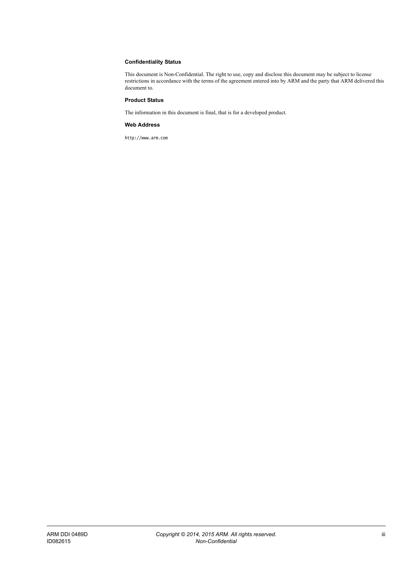#### **Confidentiality Status**

This document is Non-Confidential. The right to use, copy and disclose this document may be subject to license restrictions in accordance with the terms of the agreement entered into by ARM and the party that ARM delivered this document to.

#### **Product Status**

The information in this document is final, that is for a developed product.

#### **Web Address**

http://www.arm.com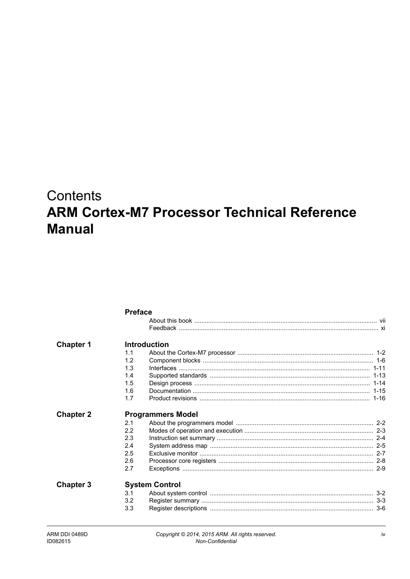## **Contents ARM Cortex-M7 Processor Technical Reference Manual**

|                  | <b>Preface</b>           |                       |  |  |
|------------------|--------------------------|-----------------------|--|--|
|                  |                          |                       |  |  |
|                  |                          |                       |  |  |
| <b>Chapter 1</b> |                          | <b>Introduction</b>   |  |  |
|                  | 1.1                      |                       |  |  |
|                  | 1.2                      |                       |  |  |
|                  | 1.3                      |                       |  |  |
|                  | 1.4                      |                       |  |  |
|                  | 1.5                      |                       |  |  |
|                  | 1.6                      |                       |  |  |
|                  | 1.7                      |                       |  |  |
| <b>Chapter 2</b> | <b>Programmers Model</b> |                       |  |  |
|                  | 2.1                      |                       |  |  |
|                  | 2.2                      |                       |  |  |
|                  | 2.3                      |                       |  |  |
|                  | 2.4                      |                       |  |  |
|                  | 2.5                      |                       |  |  |
|                  | 2.6                      |                       |  |  |
|                  | 2.7                      |                       |  |  |
| <b>Chapter 3</b> |                          | <b>System Control</b> |  |  |
|                  | 3.1                      |                       |  |  |
|                  | 3.2                      |                       |  |  |
|                  | 3.3                      |                       |  |  |
|                  |                          |                       |  |  |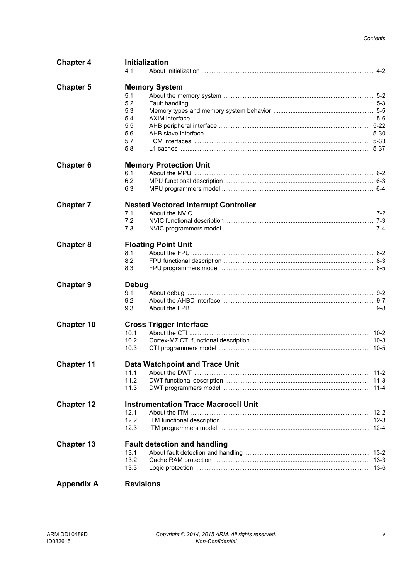| <b>Chapter 4</b>  | Initialization                              |  |
|-------------------|---------------------------------------------|--|
|                   | 4.1                                         |  |
| <b>Chapter 5</b>  | <b>Memory System</b>                        |  |
|                   | 5.1                                         |  |
|                   | 5.2                                         |  |
|                   | 5.3                                         |  |
|                   | 5.4                                         |  |
|                   |                                             |  |
|                   | 5.5                                         |  |
|                   | 5.6                                         |  |
|                   | 5.7<br>5.8                                  |  |
|                   |                                             |  |
| <b>Chapter 6</b>  | <b>Memory Protection Unit</b>               |  |
|                   | 6.1                                         |  |
|                   | 6.2                                         |  |
|                   | 6.3                                         |  |
| <b>Chapter 7</b>  | <b>Nested Vectored Interrupt Controller</b> |  |
|                   | 7.1                                         |  |
|                   | 7.2                                         |  |
|                   | 7.3                                         |  |
|                   |                                             |  |
| <b>Chapter 8</b>  | <b>Floating Point Unit</b>                  |  |
|                   | 8.1                                         |  |
|                   | 8.2                                         |  |
|                   | 8.3                                         |  |
| <b>Chapter 9</b>  | Debug                                       |  |
|                   | 9.1                                         |  |
|                   | 9.2                                         |  |
|                   | 9.3                                         |  |
|                   |                                             |  |
| <b>Chapter 10</b> | <b>Cross Trigger Interface</b>              |  |
|                   | 10.1                                        |  |
|                   | 10.2                                        |  |
|                   | 10.3                                        |  |
| <b>Chapter 11</b> | <b>Data Watchpoint and Trace Unit</b>       |  |
|                   |                                             |  |
|                   | 11.1                                        |  |
|                   | 11.2<br>11.3                                |  |
|                   |                                             |  |
| <b>Chapter 12</b> | <b>Instrumentation Trace Macrocell Unit</b> |  |
|                   | 12.1                                        |  |
|                   | 12.2                                        |  |
|                   | 12.3                                        |  |
| <b>Chapter 13</b> | <b>Fault detection and handling</b>         |  |
|                   | 13.1                                        |  |
|                   | 13.2                                        |  |
|                   | 13.3                                        |  |
|                   |                                             |  |
| <b>Appendix A</b> | <b>Revisions</b>                            |  |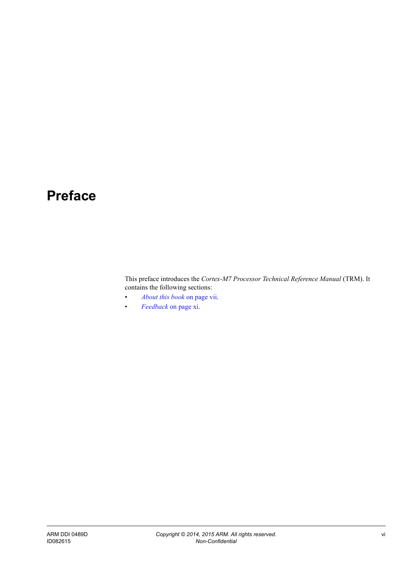## <span id="page-5-0"></span>**Preface**

This preface introduces the *Cortex-M7 Processor Technical Reference Manual* (TRM). It contains the following sections:

- *[About this book](#page-6-1)* on page vii.
- *Feedback* [on page xi](#page-10-1).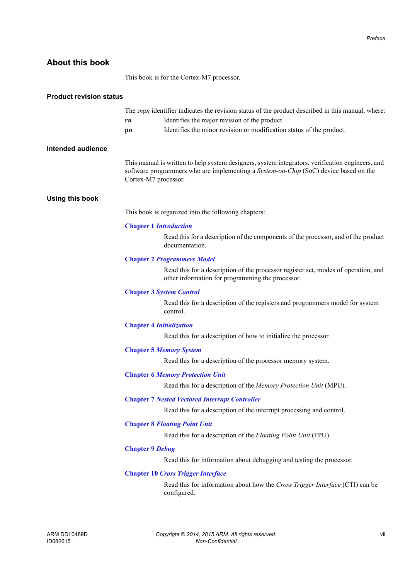## <span id="page-6-1"></span><span id="page-6-0"></span>**About this book**

This book is for the Cortex-M7 processor.

| <b>Product revision status</b> |                                 |                                                                                                                                                                                          |
|--------------------------------|---------------------------------|------------------------------------------------------------------------------------------------------------------------------------------------------------------------------------------|
|                                | rn                              | The <i>rnpn</i> identifier indicates the revision status of the product described in this manual, where:<br>Identifies the major revision of the product.                                |
|                                | $\mathbf{p}$                    | Identifies the minor revision or modification status of the product.                                                                                                                     |
| <b>Intended audience</b>       |                                 |                                                                                                                                                                                          |
|                                | Cortex-M7 processor.            | This manual is written to help system designers, system integrators, verification engineers, and<br>software programmers who are implementing a System-on-Chip (SoC) device based on the |
| <b>Using this book</b>         |                                 |                                                                                                                                                                                          |
|                                |                                 | This book is organized into the following chapters:                                                                                                                                      |
|                                | <b>Chapter 1 Introduction</b>   |                                                                                                                                                                                          |
|                                |                                 | Read this for a description of the components of the processor, and of the product<br>documentation.                                                                                     |
|                                |                                 | <b>Chapter 2 Programmers Model</b>                                                                                                                                                       |
|                                |                                 | Read this for a description of the processor register set, modes of operation, and<br>other information for programming the processor.                                                   |
|                                |                                 | <b>Chapter 3 System Control</b>                                                                                                                                                          |
|                                |                                 | Read this for a description of the registers and programmers model for system<br>control.                                                                                                |
|                                | <b>Chapter 4 Initialization</b> |                                                                                                                                                                                          |
|                                |                                 | Read this for a description of how to initialize the processor.                                                                                                                          |
|                                |                                 | <b>Chapter 5 Memory System</b>                                                                                                                                                           |
|                                |                                 | Read this for a description of the processor memory system.                                                                                                                              |
|                                |                                 | <b>Chapter 6 Memory Protection Unit</b>                                                                                                                                                  |
|                                |                                 | Read this for a description of the Memory Protection Unit (MPU).                                                                                                                         |
|                                |                                 | <b>Chapter 7 Nested Vectored Interrupt Controller</b>                                                                                                                                    |
|                                |                                 | Read this for a description of the interrupt processing and control.                                                                                                                     |
|                                |                                 | <b>Chapter 8 Floating Point Unit</b>                                                                                                                                                     |
|                                |                                 | Read this for a description of the Floating Point Unit (FPU).                                                                                                                            |
|                                | <b>Chapter 9 Debug</b>          |                                                                                                                                                                                          |
|                                |                                 | Read this for information about debugging and testing the processor.                                                                                                                     |
|                                |                                 | <b>Chapter 10 Cross Trigger Interface</b>                                                                                                                                                |
|                                |                                 | Read this for information about how the Cross Trigger Interface (CTI) can be<br>configured.                                                                                              |
|                                |                                 |                                                                                                                                                                                          |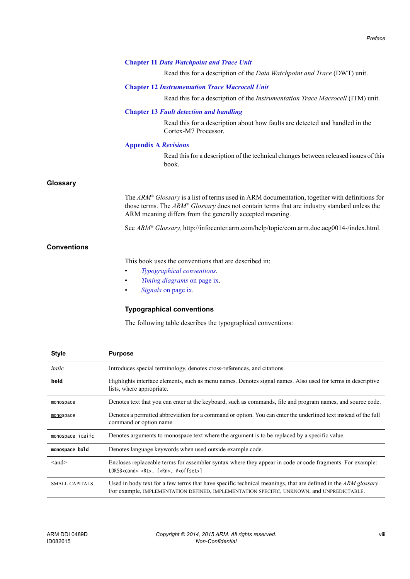#### **Chapter 11** *[Data Watchpoint and Trace Unit](#page-132-1)*

Read this for a description of the *Data Watchpoint and Trace* (DWT) unit.

#### **Chapter 12** *[Instrumentation Trace Macrocell Unit](#page-137-1)*

Read this for a description of the *Instrumentation Trace Macrocell* (ITM) unit.

#### **Chapter 13** *[Fault detection and handling](#page-142-1)*

Read this for a description about how faults are detected and handled in the Cortex-M7 Processor.

#### **[Appendix A](#page-148-1)** *Revisions*

Read this for a description of the technical changes between released issues of this book.

#### **Glossary**

The *ARM® Glossary* is a list of terms used in ARM documentation, together with definitions for those terms. The *ARM® Glossary* does not contain terms that are industry standard unless the ARM meaning differs from the generally accepted meaning.

See *ARM® Glossary,* http://infocenter.arm.com/help/topic/com.arm.doc.aeg0014-/index.html.

#### **Conventions**

This book uses the conventions that are described in:

- *[Typographical conventions](#page-7-0)*.
- *[Timing diagrams](#page-8-0)* on page ix.
- *Signals* [on page ix.](#page-8-1)

#### <span id="page-7-0"></span>**Typographical conventions**

The following table describes the typographical conventions:

| <b>Style</b>            | <b>Purpose</b>                                                                                                                                                                                              |
|-------------------------|-------------------------------------------------------------------------------------------------------------------------------------------------------------------------------------------------------------|
| italic                  | Introduces special terminology, denotes cross-references, and citations.                                                                                                                                    |
| bold                    | Highlights interface elements, such as menu names. Denotes signal names. Also used for terms in descriptive<br>lists, where appropriate.                                                                    |
| monospace               | Denotes text that you can enter at the keyboard, such as commands, file and program names, and source code.                                                                                                 |
| monospace               | Denotes a permitted abbreviation for a command or option. You can enter the underlined text instead of the full<br>command or option name.                                                                  |
| monospace <i>italic</i> | Denotes arguments to monospace text where the argument is to be replaced by a specific value.                                                                                                               |
| monospace bold          | Denotes language keywords when used outside example code.                                                                                                                                                   |
| $\leq$ and $\geq$       | Encloses replaceable terms for assembler syntax where they appear in code or code fragments. For example:<br>LDRSB <cond> <rt>, [<rn>, #<offset>]</offset></rn></rt></cond>                                 |
| <b>SMALL CAPITALS</b>   | Used in body text for a few terms that have specific technical meanings, that are defined in the ARM glossary.<br>For example, IMPLEMENTATION DEFINED, IMPLEMENTATION SPECIFIC, UNKNOWN, and UNPREDICTABLE. |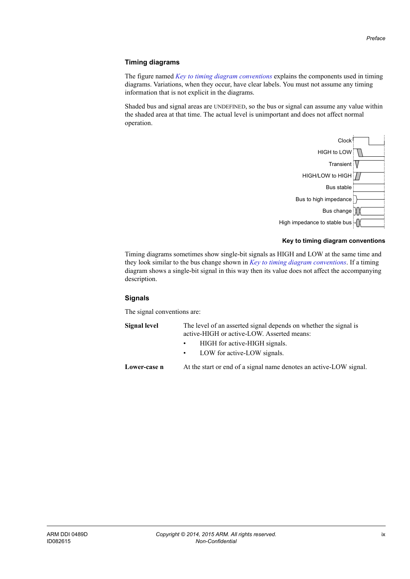#### <span id="page-8-0"></span>**Timing diagrams**

The figure named *[Key to timing diagram conventions](#page-8-2)* explains the components used in timing diagrams. Variations, when they occur, have clear labels. You must not assume any timing information that is not explicit in the diagrams.

Shaded bus and signal areas are UNDEFINED, so the bus or signal can assume any value within the shaded area at that time. The actual level is unimportant and does not affect normal operation.



#### **Key to timing diagram conventions**

<span id="page-8-2"></span>Timing diagrams sometimes show single-bit signals as HIGH and LOW at the same time and they look similar to the bus change shown in *[Key to timing diagram conventions](#page-8-2)*. If a timing diagram shows a single-bit signal in this way then its value does not affect the accompanying description.

#### <span id="page-8-1"></span>**Signals**

The signal conventions are:

**Signal level** The level of an asserted signal depends on whether the signal is active-HIGH or active-LOW. Asserted means: • HIGH for active-HIGH signals. LOW for active-LOW signals. **Lower-case n** At the start or end of a signal name denotes an active-LOW signal.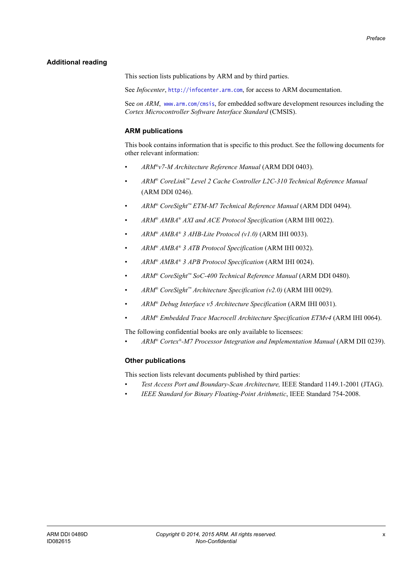#### <span id="page-9-0"></span>**Additional reading**

This section lists publications by ARM and by third parties.

See *Infocenter*, http://infocenter.arm.com, for access to ARM documentation.

See *on ARM*, www.arm.com/cmsis, for embedded software development resources including the *Cortex Microcontroller Software Interface Standard* (CMSIS).

#### **ARM publications**

This book contains information that is specific to this product. See the following documents for other relevant information:

- *ARM®v7-M Architecture Reference Manual* (ARM DDI 0403).
- *ARM® CoreLink™ Level 2 Cache Controller L2C-310 Technical Reference Manual* (ARM DDI 0246).
- *ARM® CoreSight™ ETM-M7 Technical Reference Manual* (ARM DDI 0494).
- *ARM® AMBA® AXI and ACE Protocol Specification* (ARM IHI 0022).
- *ARM® AMBA® 3 AHB-Lite Protocol (v1.0)* (ARM IHI 0033).
- *ARM® AMBA® 3 ATB Protocol Specification* (ARM IHI 0032).
- *ARM® AMBA® 3 APB Protocol Specification* (ARM IHI 0024).
- *ARM® CoreSight™ SoC-400 Technical Reference Manual* (ARM DDI 0480).
- *ARM® CoreSight™ Architecture Specification (v2.0)* (ARM IHI 0029).
- *ARM® Debug Interface v5 Architecture Specification* (ARM IHI 0031).
- *ARM® Embedded Trace Macrocell Architecture Specification ETMv4* (ARM IHI 0064).

The following confidential books are only available to licensees:

• *ARM® Cortex®-M7 Processor Integration and Implementation Manual* (ARM DII 0239).

#### **Other publications**

This section lists relevant documents published by third parties:

- *Test Access Port and Boundary-Scan Architecture,* IEEE Standard 1149.1-2001 (JTAG).
- *IEEE Standard for Binary Floating-Point Arithmetic*, IEEE Standard 754-2008.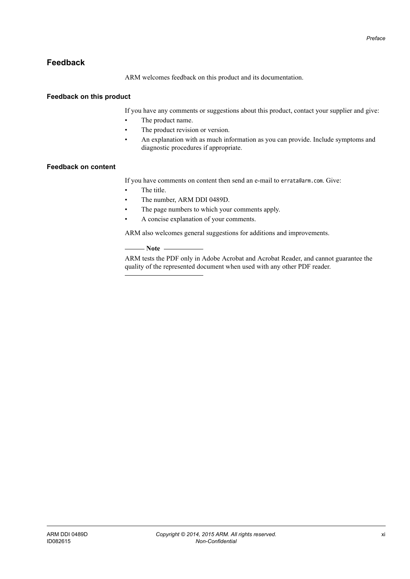## <span id="page-10-1"></span><span id="page-10-0"></span>**Feedback**

ARM welcomes feedback on this product and its documentation.

#### **Feedback on this product**

If you have any comments or suggestions about this product, contact your supplier and give:

- The product name.
- The product revision or version.
- An explanation with as much information as you can provide. Include symptoms and diagnostic procedures if appropriate.

#### **Feedback on content**

If you have comments on content then send an e-mail to errata@arm.com. Give:

- The title
- The number, ARM DDI 0489D.
- The page numbers to which your comments apply.
- A concise explanation of your comments.

ARM also welcomes general suggestions for additions and improvements.

#### $-$  Note  $-$

 ARM tests the PDF only in Adobe Acrobat and Acrobat Reader, and cannot guarantee the quality of the represented document when used with any other PDF reader.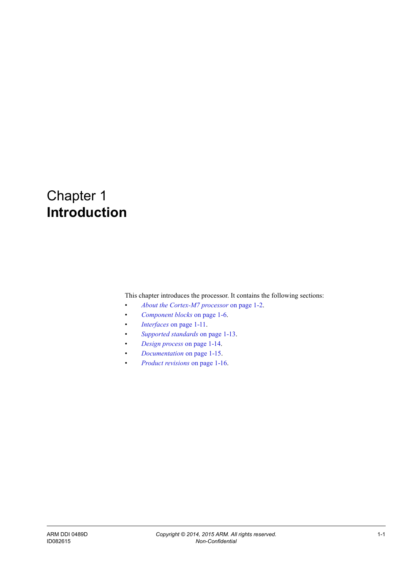## <span id="page-11-1"></span><span id="page-11-0"></span>Chapter 1 **Introduction**

This chapter introduces the processor. It contains the following sections:

- *[About the Cortex-M7 processor](#page-12-1)* on page 1-2.
- *[Component blocks](#page-16-1)* on page 1-6.
- *Interfaces* [on page 1-11](#page-21-1).
- *[Supported standards](#page-23-1)* on page 1-13.
- *[Design process](#page-24-1)* on page 1-14.
- *[Documentation](#page-25-1)* on page 1-15.
- *[Product revisions](#page-26-1)* on page 1-16.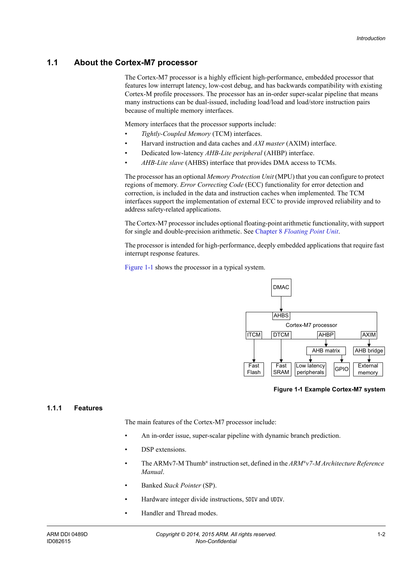## <span id="page-12-1"></span><span id="page-12-0"></span>**1.1 About the Cortex-M7 processor**

The Cortex-M7 processor is a highly efficient high-performance, embedded processor that features low interrupt latency, low-cost debug, and has backwards compatibility with existing Cortex-M profile processors. The processor has an in-order super-scalar pipeline that means many instructions can be dual-issued, including load/load and load/store instruction pairs because of multiple memory interfaces.

Memory interfaces that the processor supports include:

- *Tightly-Coupled Memory* (TCM) interfaces.
- Harvard instruction and data caches and *AXI master* (AXIM) interface.
- Dedicated low-latency *AHB-Lite peripheral* (AHBP) interface.
- *AHB-Lite slave* (AHBS) interface that provides DMA access to TCMs.

The processor has an optional *Memory Protection Unit* (MPU) that you can configure to protect regions of memory. *Error Correcting Code* (ECC) functionality for error detection and correction, is included in the data and instruction caches when implemented. The TCM interfaces support the implementation of external ECC to provide improved reliability and to address safety-related applications.

The Cortex-M7 processor includes optional floating-point arithmetic functionality, with support for single and double-precision arithmetic. See Chapter 8 *[Floating Point Unit](#page-112-1)*.

The processor is intended for high-performance, deeply embedded applications that require fast interrupt response features.

[Figure 1-1](#page-12-2) shows the processor in a typical system.



**Figure 1-1 Example Cortex-M7 system**

#### <span id="page-12-2"></span>**1.1.1 Features**

The main features of the Cortex-M7 processor include:

- An in-order issue, super-scalar pipeline with dynamic branch prediction.
- DSP extensions.
- The ARMv7-M Thumb® instruction set, defined in the *ARM®v7-M Architecture Reference Manual*.
- Banked *Stack Pointer* (SP).
- Hardware integer divide instructions, SDIV and UDIV.
- Handler and Thread modes.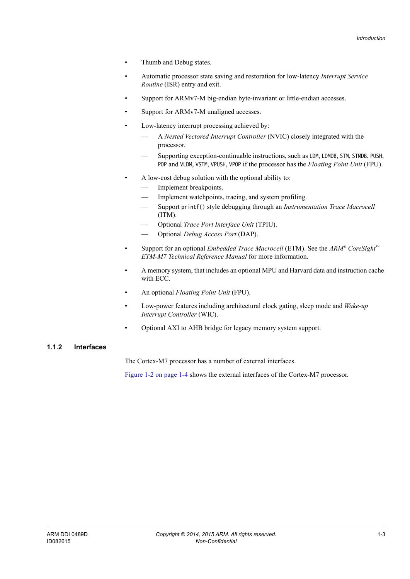- Thumb and Debug states.
- Automatic processor state saving and restoration for low-latency *Interrupt Service Routine* (ISR) entry and exit.
- Support for ARMv7-M big-endian byte-invariant or little-endian accesses.
- Support for ARMv7-M unaligned accesses.
- Low-latency interrupt processing achieved by:
	- A *Nested Vectored Interrupt Controller* (NVIC) closely integrated with the processor.
	- Supporting exception-continuable instructions, such as LDM, LDMDB, STM, STMDB, PUSH, POP and VLDM, VSTM, VPUSH, VPOP if the processor has the *Floating Point Unit* (FPU).
- A low-cost debug solution with the optional ability to:
	- Implement breakpoints.
	- Implement watchpoints, tracing, and system profiling.
	- Support printf() style debugging through an *Instrumentation Trace Macrocell* (ITM).
	- Optional *Trace Port Interface Unit* (TPIU).
	- Optional *Debug Access Port* (DAP).
- Support for an optional *Embedded Trace Macrocell* (ETM). See the *ARM® CoreSight™ ETM-M7 Technical Reference Manual* for more information.
- A memory system, that includes an optional MPU and Harvard data and instruction cache with ECC.
- An optional *Floating Point Unit* (FPU).
- Low-power features including architectural clock gating, sleep mode and *Wake-up Interrupt Controller* (WIC).
- Optional AXI to AHB bridge for legacy memory system support.

#### **1.1.2 Interfaces**

The Cortex-M7 processor has a number of external interfaces.

[Figure 1-2 on page 1-4](#page-14-0) shows the external interfaces of the Cortex-M7 processor.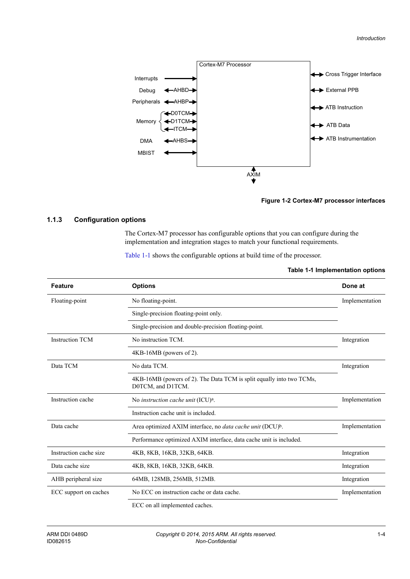

#### **Figure 1-2 Cortex-M7 processor interfaces**

#### <span id="page-14-0"></span>**1.1.3 Configuration options**

The Cortex-M7 processor has configurable options that you can configure during the implementation and integration stages to match your functional requirements.

<span id="page-14-1"></span>[Table 1-1](#page-14-1) shows the configurable options at build time of the processor.

#### **Table 1-1 Implementation options**

| <b>Feature</b>         | <b>Options</b>                                                                            | Done at        |
|------------------------|-------------------------------------------------------------------------------------------|----------------|
| Floating-point         | No floating-point.                                                                        | Implementation |
|                        | Single-precision floating-point only.                                                     |                |
|                        | Single-precision and double-precision floating-point.                                     |                |
| <b>Instruction TCM</b> | No instruction TCM.                                                                       | Integration    |
|                        | $4KB-16MB$ (powers of 2).                                                                 |                |
| Data TCM               | No data TCM.                                                                              | Integration    |
|                        | 4KB-16MB (powers of 2). The Data TCM is split equally into two TCMs,<br>D0TCM, and D1TCM. |                |
| Instruction cache      | No instruction cache unit (ICU) <sup>a</sup> .                                            | Implementation |
|                        | Instruction cache unit is included.                                                       |                |
| Data cache             | Area optimized AXIM interface, no <i>data cache unit</i> (DCU) <sup>b</sup> .             | Implementation |
|                        | Performance optimized AXIM interface, data cache unit is included.                        |                |
| Instruction cache size | 4KB, 8KB, 16KB, 32KB, 64KB.                                                               | Integration    |
| Data cache size        | 4KB, 8KB, 16KB, 32KB, 64KB.                                                               | Integration    |
| AHB peripheral size    | 64MB, 128MB, 256MB, 512MB.                                                                | Integration    |
| ECC support on caches  | No ECC on instruction cache or data cache.                                                | Implementation |
|                        |                                                                                           |                |

ECC on all implemented caches.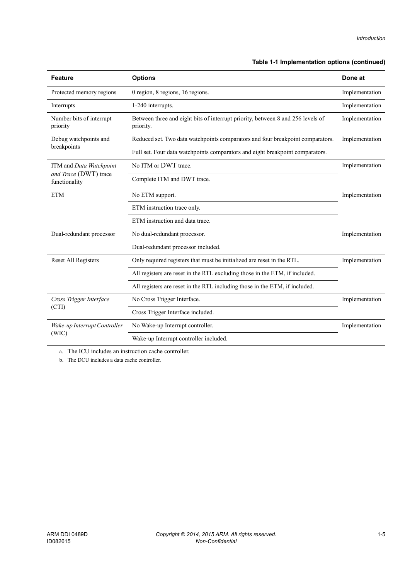#### **Table 1-1 Implementation options (continued)**

| <b>Feature</b>                         | <b>Options</b>                                                                               | Done at        |
|----------------------------------------|----------------------------------------------------------------------------------------------|----------------|
| Protected memory regions               | 0 region, 8 regions, 16 regions.                                                             | Implementation |
| Interrupts                             | 1-240 interrupts.                                                                            | Implementation |
| Number bits of interrupt<br>priority   | Between three and eight bits of interrupt priority, between 8 and 256 levels of<br>priority. | Implementation |
| Debug watchpoints and                  | Reduced set. Two data watchpoints comparators and four breakpoint comparators.               | Implementation |
| breakpoints                            | Full set. Four data watchpoints comparators and eight breakpoint comparators.                |                |
| ITM and Data Watchpoint                | No ITM or DWT trace.                                                                         | Implementation |
| and Trace (DWT) trace<br>functionality | Complete ITM and DWT trace.                                                                  |                |
| <b>ETM</b>                             | No ETM support.                                                                              | Implementation |
|                                        | ETM instruction trace only.                                                                  |                |
|                                        | ETM instruction and data trace.                                                              |                |
| Dual-redundant processor               | No dual-redundant processor.                                                                 | Implementation |
|                                        | Dual-redundant processor included.                                                           |                |
| Reset All Registers                    | Only required registers that must be initialized are reset in the RTL.                       | Implementation |
|                                        | All registers are reset in the RTL excluding those in the ETM, if included.                  |                |
|                                        | All registers are reset in the RTL including those in the ETM, if included.                  |                |
| Cross Trigger Interface<br>(CTI)       | No Cross Trigger Interface.                                                                  | Implementation |
|                                        | Cross Trigger Interface included.                                                            |                |
| Wake-up Interrupt Controller           | No Wake-up Interrupt controller.                                                             | Implementation |
| (WIC)                                  | Wake-up Interrupt controller included.                                                       |                |

a. The ICU includes an instruction cache controller.

b. The DCU includes a data cache controller.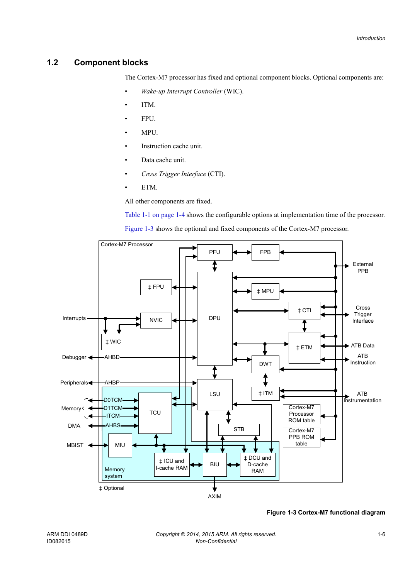## <span id="page-16-1"></span><span id="page-16-0"></span>**1.2 Component blocks**

The Cortex-M7 processor has fixed and optional component blocks. Optional components are:

- *Wake-up Interrupt Controller* (WIC).
- ITM.
- FPU.
- MPU.
- Instruction cache unit.
- Data cache unit.
- *Cross Trigger Interface* (CTI).
- ETM.

All other components are fixed.

[Table 1-1 on page 1-4](#page-14-1) shows the configurable options at implementation time of the processor.

[Figure 1-3](#page-16-2) shows the optional and fixed components of the Cortex-M7 processor.



<span id="page-16-2"></span>**Figure 1-3 Cortex-M7 functional diagram**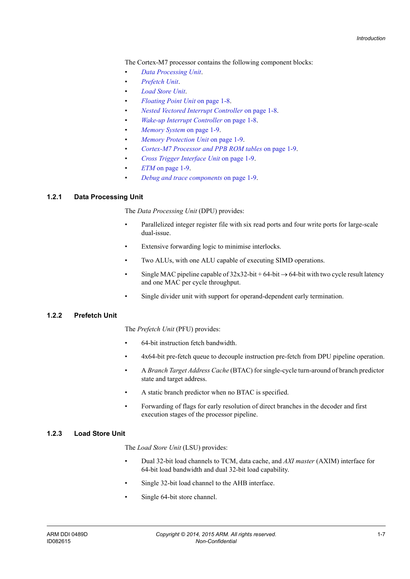The Cortex-M7 processor contains the following component blocks:

- *[Data Processing Unit](#page-17-0)*.
- *[Prefetch Unit](#page-17-1)*.
- *[Load Store Unit](#page-17-2)*.
- *[Floating Point Unit](#page-18-0)* on page 1-8.
- *[Nested Vectored Interrupt Controller](#page-18-1)* on page 1-8.
- *[Wake-up Interrupt Controller](#page-18-2)* on page 1-8.
- *[Memory System](#page-19-0)* on page 1-9.
- *[Memory Protection Unit](#page-19-1)* on page 1-9.
- *[Cortex-M7 Processor and PPB ROM tables](#page-19-4)* on page 1-9.
- *[Cross Trigger Interface Unit](#page-19-5)* on page 1-9.
- *ETM* [on page 1-9](#page-19-2).
- *[Debug and trace components](#page-19-3)* on page 1-9.

#### <span id="page-17-0"></span>**1.2.1 Data Processing Unit**

The *Data Processing Unit* (DPU) provides:

- Parallelized integer register file with six read ports and four write ports for large-scale dual-issue.
- Extensive forwarding logic to minimise interlocks.
- Two ALUs, with one ALU capable of executing SIMD operations.
- Single MAC pipeline capable of  $32x32$ -bit + 64-bit  $\rightarrow$  64-bit with two cycle result latency and one MAC per cycle throughput.
- Single divider unit with support for operand-dependent early termination.

#### <span id="page-17-1"></span>**1.2.2 Prefetch Unit**

The *Prefetch Unit* (PFU) provides:

- 64-bit instruction fetch bandwidth.
- 4x64-bit pre-fetch queue to decouple instruction pre-fetch from DPU pipeline operation.
- A *Branch Target Address Cache* (BTAC) for single-cycle turn-around of branch predictor state and target address.
- A static branch predictor when no BTAC is specified.
- Forwarding of flags for early resolution of direct branches in the decoder and first execution stages of the processor pipeline.

### <span id="page-17-2"></span>**1.2.3 Load Store Unit**

The *Load Store Unit* (LSU) provides:

- Dual 32-bit load channels to TCM, data cache, and *AXI master* (AXIM) interface for 64-bit load bandwidth and dual 32-bit load capability.
- Single 32-bit load channel to the AHB interface.
- Single 64-bit store channel.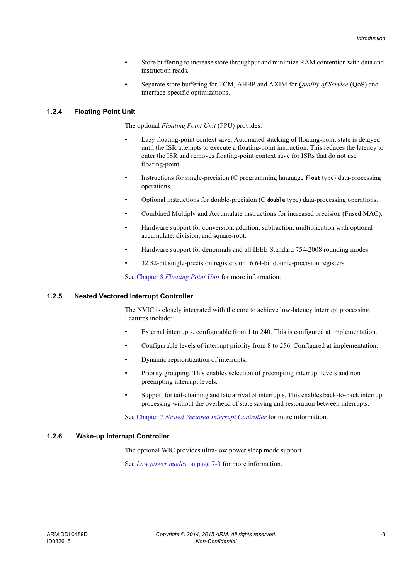- Store buffering to increase store throughput and minimize RAM contention with data and instruction reads.
- Separate store buffering for TCM, AHBP and AXIM for *Quality of Service* (QoS) and interface-specific optimizations.

#### <span id="page-18-0"></span>**1.2.4 Floating Point Unit**

The optional *Floating Point Unit* (FPU) provides:

- Lazy floating-point context save. Automated stacking of floating-point state is delayed until the ISR attempts to execute a floating-point instruction. This reduces the latency to enter the ISR and removes floating-point context save for ISRs that do not use floating-point.
- Instructions for single-precision (C programming language **float** type) data-processing operations.
- Optional instructions for double-precision (C **double** type) data-processing operations.
- Combined Multiply and Accumulate instructions for increased precision (Fused MAC).
- Hardware support for conversion, addition, subtraction, multiplication with optional accumulate, division, and square-root.
- Hardware support for denormals and all IEEE Standard 754-2008 rounding modes.
- 32 32-bit single-precision registers or 16 64-bit double-precision registers.

See Chapter 8 *[Floating Point Unit](#page-112-1)* for more information.

#### <span id="page-18-1"></span>**1.2.5 Nested Vectored Interrupt Controller**

The NVIC is closely integrated with the core to achieve low-latency interrupt processing. Features include:

- External interrupts, configurable from 1 to 240. This is configured at implementation.
- Configurable levels of interrupt priority from 8 to 256. Configured at implementation.
- Dynamic reprioritization of interrupts.
- Priority grouping. This enables selection of preempting interrupt levels and non preempting interrupt levels.
- Support for tail-chaining and late arrival of interrupts. This enables back-to-back interrupt processing without the overhead of state saving and restoration between interrupts.

See Chapter 7 *[Nested Vectored Interrupt Controller](#page-107-1)* for more information.

#### <span id="page-18-2"></span>**1.2.6 Wake-up Interrupt Controller**

The optional WIC provides ultra-low power sleep mode support.

See *[Low power modes](#page-109-1)* on page 7-3 for more information.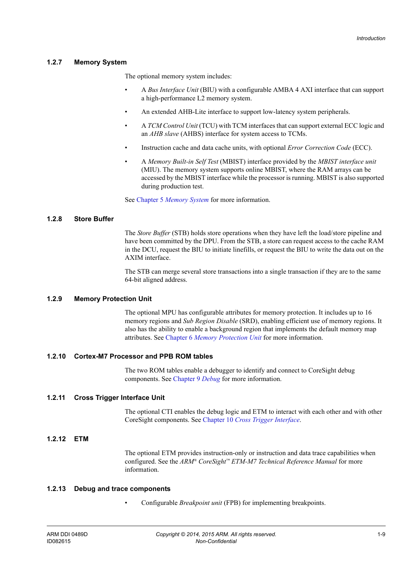#### <span id="page-19-0"></span>**1.2.7 Memory System**

The optional memory system includes:

- A *Bus Interface Unit* (BIU) with a configurable AMBA 4 AXI interface that can support a high-performance L2 memory system.
- An extended AHB-Lite interface to support low-latency system peripherals.
- A *TCM Control Unit* (TCU) with TCM interfaces that can support external ECC logic and an *AHB slave* (AHBS) interface for system access to TCMs.
- Instruction cache and data cache units, with optional *Error Correction Code* (ECC).
- A *Memory Built-in Self Test* (MBIST) interface provided by the *MBIST interface unit* (MIU). The memory system supports online MBIST, where the RAM arrays can be accessed by the MBIST interface while the processor is running. MBIST is also supported during production test.

See Chapter 5 *[Memory System](#page-63-1)* for more information.

#### **1.2.8 Store Buffer**

The *Store Buffer* (STB) holds store operations when they have left the load/store pipeline and have been committed by the DPU. From the STB, a store can request access to the cache RAM in the DCU, request the BIU to initiate linefills, or request the BIU to write the data out on the AXIM interface.

The STB can merge several store transactions into a single transaction if they are to the same 64-bit aligned address.

#### <span id="page-19-1"></span>**1.2.9 Memory Protection Unit**

The optional MPU has configurable attributes for memory protection. It includes up to 16 memory regions and *Sub Region Disable* (SRD), enabling efficient use of memory regions. It also has the ability to enable a background region that implements the default memory map attributes. See Chapter 6 *[Memory Protection Unit](#page-103-1)* for more information.

#### <span id="page-19-4"></span>**1.2.10 Cortex-M7 Processor and PPB ROM tables**

The two ROM tables enable a debugger to identify and connect to CoreSight debug components. See [Chapter 9](#page-117-1) *Debug* for more information.

#### <span id="page-19-5"></span>**1.2.11 Cross Trigger Interface Unit**

The optional CTI enables the debug logic and ETM to interact with each other and with other CoreSight components. See Chapter 10 *[Cross Trigger Interface](#page-126-1)*.

#### <span id="page-19-2"></span>**1.2.12 ETM**

The optional ETM provides instruction-only or instruction and data trace capabilities when configured. See the *ARM® CoreSight™ ETM-M7 Technical Reference Manual* for more information.

#### <span id="page-19-3"></span>**1.2.13 Debug and trace components**

• Configurable *Breakpoint unit* (FPB) for implementing breakpoints.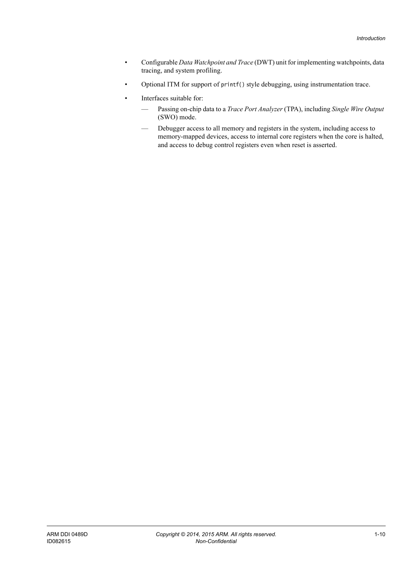- Configurable *Data Watchpoint and Trace* (DWT) unit for implementing watchpoints, data tracing, and system profiling.
- Optional ITM for support of printf() style debugging, using instrumentation trace.
- Interfaces suitable for:
	- Passing on-chip data to a *Trace Port Analyzer* (TPA), including *Single Wire Output* (SWO) mode.
	- Debugger access to all memory and registers in the system, including access to memory-mapped devices, access to internal core registers when the core is halted, and access to debug control registers even when reset is asserted.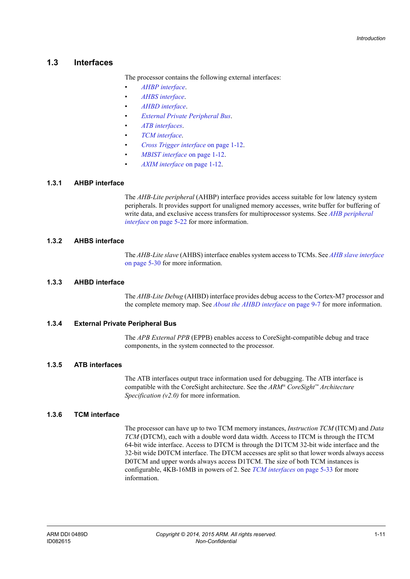## <span id="page-21-1"></span><span id="page-21-0"></span>**1.3 Interfaces**

The processor contains the following external interfaces:

- *[AHBP interface](#page-21-2)*.
- *[AHBS interface](#page-21-3)*.
- *[AHBD interface](#page-21-4)*.
- *[External Private Peripheral Bus](#page-21-5)*.
- *[ATB interfaces](#page-21-7)*.
- *[TCM interface](#page-21-6)*.
- *[Cross Trigger interface](#page-22-2)* on page 1-12.
- *[MBIST interface](#page-22-0)* on page 1-12.
- *[AXIM interface](#page-22-1)* on page 1-12.

#### <span id="page-21-2"></span>**1.3.1 AHBP interface**

The *AHB-Lite peripheral* (AHBP) interface provides access suitable for low latency system peripherals. It provides support for unaligned memory accesses, write buffer for buffering of write data, and exclusive access transfers for multiprocessor systems. See *[AHB peripheral](#page-84-0)  interface* [on page 5-22](#page-84-0) for more information.

#### <span id="page-21-3"></span>**1.3.2 AHBS interface**

The *AHB-Lite slave* (AHBS) interface enables system access to TCMs. See *[AHB slave interface](#page-92-0)* [on page 5-30](#page-92-0) for more information.

#### <span id="page-21-4"></span>**1.3.3 AHBD interface**

The *AHB-Lite Debug* (AHBD) interface provides debug access to the Cortex-M7 processor and the complete memory map. See *[About the AHBD interface](#page-123-0)* on page 9-7 for more information.

#### <span id="page-21-5"></span>**1.3.4 External Private Peripheral Bus**

The *APB External PPB* (EPPB) enables access to CoreSight-compatible debug and trace components, in the system connected to the processor.

#### <span id="page-21-7"></span>**1.3.5 ATB interfaces**

The ATB interfaces output trace information used for debugging. The ATB interface is compatible with the CoreSight architecture. See the *ARM® CoreSight™ Architecture Specification (v2.0)* for more information.

#### <span id="page-21-6"></span>**1.3.6 TCM interface**

The processor can have up to two TCM memory instances, *Instruction TCM* (ITCM) and *Data TCM* (DTCM), each with a double word data width. Access to ITCM is through the ITCM 64-bit wide interface. Access to DTCM is through the D1TCM 32-bit wide interface and the 32-bit wide D0TCM interface. The DTCM accesses are split so that lower words always access D0TCM and upper words always access D1TCM. The size of both TCM instances is configurable, 4KB-16MB in powers of 2. See *[TCM interfaces](#page-95-0)* on page 5-33 for more information.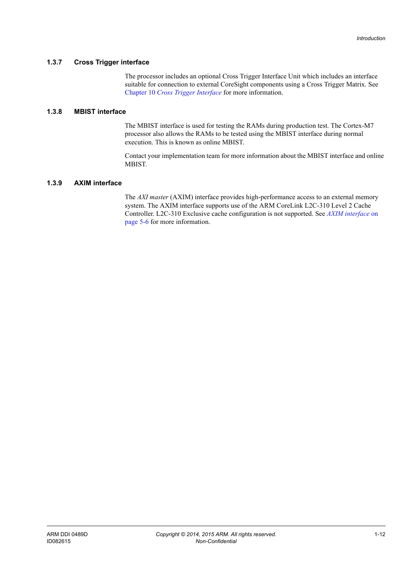#### <span id="page-22-2"></span>**1.3.7 Cross Trigger interface**

The processor includes an optional Cross Trigger Interface Unit which includes an interface suitable for connection to external CoreSight components using a Cross Trigger Matrix. See Chapter 10 *[Cross Trigger Interface](#page-126-1)* for more information.

#### <span id="page-22-0"></span>**1.3.8 MBIST interface**

The MBIST interface is used for testing the RAMs during production test. The Cortex-M7 processor also allows the RAMs to be tested using the MBIST interface during normal execution. This is known as online MBIST.

Contact your implementation team for more information about the MBIST interface and online MBIST.

#### <span id="page-22-1"></span>**1.3.9 AXIM interface**

The *AXI master* (AXIM) interface provides high-performance access to an external memory system. The AXIM interface supports use of the ARM CoreLink L2C-310 Level 2 Cache Controller. L2C-310 Exclusive cache configuration is not supported. See *[AXIM interface](#page-68-0)* on [page 5-6](#page-68-0) for more information.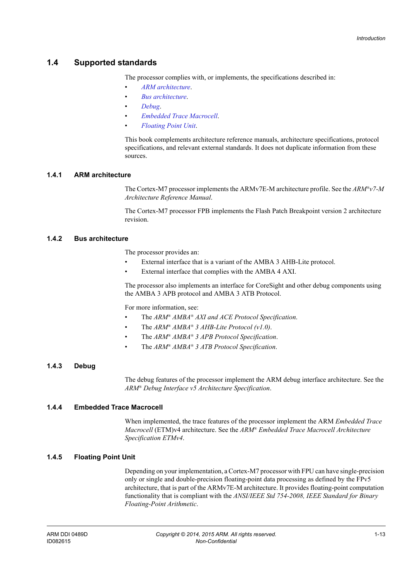## <span id="page-23-1"></span><span id="page-23-0"></span>**1.4 Supported standards**

The processor complies with, or implements, the specifications described in:

- *[ARM architecture](#page-23-2)*.
- *[Bus architecture](#page-23-3)*.
- *[Debug](#page-23-4)*.
- *[Embedded Trace Macrocell](#page-23-5)*.
- *[Floating Point Unit](#page-23-6)*.

This book complements architecture reference manuals, architecture specifications, protocol specifications, and relevant external standards. It does not duplicate information from these sources.

#### <span id="page-23-2"></span>**1.4.1 ARM architecture**

The Cortex-M7 processor implements the ARMv7E-M architecture profile. See the *ARM®v7-M Architecture Reference Manual*.

The Cortex-M7 processor FPB implements the Flash Patch Breakpoint version 2 architecture revision.

#### <span id="page-23-3"></span>**1.4.2 Bus architecture**

The processor provides an:

- External interface that is a variant of the AMBA 3 AHB-Lite protocol.
- External interface that complies with the AMBA 4 AXI.

The processor also implements an interface for CoreSight and other debug components using the AMBA 3 APB protocol and AMBA 3 ATB Protocol.

For more information, see:

- The *ARM® AMBA® AXI and ACE Protocol Specification*.
- The *ARM® AMBA® 3 AHB-Lite Protocol (v1.0)*.
- The *ARM® AMBA® 3 APB Protocol Specification*.
- The *ARM® AMBA® 3 ATB Protocol Specification*.

## <span id="page-23-4"></span>**1.4.3 Debug**

The debug features of the processor implement the ARM debug interface architecture. See the *ARM® Debug Interface v5 Architecture Specification*.

#### <span id="page-23-5"></span>**1.4.4 Embedded Trace Macrocell**

When implemented, the trace features of the processor implement the ARM *Embedded Trace Macrocell* (ETM)v4 architecture. See the *ARM® Embedded Trace Macrocell Architecture Specification ETMv4*.

#### <span id="page-23-6"></span>**1.4.5 Floating Point Unit**

Depending on your implementation, a Cortex-M7 processor with FPU can have single-precision only or single and double-precision floating-point data processing as defined by the FPv5 architecture, that is part of the ARMv7E-M architecture. It provides floating-point computation functionality that is compliant with the *ANSI/IEEE Std 754-2008, IEEE Standard for Binary Floating-Point Arithmetic*.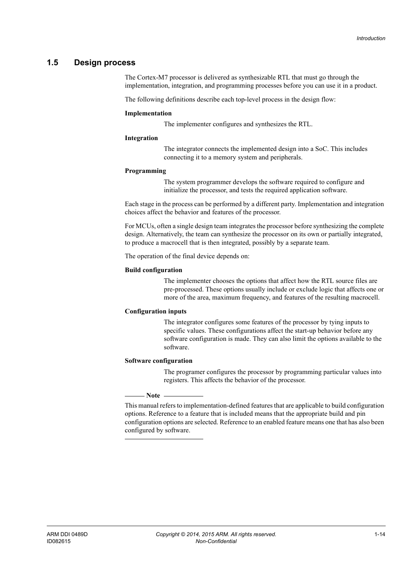## <span id="page-24-1"></span><span id="page-24-0"></span>**1.5 Design process**

The Cortex-M7 processor is delivered as synthesizable RTL that must go through the implementation, integration, and programming processes before you can use it in a product.

The following definitions describe each top-level process in the design flow:

#### **Implementation**

The implementer configures and synthesizes the RTL.

#### **Integration**

The integrator connects the implemented design into a SoC. This includes connecting it to a memory system and peripherals.

#### **Programming**

The system programmer develops the software required to configure and initialize the processor, and tests the required application software.

Each stage in the process can be performed by a different party. Implementation and integration choices affect the behavior and features of the processor.

For MCUs, often a single design team integrates the processor before synthesizing the complete design. Alternatively, the team can synthesize the processor on its own or partially integrated, to produce a macrocell that is then integrated, possibly by a separate team.

The operation of the final device depends on:

#### **Build configuration**

The implementer chooses the options that affect how the RTL source files are pre-processed. These options usually include or exclude logic that affects one or more of the area, maximum frequency, and features of the resulting macrocell.

#### **Configuration inputs**

The integrator configures some features of the processor by tying inputs to specific values. These configurations affect the start-up behavior before any software configuration is made. They can also limit the options available to the software.

#### **Software configuration**

The programer configures the processor by programming particular values into registers. This affects the behavior of the processor.

#### $-$  Note  $-$

 This manual refers to implementation-defined features that are applicable to build configuration options. Reference to a feature that is included means that the appropriate build and pin configuration options are selected. Reference to an enabled feature means one that has also been configured by software.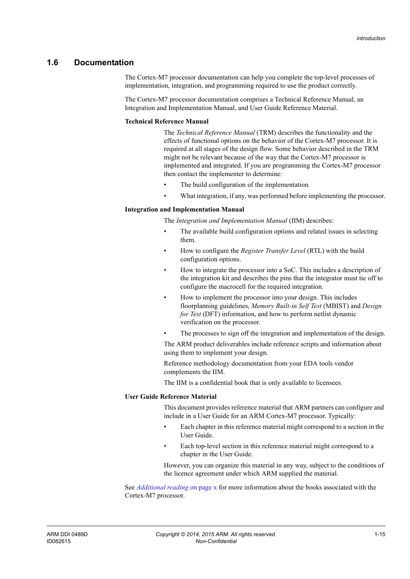## <span id="page-25-1"></span><span id="page-25-0"></span>**1.6 Documentation**

The Cortex-M7 processor documentation can help you complete the top-level processes of implementation, integration, and programming required to use the product correctly.

The Cortex-M7 processor documentation comprises a Technical Reference Manual, an Integration and Implementation Manual, and User Guide Reference Material.

#### **Technical Reference Manual**

The *Technical Reference Manual* (TRM) describes the functionality and the effects of functional options on the behavior of the Cortex-M7 processor. It is required at all stages of the design flow. Some behavior described in the TRM might not be relevant because of the way that the Cortex-M7 processor is implemented and integrated. If you are programming the Cortex-M7 processor then contact the implementer to determine:

- The build configuration of the implementation.
- What integration, if any, was performed before implementing the processor.

#### **Integration and Implementation Manual**

The *Integration and Implementation Manual* (IIM) describes:

- The available build configuration options and related issues in selecting them.
- How to configure the *Register Transfer Level* (RTL) with the build configuration options.
- How to integrate the processor into a SoC. This includes a description of the integration kit and describes the pins that the integrator must tie off to configure the macrocell for the required integration.
- How to implement the processor into your design. This includes floorplanning guidelines, *Memory Built-in Self Test* (MBIST) and *Design for Test* (DFT) information, and how to perform netlist dynamic verification on the processor.
	- The processes to sign off the integration and implementation of the design.

The ARM product deliverables include reference scripts and information about using them to implement your design.

Reference methodology documentation from your EDA tools vendor complements the IIM.

The IIM is a confidential book that is only available to licensees.

#### **User Guide Reference Material**

This document provides reference material that ARM partners can configure and include in a User Guide for an ARM Cortex-M7 processor. Typically:

- Each chapter in this reference material might correspond to a section in the User Guide.
- Each top-level section in this reference material might correspond to a chapter in the User Guide.

However, you can organize this material in any way, subject to the conditions of the licence agreement under which ARM supplied the material.

See *[Additional reading](#page-9-0)* on page x for more information about the books associated with the Cortex-M7 processor.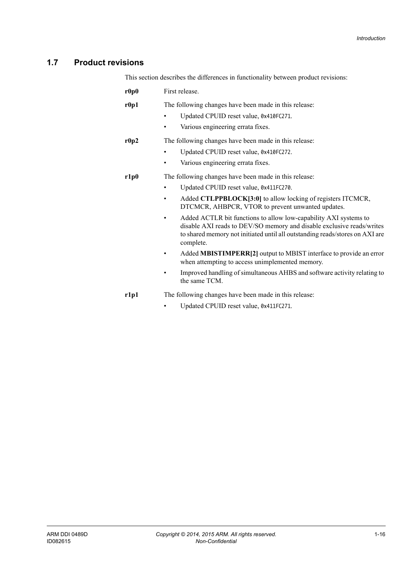## <span id="page-26-1"></span><span id="page-26-0"></span>**1.7 Product revisions**

This section describes the differences in functionality between product revisions:

| r0p0 | First release.                                                                                                                                                                                                                                                                                                                                                                                                                                                                       |
|------|--------------------------------------------------------------------------------------------------------------------------------------------------------------------------------------------------------------------------------------------------------------------------------------------------------------------------------------------------------------------------------------------------------------------------------------------------------------------------------------|
| r0p1 | The following changes have been made in this release:<br>Updated CPUID reset value, 0x410FC271.<br>Various engineering errata fixes.                                                                                                                                                                                                                                                                                                                                                 |
| r0p2 | The following changes have been made in this release:<br>Updated CPUID reset value, 0x410FC272.<br>٠<br>Various engineering errata fixes.<br>٠                                                                                                                                                                                                                                                                                                                                       |
| r1p0 | The following changes have been made in this release:<br>Updated CPUID reset value, 0x411FC270.<br>٠<br>Added CTLPPBLOCK[3:0] to allow locking of registers ITCMCR,<br>٠<br>DTCMCR, AHBPCR, VTOR to prevent unwanted updates.<br>Added ACTLR bit functions to allow low-capability AXI systems to<br>$\bullet$<br>disable AXI reads to DEV/SO memory and disable exclusive reads/writes<br>to shared memory not initiated until all outstanding reads/stores on AXI are<br>complete. |
|      | Added MBISTIMPERR[2] output to MBIST interface to provide an error<br>when attempting to access unimplemented memory.<br>Improved handling of simultaneous AHBS and software activity relating to<br>the same TCM.                                                                                                                                                                                                                                                                   |
| r1p1 | The following changes have been made in this release:                                                                                                                                                                                                                                                                                                                                                                                                                                |
|      |                                                                                                                                                                                                                                                                                                                                                                                                                                                                                      |

• Updated CPUID reset value, 0x411FC271.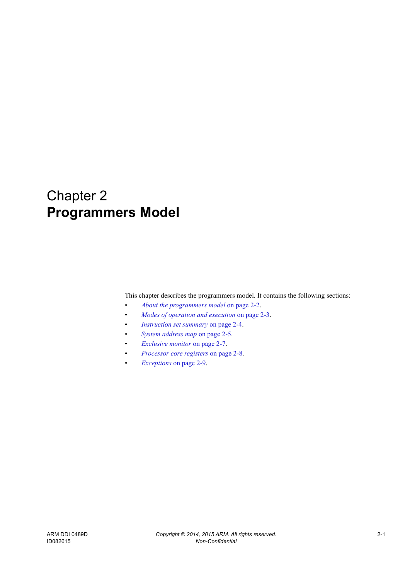## <span id="page-27-1"></span><span id="page-27-0"></span>Chapter 2 **Programmers Model**

This chapter describes the programmers model. It contains the following sections:

- *[About the programmers model](#page-28-1)* on page 2-2.
- *[Modes of operation and execution](#page-29-1)* on page 2-3.
- *[Instruction set summary](#page-30-1)* on page 2-4.
- *[System address map](#page-31-1)* on page 2-5.
- *[Exclusive monitor](#page-33-1)* on page 2-7.
- *[Processor core registers](#page-34-1)* on page 2-8.
- *Exceptions* [on page 2-9.](#page-35-1)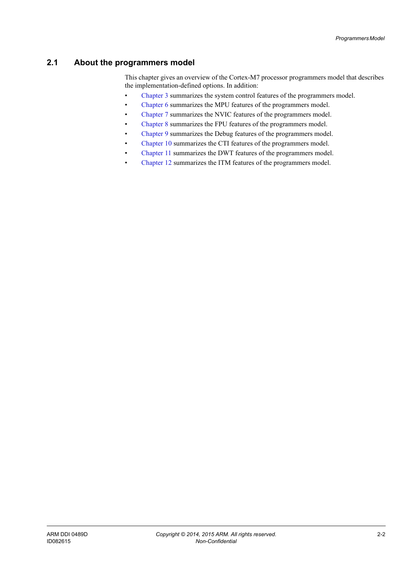## <span id="page-28-1"></span><span id="page-28-0"></span>**2.1 About the programmers model**

This chapter gives an overview of the Cortex-M7 processor programmers model that describes the implementation-defined options. In addition:

- [Chapter 3](#page-36-1) summarizes the system control features of the programmers model.
- [Chapter 6](#page-103-1) summarizes the MPU features of the programmers model.
- [Chapter 7](#page-107-1) summarizes the NVIC features of the programmers model.
- [Chapter 8](#page-112-1) summarizes the FPU features of the programmers model.
- [Chapter 9](#page-117-1) summarizes the Debug features of the programmers model.
- [Chapter 10](#page-126-1) summarizes the CTI features of the programmers model.
- [Chapter 11](#page-132-1) summarizes the DWT features of the programmers model.
- [Chapter 12](#page-137-1) summarizes the ITM features of the programmers model.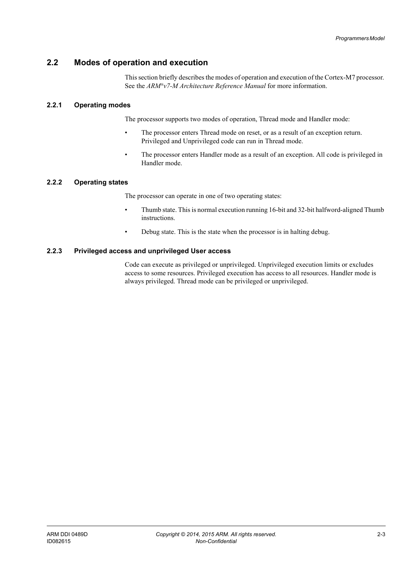## <span id="page-29-1"></span><span id="page-29-0"></span>**2.2 Modes of operation and execution**

This section briefly describes the modes of operation and execution of the Cortex-M7 processor. See the *ARM®v7-M Architecture Reference Manual* for more information.

#### **2.2.1 Operating modes**

The processor supports two modes of operation, Thread mode and Handler mode:

- The processor enters Thread mode on reset, or as a result of an exception return. Privileged and Unprivileged code can run in Thread mode.
- The processor enters Handler mode as a result of an exception. All code is privileged in Handler mode.

#### **2.2.2 Operating states**

The processor can operate in one of two operating states:

- Thumb state. This is normal execution running 16-bit and 32-bit halfword-aligned Thumb instructions.
- Debug state. This is the state when the processor is in halting debug.

#### **2.2.3 Privileged access and unprivileged User access**

Code can execute as privileged or unprivileged. Unprivileged execution limits or excludes access to some resources. Privileged execution has access to all resources. Handler mode is always privileged. Thread mode can be privileged or unprivileged.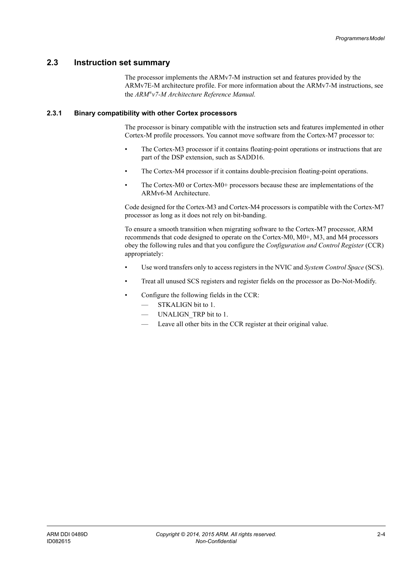### <span id="page-30-1"></span><span id="page-30-0"></span>**2.3 Instruction set summary**

The processor implements the ARMv7-M instruction set and features provided by the ARMv7E-M architecture profile. For more information about the ARMv7-M instructions, see the *ARM®v7-M Architecture Reference Manual.*

#### **2.3.1 Binary compatibility with other Cortex processors**

The processor is binary compatible with the instruction sets and features implemented in other Cortex-M profile processors. You cannot move software from the Cortex-M7 processor to:

- The Cortex-M3 processor if it contains floating-point operations or instructions that are part of the DSP extension, such as SADD16.
- The Cortex-M4 processor if it contains double-precision floating-point operations.
- The Cortex-M0 or Cortex-M0+ processors because these are implementations of the ARMv6-M Architecture.

Code designed for the Cortex-M3 and Cortex-M4 processors is compatible with the Cortex-M7 processor as long as it does not rely on bit-banding.

To ensure a smooth transition when migrating software to the Cortex-M7 processor, ARM recommends that code designed to operate on the Cortex-M0, M0+, M3, and M4 processors obey the following rules and that you configure the *Configuration and Control Register* (CCR) appropriately:

- Use word transfers only to access registers in the NVIC and *System Control Space* (SCS).
- Treat all unused SCS registers and register fields on the processor as Do-Not-Modify.
- Configure the following fields in the CCR:
	- STKALIGN bit to 1.
	- UNALIGN TRP bit to 1.
	- Leave all other bits in the CCR register at their original value.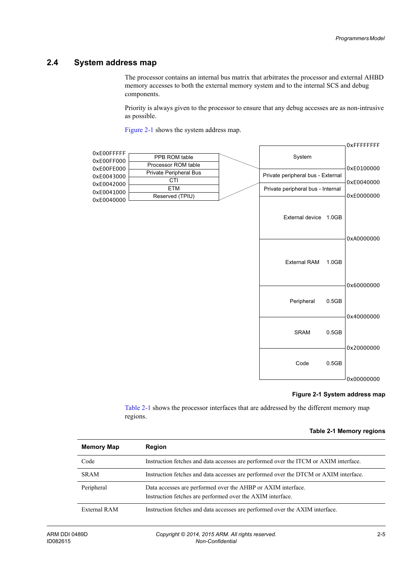## <span id="page-31-1"></span><span id="page-31-0"></span>**2.4 System address map**

The processor contains an internal bus matrix that arbitrates the processor and external AHBD memory accesses to both the external memory system and to the internal SCS and debug components.

Priority is always given to the processor to ensure that any debug accesses are as non-intrusive as possible.

[Figure 2-1](#page-31-2) shows the system address map.



#### **Figure 2-1 System address map**

<span id="page-31-3"></span>[Table 2-1](#page-31-3) shows the processor interfaces that are addressed by the different memory map regions.

#### **Table 2-1 Memory regions**

<span id="page-31-2"></span>

| <b>Memory Map</b> | <b>Region</b>                                                                                                              |
|-------------------|----------------------------------------------------------------------------------------------------------------------------|
| Code              | Instruction fetches and data accesses are performed over the ITCM or AXIM interface.                                       |
| <b>SRAM</b>       | Instruction fetches and data accesses are performed over the DTCM or AXIM interface.                                       |
| Peripheral        | Data accesses are performed over the AHBP or AXIM interface.<br>Instruction fetches are performed over the AXIM interface. |
| External RAM      | Instruction fetches and data accesses are performed over the AXIM interface.                                               |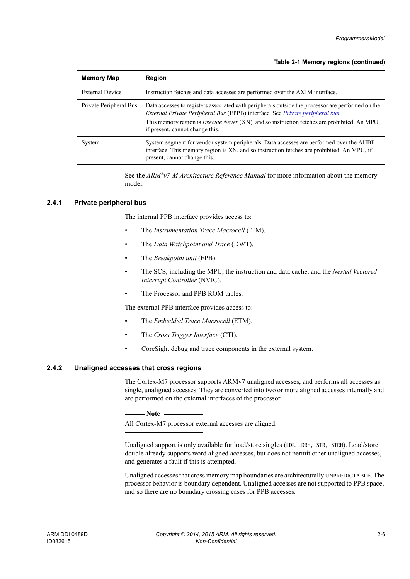#### **Table 2-1 Memory regions (continued)**

| <b>Memory Map</b>      | <b>Region</b>                                                                                                                                                                                                                                                                                                                |
|------------------------|------------------------------------------------------------------------------------------------------------------------------------------------------------------------------------------------------------------------------------------------------------------------------------------------------------------------------|
| <b>External Device</b> | Instruction fetches and data accesses are performed over the AXIM interface.                                                                                                                                                                                                                                                 |
| Private Peripheral Bus | Data accesses to registers associated with peripherals outside the processor are performed on the<br>External Private Peripheral Bus (EPPB) interface. See Private peripheral bus.<br>This memory region is <i>Execute Never</i> (XN), and so instruction fetches are prohibited. An MPU,<br>if present, cannot change this. |
| System                 | System segment for vendor system peripherals. Data accesses are performed over the AHBP<br>interface. This memory region is XN, and so instruction fetches are prohibited. An MPU, if<br>present, cannot change this.                                                                                                        |

See the *ARM®v7-M Architecture Reference Manual* for more information about the memory model.

#### <span id="page-32-0"></span>**2.4.1 Private peripheral bus**

The internal PPB interface provides access to:

- The *Instrumentation Trace Macrocell* (ITM).
- The *Data Watchpoint and Trace* (DWT).
- The *Breakpoint unit* (FPB).
- The SCS, including the MPU, the instruction and data cache, and the *Nested Vectored Interrupt Controller* (NVIC).
- The Processor and PPB ROM tables.

The external PPB interface provides access to:

- The *Embedded Trace Macrocell* (ETM).
- The *Cross Trigger Interface* (CTI).
- CoreSight debug and trace components in the external system.

#### **2.4.2 Unaligned accesses that cross regions**

The Cortex-M7 processor supports ARMv7 unaligned accesses, and performs all accesses as single, unaligned accesses. They are converted into two or more aligned accesses internally and are performed on the external interfaces of the processor.

 $-$  Note  $-$ 

All Cortex-M7 processor external accesses are aligned.

Unaligned support is only available for load/store singles (LDR, LDRH, STR, STRH). Load/store double already supports word aligned accesses, but does not permit other unaligned accesses, and generates a fault if this is attempted.

Unaligned accesses that cross memory map boundaries are architecturally UNPREDICTABLE. The processor behavior is boundary dependent. Unaligned accesses are not supported to PPB space, and so there are no boundary crossing cases for PPB accesses.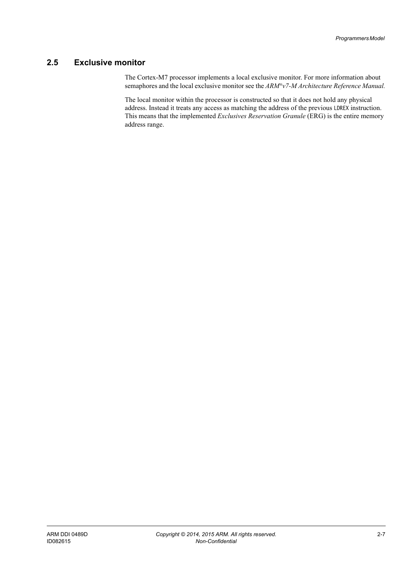## <span id="page-33-1"></span><span id="page-33-0"></span>**2.5 Exclusive monitor**

The Cortex-M7 processor implements a local exclusive monitor. For more information about semaphores and the local exclusive monitor see the *ARM®v7-M Architecture Reference Manual.*

The local monitor within the processor is constructed so that it does not hold any physical address. Instead it treats any access as matching the address of the previous LDREX instruction. This means that the implemented *Exclusives Reservation Granule* (ERG) is the entire memory address range.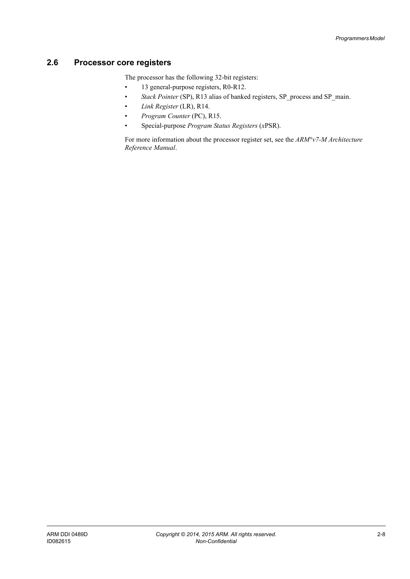## <span id="page-34-1"></span><span id="page-34-0"></span>**2.6 Processor core registers**

The processor has the following 32-bit registers:

- 13 general-purpose registers, R0-R12.
- *Stack Pointer* (SP), R13 alias of banked registers, SP\_process and SP\_main.
- *Link Register* (LR), R14.
- *Program Counter* (PC), R15.
- Special-purpose *Program Status Registers* (*x*PSR).

For more information about the processor register set, see the *ARM®v7-M Architecture Reference Manual*.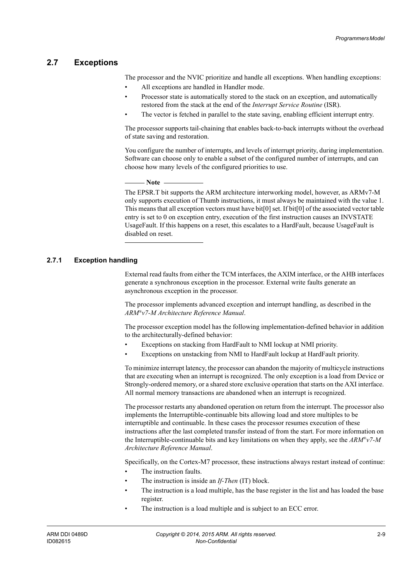#### <span id="page-35-1"></span><span id="page-35-0"></span>**2.7 Exceptions**

The processor and the NVIC prioritize and handle all exceptions. When handling exceptions:

- All exceptions are handled in Handler mode.
- Processor state is automatically stored to the stack on an exception, and automatically restored from the stack at the end of the *Interrupt Service Routine* (ISR).
- The vector is fetched in parallel to the state saving, enabling efficient interrupt entry.

The processor supports tail-chaining that enables back-to-back interrupts without the overhead of state saving and restoration.

You configure the number of interrupts, and levels of interrupt priority, during implementation. Software can choose only to enable a subset of the configured number of interrupts, and can choose how many levels of the configured priorities to use.

#### **Note**

 The EPSR.T bit supports the ARM architecture interworking model, however, as ARMv7-M only supports execution of Thumb instructions, it must always be maintained with the value 1. This means that all exception vectors must have bit[0] set. If bit[0] of the associated vector table entry is set to 0 on exception entry, execution of the first instruction causes an INVSTATE UsageFault. If this happens on a reset, this escalates to a HardFault, because UsageFault is disabled on reset.

#### **2.7.1 Exception handling**

External read faults from either the TCM interfaces, the AXIM interface, or the AHB interfaces generate a synchronous exception in the processor. External write faults generate an asynchronous exception in the processor.

The processor implements advanced exception and interrupt handling, as described in the *ARM®v7-M Architecture Reference Manual*.

The processor exception model has the following implementation-defined behavior in addition to the architecturally-defined behavior:

- Exceptions on stacking from HardFault to NMI lockup at NMI priority.
- Exceptions on unstacking from NMI to HardFault lockup at HardFault priority.

To minimize interrupt latency, the processor can abandon the majority of multicycle instructions that are executing when an interrupt is recognized. The only exception is a load from Device or Strongly-ordered memory, or a shared store exclusive operation that starts on the AXI interface. All normal memory transactions are abandoned when an interrupt is recognized.

The processor restarts any abandoned operation on return from the interrupt. The processor also implements the Interruptible-continuable bits allowing load and store multiples to be interruptible and continuable. In these cases the processor resumes execution of these instructions after the last completed transfer instead of from the start. For more information on the Interruptible-continuable bits and key limitations on when they apply, see the *ARM®v7-M Architecture Reference Manual*.

Specifically, on the Cortex-M7 processor, these instructions always restart instead of continue:

- The instruction faults.
- The instruction is inside an *If-Then* (IT) block.
- The instruction is a load multiple, has the base register in the list and has loaded the base register.
- The instruction is a load multiple and is subject to an ECC error.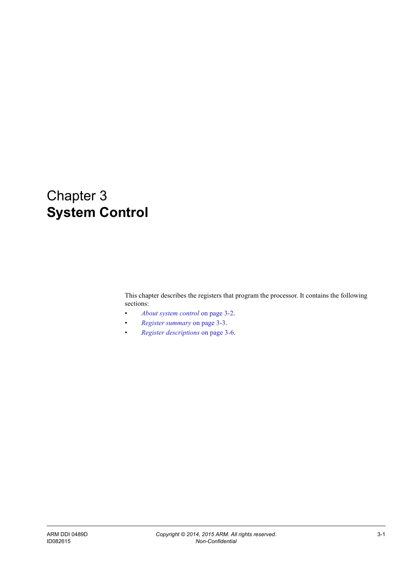# Chapter 3 **System Control**

This chapter describes the registers that program the processor. It contains the following sections:

- *[About system control](#page-37-0)* on page 3-2.
- *[Register summary](#page-38-0)* on page 3-3.
- *[Register descriptions](#page-41-0)* on page 3-6.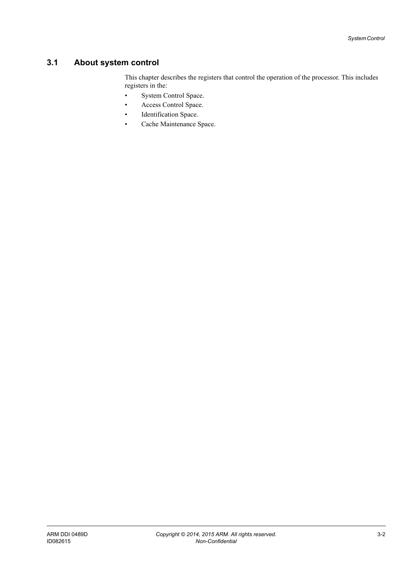# <span id="page-37-0"></span>**3.1 About system control**

This chapter describes the registers that control the operation of the processor. This includes registers in the:

- System Control Space.
- Access Control Space.
- Identification Space.
- Cache Maintenance Space.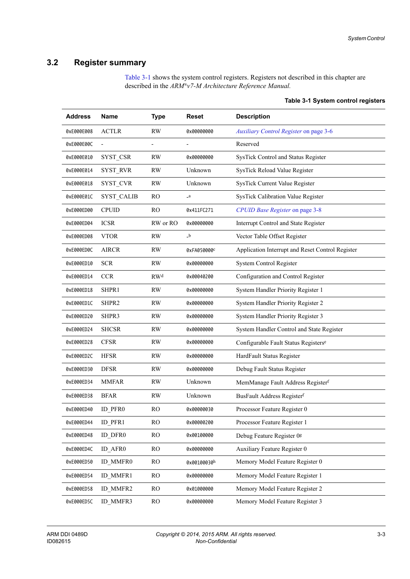# <span id="page-38-0"></span>**3.2 Register summary**

<span id="page-38-1"></span>[Table 3-1](#page-38-1) shows the system control registers. Registers not described in this chapter are described in the *ARM®v7-M Architecture Reference Manual.*

| <b>Address</b> | <b>Name</b>       | <b>Type</b>    | Reset                     | <b>Description</b>                               |  |
|----------------|-------------------|----------------|---------------------------|--------------------------------------------------|--|
| 0xE000E008     | <b>ACTLR</b>      | <b>RW</b>      | 0x00000000                | Auxiliary Control Register on page 3-6           |  |
| 0xE000E00C     |                   |                |                           | Reserved                                         |  |
| 0xE000E010     | SYST CSR          | <b>RW</b>      | 0x00000000                | SysTick Control and Status Register              |  |
| 0xE000E014     | <b>SYST RVR</b>   | <b>RW</b>      | Unknown                   | SysTick Reload Value Register                    |  |
| 0xE000E018     | SYST CVR          | <b>RW</b>      | Unknown                   | SysTick Current Value Register                   |  |
| 0xE000E01C     | <b>SYST CALIB</b> | R <sub>O</sub> | $\verb!_-a!$              | <b>SysTick Calibration Value Register</b>        |  |
| 0xE000ED00     | <b>CPUID</b>      | R <sub>O</sub> | 0x411FC271                | CPUID Base Register on page 3-8                  |  |
| 0xE000ED04     | <b>ICSR</b>       | RW or RO       | 0x00000000                | Interrupt Control and State Register             |  |
| 0xE000ED08     | <b>VTOR</b>       | RW             | $\mathbf{-}^{\mathbf{b}}$ | Vector Table Offset Register                     |  |
| 0xE000ED0C     | <b>AIRCR</b>      | RW             | 0xFA050000c               | Application Interrupt and Reset Control Register |  |
| 0xE000ED10     | <b>SCR</b>        | <b>RW</b>      | 0x00000000                | <b>System Control Register</b>                   |  |
| 0xE000ED14     | <b>CCR</b>        | <b>RWd</b>     | 0x00040200                | Configuration and Control Register               |  |
| 0xE000ED18     | SHPR1             | <b>RW</b>      | 0x00000000                | System Handler Priority Register 1               |  |
| 0xE000ED1C     | SHPR2             | <b>RW</b>      | 0x00000000                | System Handler Priority Register 2               |  |
| 0xE000ED20     | SHPR3             | <b>RW</b>      | 0x00000000                | System Handler Priority Register 3               |  |
| 0xE000ED24     | <b>SHCSR</b>      | <b>RW</b>      | 0x00000000                | System Handler Control and State Register        |  |
| 0xE000ED28     | <b>CFSR</b>       | <b>RW</b>      | 0x00000000                | Configurable Fault Status Registerse             |  |
| 0xE000ED2C     | <b>HFSR</b>       | <b>RW</b>      | 0x00000000                | HardFault Status Register                        |  |
| 0xE000ED30     | <b>DFSR</b>       | <b>RW</b>      | 0x00000000                | Debug Fault Status Register                      |  |
| 0xE000ED34     | <b>MMFAR</b>      | <b>RW</b>      | Unknown                   | MemManage Fault Address Registerf                |  |
| 0xE000ED38     | <b>BFAR</b>       | <b>RW</b>      | Unknown                   | BusFault Address Registerf                       |  |
| 0xE000ED40     | ID PFR0           | RO             | 0x00000030                | Processor Feature Register 0                     |  |
| 0xE000ED44     | ID PFR1           | RO             | 0x00000200                | Processor Feature Register 1                     |  |
| 0xE000ED48     | ID DFR0           | <b>RO</b>      | 0x00100000                | Debug Feature Register 0g                        |  |
| 0xE000ED4C     | ID AFR0           | RO             | 0x00000000                | Auxiliary Feature Register 0                     |  |
| 0xE000ED50     | ID MMFR0          | <b>RO</b>      | 0x00100030h               | Memory Model Feature Register 0                  |  |
| 0xE000ED54     | ID MMFR1          | RO             | 0x00000000                | Memory Model Feature Register 1                  |  |
| 0xE000ED58     | ID MMFR2          | RO             | 0x01000000                | Memory Model Feature Register 2                  |  |
| 0xE000ED5C     | ID_MMFR3          | RO             | 0x00000000                | Memory Model Feature Register 3                  |  |

## <span id="page-38-2"></span>**Table 3-1 System control registers**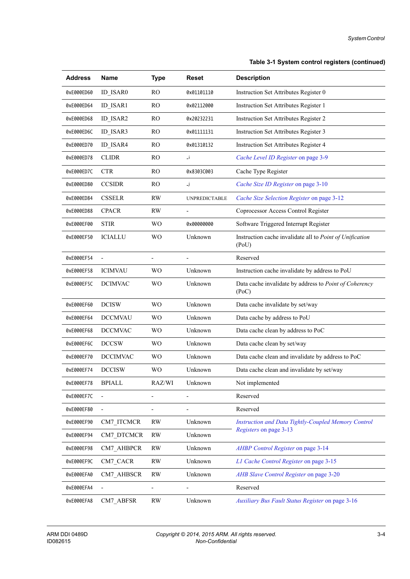## **Table 3-1 System control registers (continued)**

| <b>Address</b> | <b>Name</b>              | <b>Type</b>              | Reset                        | <b>Description</b>                                                |
|----------------|--------------------------|--------------------------|------------------------------|-------------------------------------------------------------------|
| 0xE000ED60     | <b>ID ISAR0</b>          | R <sub>O</sub>           | 0x01101110                   | Instruction Set Attributes Register 0                             |
| 0xE000ED64     | ID ISAR1                 | <b>RO</b>                | 0x02112000                   | Instruction Set Attributes Register 1                             |
| 0xE000ED68     | ID ISAR2                 | R <sub>O</sub>           | 0x20232231                   | Instruction Set Attributes Register 2                             |
| 0xE000ED6C     | ID ISAR3                 | <b>RO</b>                | 0x01111131                   | Instruction Set Attributes Register 3                             |
| 0xE000ED70     | ID ISAR4                 | RO                       | 0x01310132                   | Instruction Set Attributes Register 4                             |
| 0xE000ED78     | <b>CLIDR</b>             | RO                       | $\mathbf{I}$                 | Cache Level ID Register on page 3-9                               |
| 0xE000ED7C     | <b>CTR</b>               | <b>RO</b>                | 0x8303C003                   | Cache Type Register                                               |
| 0xE000ED80     | <b>CCSIDR</b>            | R <sub>O</sub>           | Lj.                          | Cache Size ID Register on page 3-10                               |
| 0xE000ED84     | <b>CSSELR</b>            | <b>RW</b>                | <b>UNPREDICTABLE</b>         | Cache Size Selection Register on page 3-12                        |
| 0xE000ED88     | <b>CPACR</b>             | <b>RW</b>                | $\qquad \qquad \blacksquare$ | Coprocessor Access Control Register                               |
| 0xE000EF00     | <b>STIR</b>              | W <sub>O</sub>           | 0x00000000                   | Software Triggered Interrupt Register                             |
| 0xE000EF50     | <b>ICIALLU</b>           | W <sub>O</sub>           | Unknown                      | Instruction cache invalidate all to Point of Unification<br>(PoU) |
| 0xE000EF54     | $\overline{\phantom{a}}$ | $\overline{a}$           | $\overline{\phantom{a}}$     | Reserved                                                          |
| 0xE000EF58     | <b>ICIMVAU</b>           | W <sub>O</sub>           | Unknown                      | Instruction cache invalidate by address to PoU                    |
| 0xE000EF5C     | <b>DCIMVAC</b>           | <b>WO</b>                | Unknown                      | Data cache invalidate by address to Point of Coherency<br>(PoC)   |
| 0xE000EF60     | <b>DCISW</b>             | W <sub>O</sub>           | Unknown                      | Data cache invalidate by set/way                                  |
| 0xE000EF64     | <b>DCCMVAU</b>           | <b>WO</b>                | Unknown                      | Data cache by address to PoU                                      |
| 0xE000EF68     | <b>DCCMVAC</b>           | W <sub>O</sub>           | Unknown                      | Data cache clean by address to PoC                                |
| 0xE000EF6C     | <b>DCCSW</b>             | W <sub>O</sub>           | Unknown                      | Data cache clean by set/way                                       |
| 0xE000EF70     | <b>DCCIMVAC</b>          | <b>WO</b>                | Unknown                      | Data cache clean and invalidate by address to PoC                 |
| 0xE000EF74     | <b>DCCISW</b>            | W <sub>O</sub>           | Unknown                      | Data cache clean and invalidate by set/way                        |
| 0xE000EF78     | <b>BPIALL</b>            | RAZ/WI                   | Unknown                      | Not implemented                                                   |
| 0xE000EF7C     |                          |                          | ٠                            | Reserved                                                          |
| 0xE000EF80     |                          |                          |                              | Reserved                                                          |
| 0xE000EF90     | CM7 ITCMCR               | <b>RW</b>                | Unknown                      | Instruction and Data Tightly-Coupled Memory Control               |
| 0xE000EF94     | CM7 DTCMCR               | <b>RW</b>                | Unknown                      | Registers on page 3-13                                            |
| 0xE000EF98     | CM7_AHBPCR               | <b>RW</b>                | Unknown                      | AHBP Control Register on page 3-14                                |
| 0xE000EF9C     | CM7_CACR                 | <b>RW</b>                | Unknown                      | L1 Cache Control Register on page 3-15                            |
| 0xE000EFA0     | CM7_AHBSCR               | <b>RW</b>                | Unknown                      | AHB Slave Control Register on page 3-20                           |
| 0xE000EFA4     | $\overline{\phantom{a}}$ | $\overline{\phantom{0}}$ | $\qquad \qquad \blacksquare$ | Reserved                                                          |
| 0xE000EFA8     | CM7 ABFSR                | <b>RW</b>                | Unknown                      | Auxiliary Bus Fault Status Register on page 3-16                  |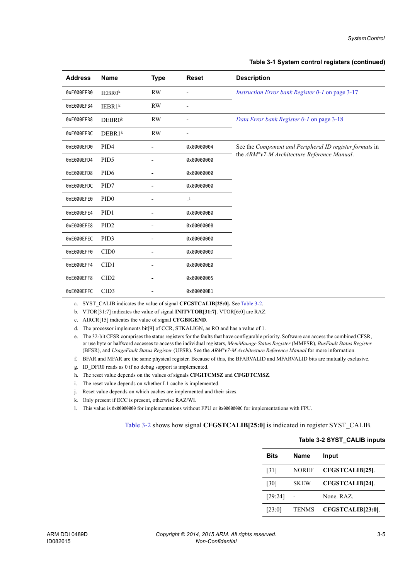<span id="page-40-0"></span>

| <b>Address</b> | <b>Name</b>        | <b>Type</b> | <b>Reset</b> | <b>Description</b>                                      |
|----------------|--------------------|-------------|--------------|---------------------------------------------------------|
| 0xE000EFB0     | IEBRO <sup>k</sup> | <b>RW</b>   |              | Instruction Error bank Register 0-1 on page 3-17        |
| 0xE000EFB4     | IEBR1 <sup>k</sup> | <b>RW</b>   |              |                                                         |
| 0xE000EFB8     | DEBROk             | <b>RW</b>   | -            | Data Error bank Register 0-1 on page 3-18               |
| 0xE000EFBC     | $DEBR1^k$          | <b>RW</b>   | -            |                                                         |
| 0xE000EFD0     | PID <sub>4</sub>   |             | 0x00000004   | See the Component and Peripheral ID register formats in |
| 0xE000EFD4     | PID <sub>5</sub>   |             | 0x00000000   | the ARM®v7-M Architecture Reference Manual.             |
| 0xE000EFD8     | PID <sub>6</sub>   |             | 0x00000000   |                                                         |
| 0xE000EFDC     | PID7               |             | 0x00000000   |                                                         |
| 0xE000EFE0     | PID <sub>0</sub>   |             | $\lrcorner$  |                                                         |
| 0xE000EFE4     | PID1               |             | 0x000000B0   |                                                         |
| 0xE000EFE8     | PID <sub>2</sub>   |             | 0x0000000B   |                                                         |
| 0xE000EFEC     | PID <sub>3</sub>   |             | 0x00000000   |                                                         |
| 0xE000EFF0     | CID <sub>0</sub>   |             | 0x0000000D   |                                                         |
| 0xE000EFF4     | CID1               |             | 0x000000E0   |                                                         |
| 0xE000EFF8     | CID <sub>2</sub>   |             | 0x00000005   |                                                         |
| 0xE000EFFC     | CID <sub>3</sub>   |             | 0x000000B1   |                                                         |

a. SYST\_CALIB indicates the value of signal **CFGSTCALIB[25:0].** See [Table 3-2.](#page-40-1)

b. VTOR[31:7] indicates the value of signal **INITVTOR[31:7]**. VTOR[6:0] are RAZ.

c. AIRCR[15] indicates the value of signal **CFGBIGEND**.

d. The processor implements bit[9] of CCR, STKALIGN, as RO and has a value of 1.

e. The 32-bit CFSR comprises the status registers for the faults that have configurable priority. Software can access the combined CFSR, or use byte or halfword accesses to access the individual registers, *MemManage Status Register* (MMFSR), *BusFault Status Register* (BFSR), and *UsageFault Status Register* (UFSR). See the *ARM®v7-M Architecture Reference Manual* for more information.

- f. BFAR and MFAR are the same physical register. Because of this, the BFARVALID and MFARVALID bits are mutually exclusive.
- g. ID\_DFR0 reads as 0 if no debug support is implemented.
- h. The reset value depends on the values of signals **CFGITCMSZ** and **CFGDTCMSZ**.
- i. The reset value depends on whether L1 cache is implemented.
- j. Reset value depends on which caches are implemented and their sizes.
- k. Only present if ECC is present, otherwise RAZ/WI.
- l. This value is 0x00000000 for implementations without FPU or 0x0000000C for implementations with FPU.

## <span id="page-40-1"></span>[Table 3-2](#page-40-1) shows how signal **CFGSTCALIB[25:0]** is indicated in register SYST\_CALIB.

| <b>Bits</b> | <b>Name</b>  | Input                  |  |  |  |
|-------------|--------------|------------------------|--|--|--|
| [31]        | <b>NOREF</b> | CFGSTCALIB[25].        |  |  |  |
| [30]        | <b>SKEW</b>  | <b>CFGSTCALIB[24].</b> |  |  |  |
| [29:24]     |              | None. RAZ.             |  |  |  |
| [23:0]      | <b>TENMS</b> | CFGSTCALIB[23:0].      |  |  |  |

## **Table 3-2 SYST\_CALIB inputs**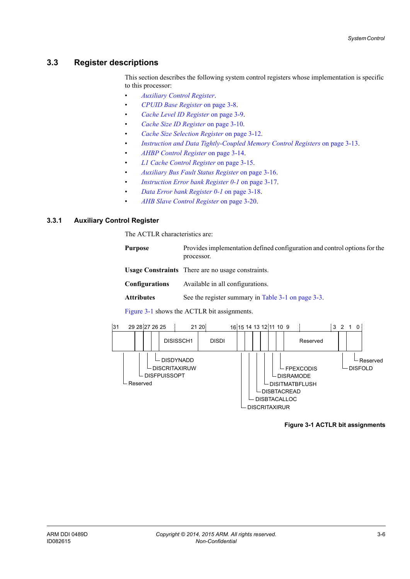# <span id="page-41-0"></span>**3.3 Register descriptions**

This section describes the following system control registers whose implementation is specific to this processor:

- *[Auxiliary Control Register](#page-41-1)*.
- *[CPUID Base Register](#page-43-0)* on page 3-8.
- *[Cache Level ID Register](#page-44-0)* on page 3-9.
- *[Cache Size ID Register](#page-45-0)* on page 3-10.
- *[Cache Size Selection Register](#page-47-0)* on page 3-12.
- *[Instruction and Data Tightly-Coupled Memory Control Registers](#page-48-0)* on page 3-13.
- *[AHBP Control Register](#page-49-0)* on page 3-14.
- *[L1 Cache Control Register](#page-50-0)* on page 3-15.
- *[Auxiliary Bus Fault Status Register](#page-51-0)* on page 3-16.
- *[Instruction Error bank Register 0-1](#page-52-0)* on page 3-17.
- *[Data Error bank Register 0-1](#page-53-0)* on page 3-18.
- *[AHB Slave Control Register](#page-55-0)* on page 3-20.

## <span id="page-41-1"></span>**3.3.1 Auxiliary Control Register**

The ACTLR characteristics are:

| Purpose | Provides implementation defined configuration and control options for the |
|---------|---------------------------------------------------------------------------|
|         | processor.                                                                |

**Usage Constraints** There are no usage constraints.

**Configurations** Available in all configurations.

Attributes See the register summary in [Table 3-1 on page 3-3](#page-38-1).

[Figure 3-1](#page-41-2) shows the ACTLR bit assignments.

<span id="page-41-2"></span>

**Figure 3-1 ACTLR bit assignments**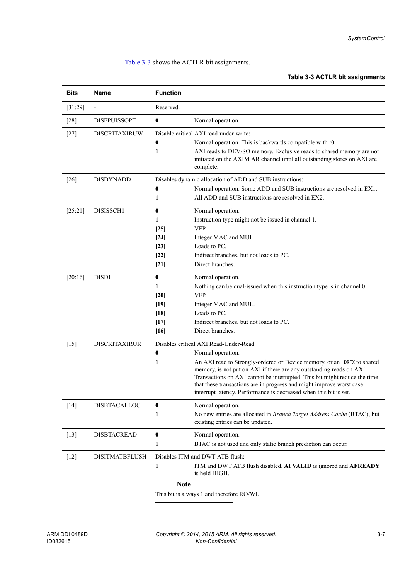## <span id="page-42-0"></span>[Table 3-3](#page-42-0) shows the ACTLR bit assignments.

## **Table 3-3 ACTLR bit assignments**

| <b>Bits</b> | Name                  | <b>Function</b>                                                                                                                                                                                                                                                                                                                                                                                                                                           |  |
|-------------|-----------------------|-----------------------------------------------------------------------------------------------------------------------------------------------------------------------------------------------------------------------------------------------------------------------------------------------------------------------------------------------------------------------------------------------------------------------------------------------------------|--|
| [31:29]     |                       | Reserved.                                                                                                                                                                                                                                                                                                                                                                                                                                                 |  |
| $[28]$      | <b>DISFPUISSOPT</b>   | $\pmb{0}$<br>Normal operation.                                                                                                                                                                                                                                                                                                                                                                                                                            |  |
| $[27]$      | <b>DISCRITAXIRUW</b>  | Disable critical AXI read-under-write:<br>$\bf{0}$<br>Normal operation. This is backwards compatible with r0.<br>1<br>AXI reads to DEV/SO memory. Exclusive reads to shared memory are not<br>initiated on the AXIM AR channel until all outstanding stores on AXI are<br>complete.                                                                                                                                                                       |  |
| $[26]$      | <b>DISDYNADD</b>      | Disables dynamic allocation of ADD and SUB instructions:<br>Normal operation. Some ADD and SUB instructions are resolved in EX1.<br>0<br>All ADD and SUB instructions are resolved in EX2.<br>1                                                                                                                                                                                                                                                           |  |
| [25:21]     | DISISSCH1             | $\bf{0}$<br>Normal operation.<br>Instruction type might not be issued in channel 1.<br>1<br>VFP.<br>$[25]$<br>$[24]$<br>Integer MAC and MUL.<br>Loads to PC.<br>$[23]$<br>Indirect branches, but not loads to PC.<br>$[22]$<br>Direct branches.<br>$[21]$                                                                                                                                                                                                 |  |
| [20:16]     | <b>DISDI</b>          | $\bf{0}$<br>Normal operation.<br>1<br>Nothing can be dual-issued when this instruction type is in channel 0.<br>VFP.<br>[20]<br>$[19]$<br>Integer MAC and MUL.<br>Loads to PC.<br>[18]<br>Indirect branches, but not loads to PC.<br>$[17]$<br>Direct branches.<br>$[16]$                                                                                                                                                                                 |  |
| $[15]$      | <b>DISCRITAXIRUR</b>  | Disables critical AXI Read-Under-Read.<br>$\bf{0}$<br>Normal operation.<br>1<br>An AXI read to Strongly-ordered or Device memory, or an LDREX to shared<br>memory, is not put on AXI if there are any outstanding reads on AXI.<br>Transactions on AXI cannot be interrupted. This bit might reduce the time<br>that these transactions are in progress and might improve worst case<br>interrupt latency. Performance is decreased when this bit is set. |  |
| $[14]$      | <b>DISBTACALLOC</b>   | $\bf{0}$<br>Normal operation.<br>No new entries are allocated in Branch Target Address Cache (BTAC), but<br>1<br>existing entries can be updated.                                                                                                                                                                                                                                                                                                         |  |
| $[13]$      | <b>DISBTACREAD</b>    | $\pmb{0}$<br>Normal operation.<br>BTAC is not used and only static branch prediction can occur.<br>1                                                                                                                                                                                                                                                                                                                                                      |  |
| $[12]$      | <b>DISITMATBFLUSH</b> | Disables ITM and DWT ATB flush:<br>1<br>ITM and DWT ATB flush disabled. AFVALID is ignored and AFREADY<br>is held HIGH.<br>$- Note$<br>This bit is always 1 and therefore RO/WI.                                                                                                                                                                                                                                                                          |  |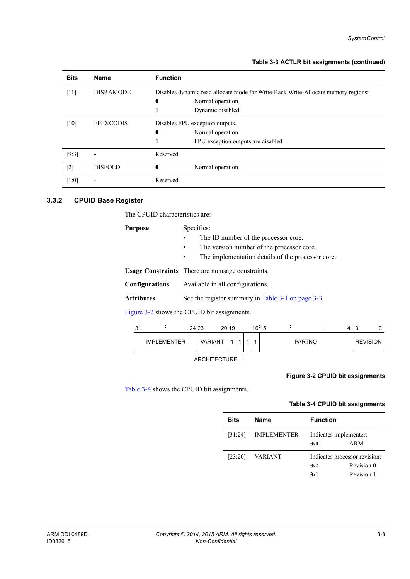| Table 3-3 ACTLR bit assignments (continued) |
|---------------------------------------------|
|---------------------------------------------|

| <b>Bits</b> | <b>Name</b>              | <b>Function</b>                                                                   |                                     |
|-------------|--------------------------|-----------------------------------------------------------------------------------|-------------------------------------|
| $[11]$      | <b>DISRAMODE</b>         | Disables dynamic read allocate mode for Write-Back Write-Allocate memory regions: |                                     |
|             |                          | $\bf{0}$                                                                          | Normal operation.                   |
|             |                          |                                                                                   | Dynamic disabled.                   |
| [10]        | <b>FPEXCODIS</b>         | Disables FPU exception outputs.                                                   |                                     |
|             |                          | $\bf{0}$                                                                          | Normal operation.                   |
|             |                          |                                                                                   | FPU exception outputs are disabled. |
| $[9:3]$     | $\overline{\phantom{0}}$ | Reserved.                                                                         |                                     |
| $[2]$       | <b>DISFOLD</b>           | $\mathbf{0}$                                                                      | Normal operation.                   |
| [1:0]       | $\overline{\phantom{0}}$ | Reserved.                                                                         |                                     |

## <span id="page-43-0"></span>**3.3.2 CPUID Base Register**

The CPUID characteristics are:

| Purpose               | Specifies:                                                     |  |  |  |
|-----------------------|----------------------------------------------------------------|--|--|--|
|                       | The ID number of the processor core.                           |  |  |  |
|                       | The version number of the processor core.                      |  |  |  |
|                       | The implementation details of the processor core.<br>$\bullet$ |  |  |  |
|                       | <b>Usage Constraints</b> There are no usage constraints.       |  |  |  |
| <b>Configurations</b> | Available in all configurations.                               |  |  |  |
| Attributes            | See the register summary in Table 3-1 on page 3-3.             |  |  |  |
|                       |                                                                |  |  |  |

[Figure 3-2](#page-43-1) shows the CPUID bit assignments.



ARCHITECTURE

## **Figure 3-2 CPUID bit assignments**

<span id="page-43-2"></span><span id="page-43-1"></span>[Table 3-4](#page-43-2) shows the CPUID bit assignments.

## **Table 3-4 CPUID bit assignments**

| <b>Bits</b> | <b>Name</b>        | <b>Function</b>        |                               |
|-------------|--------------------|------------------------|-------------------------------|
| [31:24]     | <b>IMPLEMENTER</b> | Indicates implementer: |                               |
|             |                    | 0x41                   | ARM.                          |
| [23:20]     | VARIANT            |                        | Indicates processor revision: |
|             |                    | 0x0                    | Revision 0.                   |
|             |                    | 0x1                    | Revision 1.                   |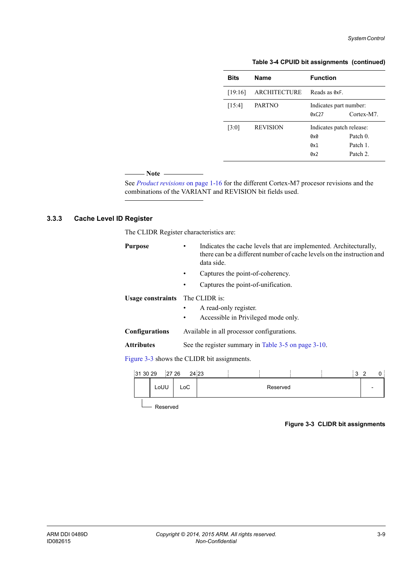### **Table 3-4 CPUID bit assignments (continued)**

| <b>Bits</b> | <b>Name</b>         | <b>Function</b>          |            |
|-------------|---------------------|--------------------------|------------|
| [19:16]     | <b>ARCHITECTURE</b> | Reads as ØxF.            |            |
| [15:4]      | <b>PARTNO</b>       | Indicates part number:   |            |
|             |                     | 0xC27                    | Cortex-M7. |
| [3:0]       | <b>REVISION</b>     | Indicates patch release: |            |
|             |                     | 0x0                      | Patch 0    |
|             |                     | 0x1                      | Patch 1    |
|             |                     | 0x2                      | Patch 2.   |

## $-$  Note -

 See *[Product revisions](#page-26-0)* on page 1-16 for the different Cortex-M7 procesor revisions and the combinations of the VARIANT and REVISION bit fields used.

# <span id="page-44-0"></span>**3.3.3 Cache Level ID Register**

The CLIDR Register characteristics are:

| <b>Purpose</b>                              | Indicates the cache levels that are implemented. Architecturally,<br>there can be a different number of cache levels on the instruction and<br>data side. |  |  |  |  |  |  |
|---------------------------------------------|-----------------------------------------------------------------------------------------------------------------------------------------------------------|--|--|--|--|--|--|
|                                             | Captures the point-of-coherency.                                                                                                                          |  |  |  |  |  |  |
|                                             | Captures the point-of-unification.<br>٠                                                                                                                   |  |  |  |  |  |  |
| <b>Usage constraints</b> The CLIDR is:      | A read-only register.<br>Accessible in Privileged mode only.                                                                                              |  |  |  |  |  |  |
| <b>Configurations</b>                       | Available in all processor configurations.                                                                                                                |  |  |  |  |  |  |
| <b>Attributes</b>                           | See the register summary in Table 3-5 on page 3-10.                                                                                                       |  |  |  |  |  |  |
| Figure 3-3 shows the CLIDR bit assignments. |                                                                                                                                                           |  |  |  |  |  |  |

| LoUU<br>LoC.<br>Reserved | 31 30 29 | 27 26 | 24 23 |  |  | ໍ່ | ົ |  |
|--------------------------|----------|-------|-------|--|--|----|---|--|
|                          |          |       |       |  |  |    |   |  |

<span id="page-44-1"></span>L<sub>Reserved</sub>

## **Figure 3-3 CLIDR bit assignments**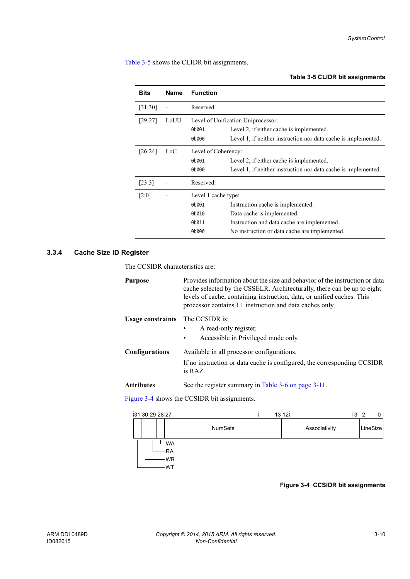<span id="page-45-1"></span>[Table 3-5](#page-45-1) shows the CLIDR bit assignments.

### **Table 3-5 CLIDR bit assignments**

| <b>Bits</b> | <b>Name</b> | <b>Function</b>                                         |                                                                                                                                                                 |
|-------------|-------------|---------------------------------------------------------|-----------------------------------------------------------------------------------------------------------------------------------------------------------------|
| [31:30]     |             | Reserved.                                               |                                                                                                                                                                 |
| [29:27]     | LoUU        | 0b001<br>0b000                                          | Level of Unification Uniprocessor:<br>Level 2, if either cache is implemented.<br>Level 1, if neither instruction nor data cache is implemented.                |
| [26:24]     | LoC         | Level of Coherency:<br>0b001<br>0b000                   | Level 2, if either cache is implemented.<br>Level 1, if neither instruction nor data cache is implemented.                                                      |
| [23:3]      |             | Reserved.                                               |                                                                                                                                                                 |
| [2:0]       |             | Level 1 cache type:<br>0b001<br>0b010<br>0b011<br>0b000 | Instruction cache is implemented.<br>Data cache is implemented.<br>Instruction and data cache are implemented.<br>No instruction or data cache are implemented. |

## <span id="page-45-0"></span>**3.3.4 Cache Size ID Register**

The CCSIDR characteristics are:

| Purpose                  | Provides information about the size and behavior of the instruction or data<br>cache selected by the CSSELR. Architecturally, there can be up to eight<br>levels of cache, containing instruction, data, or unified caches. This<br>processor contains L1 instruction and data caches only. |
|--------------------------|---------------------------------------------------------------------------------------------------------------------------------------------------------------------------------------------------------------------------------------------------------------------------------------------|
| <b>Usage constraints</b> | The CCSIDR is:<br>A read-only register.<br>Accessible in Privileged mode only.<br>٠                                                                                                                                                                                                         |
| Configurations           | Available in all processor configurations.<br>If no instruction or data cache is configured, the corresponding CCSIDR<br>is RAZ.                                                                                                                                                            |
| Attributes               | See the register summary in Table 3-6 on page 3-11.                                                                                                                                                                                                                                         |

[Figure 3-4](#page-45-2) shows the CCSIDR bit assignments.

<span id="page-45-2"></span>

## **Figure 3-4 CCSIDR bit assignments**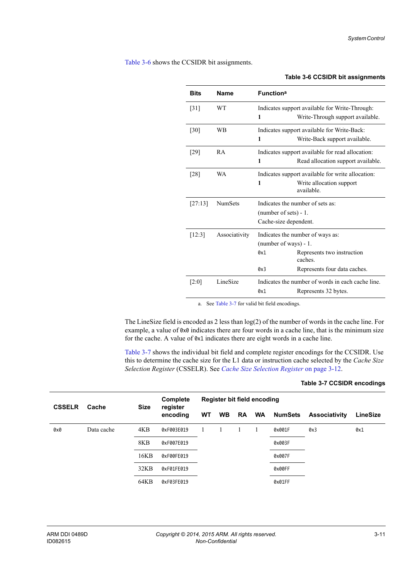<span id="page-46-0"></span>[Table 3-6](#page-46-0) shows the CCSIDR bit assignments.

# **Table 3-6 CCSIDR bit assignments Bits Name Functiona** [31] WT Indicates support available for Write-Through: **1** Write-Through support available. [30] WB Indicates support available for Write-Back: **1** Write-Back support available. [29] RA Indicates support available for read allocation: **1 Read allocation support available.** [28] WA Indicates support available for write allocation: **1** Write allocation support available. [27:13] NumSets Indicates the number of sets as: (number of sets) - 1. Cache-size dependent. [12:3] Associativity Indicates the number of ways as: (number of ways) - 1. 0x1 Represents two instruction caches. 0x3 Represents four data caches. [2:0] LineSize Indicates the number of words in each cache line. 0x1 Represents 32 bytes.

a. See [Table 3-7](#page-46-1) for valid bit field encodings.

The LineSize field is encoded as 2 less than  $log(2)$  of the number of words in the cache line. For example, a value of 0x0 indicates there are four words in a cache line, that is the minimum size for the cache. A value of 0x1 indicates there are eight words in a cache line.

<span id="page-46-1"></span>[Table 3-7](#page-46-1) shows the individual bit field and complete register encodings for the CCSIDR. Use this to determine the cache size for the L1 data or instruction cache selected by the *Cache Size Selection Register* (CSSELR). See *[Cache Size Selection Register](#page-47-0)* on page 3-12.

| <b>CSSELR</b> | Cache      | <b>Size</b> | <b>Complete</b>      | Register bit field encoding |           |    |           |                |                      |                 |
|---------------|------------|-------------|----------------------|-----------------------------|-----------|----|-----------|----------------|----------------------|-----------------|
|               |            |             | register<br>encoding | <b>WT</b>                   | <b>WB</b> | RA | <b>WA</b> | <b>NumSets</b> | <b>Associativity</b> | <b>LineSize</b> |
| 0x0           | Data cache | 4KB         | 0xF003E019           |                             |           |    |           | 0x001F         | 0x3                  | 0x1             |
|               |            | 8KB         | 0xF007E019           |                             |           |    |           | 0x003F         |                      |                 |
|               |            | 16KB        | 0xF00FE019           |                             |           |    |           | 0x007F         |                      |                 |
|               |            | 32KB        | 0xF01FE019           |                             |           |    |           | 0x00FF         |                      |                 |
|               |            | 64KB        | 0xF03FE019           |                             |           |    |           | 0x01FF         |                      |                 |

#### **Table 3-7 CCSIDR encodings**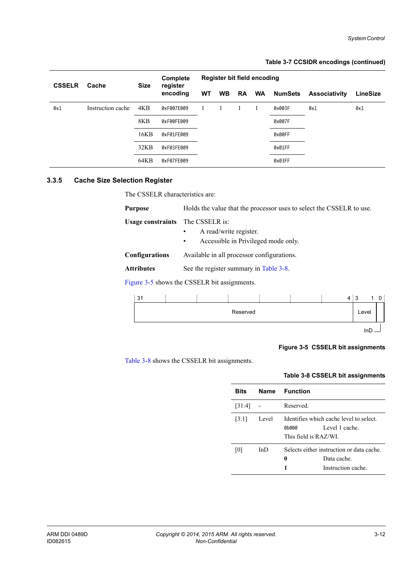## **Table 3-7 CCSIDR encodings (continued)**

| <b>CSSELR</b> | Cache             | <b>Size</b> | Complete<br>register | Register bit field encoding |           |           |           |                |                      |          |
|---------------|-------------------|-------------|----------------------|-----------------------------|-----------|-----------|-----------|----------------|----------------------|----------|
|               |                   |             | encoding             | <b>WT</b>                   | <b>WB</b> | <b>RA</b> | <b>WA</b> | <b>NumSets</b> | <b>Associativity</b> | LineSize |
| 0x1           | Instruction cache | 4KB         | 0xF007E009           |                             |           |           |           | 0x003F         | 0x1                  | 0x1      |
|               |                   | 8KB         | 0xF00FE009           |                             |           |           |           | 0x007F         |                      |          |
|               |                   | 16KB        | 0xF01FE009           |                             |           |           |           | 0x00FF         |                      |          |
|               |                   | 32KB        | 0xF03FE009           |                             |           |           |           | 0x01FF         |                      |          |
|               |                   | 64KB        | 0xF07FE009           |                             |           |           |           | 0x03FF         |                      |          |

## <span id="page-47-0"></span>**3.3.5 Cache Size Selection Register**

The CSSELR characteristics are:

| <b>Purpose</b>           | Holds the value that the processor uses to select the CSSELR to use.                                                                                                                                                                                    |  |  |  |  |
|--------------------------|---------------------------------------------------------------------------------------------------------------------------------------------------------------------------------------------------------------------------------------------------------|--|--|--|--|
| <b>Usage constraints</b> | The CSSELR is:<br>A read/write register.<br>Accessible in Privileged mode only.<br>$\bullet$                                                                                                                                                            |  |  |  |  |
| <b>Configurations</b>    | Available in all processor configurations.                                                                                                                                                                                                              |  |  |  |  |
| <b>Attributes</b>        | See the register summary in Table 3-8.                                                                                                                                                                                                                  |  |  |  |  |
|                          | $P^{\dagger}$ , $\ldots$ , $Q^{\dagger}$ , $P^{\dagger}$ , $A^{\dagger}$ , $\ldots$ , $A^{\dagger}$ , $\ldots$ , $Q^{\dagger}$ $Q^{\dagger}$ , $P^{\dagger}$ , $P^{\dagger}$ , $I^{\dagger}$ , $I^{\dagger}$ , $\ldots$ , $I^{\dagger}$ , $I^{\dagger}$ |  |  |  |  |

[Figure 3-5](#page-47-2) shows the CSSELR bit assignments.

| 10.00<br>31<br>ູ |  |          |  | $4 \overline{\phantom{0}3}$ |                 |  |
|------------------|--|----------|--|-----------------------------|-----------------|--|
|                  |  | Reserved |  |                             | Level           |  |
|                  |  |          |  |                             | In <sub>2</sub> |  |

## **Figure 3-5 CSSELR bit assignments**

<span id="page-47-2"></span><span id="page-47-1"></span>[Table 3-8](#page-47-1) shows the CSSELR bit assignments.

## **Table 3-8 CSSELR bit assignments**

| <b>Bits</b> |       | Name Function                                                                            |
|-------------|-------|------------------------------------------------------------------------------------------|
| [31:4]      |       | Reserved                                                                                 |
| [3:1]       | Level | Identifies which cache level to select<br>Level 1 cache<br>06000<br>This field is RAZ/WI |
| [0]         | InD   | Selects either instruction or data cache<br>0<br>Data cache<br>Instruction cache<br>1    |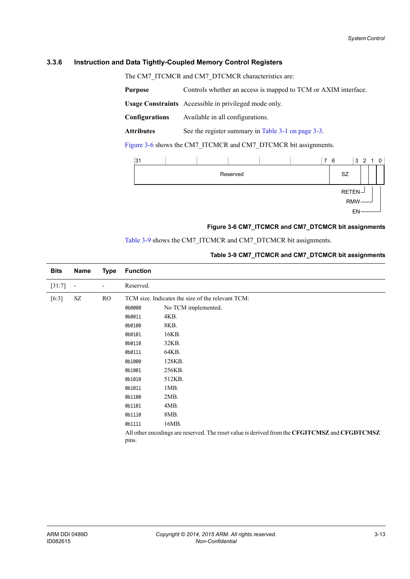## <span id="page-48-0"></span>**3.3.6 Instruction and Data Tightly-Coupled Memory Control Registers**

The CM7\_ITCMCR and CM7\_DTCMCR characteristics are:

**Purpose** Controls whether an access is mapped to TCM or AXIM interface. **Usage Constraints** Accessible in privileged mode only. **Configurations** Available in all configurations. Attributes See the register summary in [Table 3-1 on page 3-3](#page-38-1).

[Figure 3-6](#page-48-1) shows the CM7\_ITCMCR and CM7\_DTCMCR bit assignments.

| 31 |  |          |  | 76 |    | 3210       |  |  |
|----|--|----------|--|----|----|------------|--|--|
|    |  | Reserved |  |    | SZ |            |  |  |
|    |  |          |  |    |    | $RETEN-$   |  |  |
|    |  |          |  |    |    | <b>RMW</b> |  |  |
|    |  |          |  |    |    | EN         |  |  |

## **Figure 3-6 CM7\_ITCMCR and CM7\_DTCMCR bit assignments**

## <span id="page-48-2"></span>[Table 3-9](#page-48-2) shows the CM7\_ITCMCR and CM7\_DTCMCR bit assignments.

## **Table 3-9 CM7\_ITCMCR and CM7\_DTCMCR bit assignments**

<span id="page-48-1"></span>

| <b>Bits</b> | Name | <b>Type</b> | <b>Function</b> |                                                                                               |
|-------------|------|-------------|-----------------|-----------------------------------------------------------------------------------------------|
| $[31:7]$    | ÷    | ٠           | Reserved.       |                                                                                               |
| $[6:3]$     | SZ   | RO.         |                 | TCM size. Indicates the size of the relevant TCM:                                             |
|             |      |             | 0b0000          | No TCM implemented.                                                                           |
|             |      |             | 0b0011          | 4KB.                                                                                          |
|             |      |             | 0b0100          | 8KB.                                                                                          |
|             |      |             | 0b0101          | 16KB.                                                                                         |
|             |      |             | 0b0110          | 32KB.                                                                                         |
|             |      |             | 0b0111          | 64KB.                                                                                         |
|             |      |             | 0b1000          | 128KB.                                                                                        |
|             |      |             | 0b1001          | 256KB.                                                                                        |
|             |      |             | 0b1010          | 512KB.                                                                                        |
|             |      |             | 0b1011          | $1MB$ .                                                                                       |
|             |      |             | 0b1100          | $2MB$ .                                                                                       |
|             |      |             | 0b1101          | 4MB.                                                                                          |
|             |      |             | 0b1110          | 8MB.                                                                                          |
|             |      |             | 0b1111          | 16MB.                                                                                         |
|             |      |             |                 | All other encodings are reserved. The reset value is derived from the CFGITCMSZ and CFGDTCMSZ |
|             |      |             | pins.           |                                                                                               |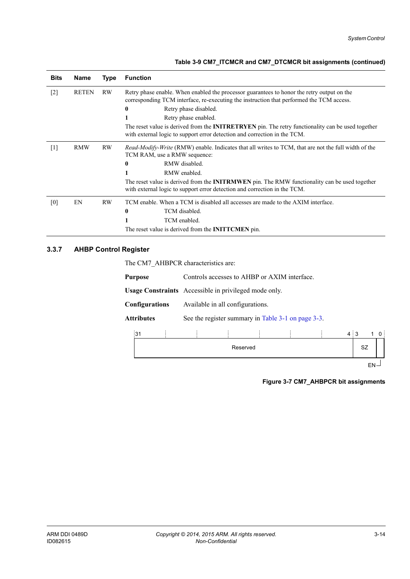| <b>Bits</b> | <b>Name</b>  | <b>Type</b> | <b>Function</b>                                                                                                                                                                                                                                                                                                                                                                                                                              |
|-------------|--------------|-------------|----------------------------------------------------------------------------------------------------------------------------------------------------------------------------------------------------------------------------------------------------------------------------------------------------------------------------------------------------------------------------------------------------------------------------------------------|
| $[2]$       | <b>RETEN</b> | RW          | Retry phase enable. When enabled the processor guarantees to honor the retry output on the<br>corresponding TCM interface, re-executing the instruction that performed the TCM access.<br>Retry phase disabled.<br>$\bf{0}$<br>Retry phase enabled.<br>The reset value is derived from the <b>INITRETRYEN</b> pin. The retry functionality can be used together<br>with external logic to support error detection and correction in the TCM. |
| $[1]$       | <b>RMW</b>   | RW          | <i>Read-Modify-Write</i> (RMW) enable. Indicates that all writes to TCM, that are not the full width of the<br>TCM RAM, use a RMW sequence:<br>RMW disabled.<br>$\mathbf{0}$<br>RMW enabled.<br>The reset value is derived from the <b>INITRMWEN</b> pin. The RMW functionality can be used together<br>with external logic to support error detection and correction in the TCM.                                                            |
| [0]         | EN           | RW          | TCM enable. When a TCM is disabled all accesses are made to the AXIM interface.<br>TCM disabled.<br>$\bf{0}$<br>TCM enabled.<br>The reset value is derived from the <b>INITTCMEN</b> pin.                                                                                                                                                                                                                                                    |

## <span id="page-49-0"></span>**3.3.7 AHBP Control Register**

The CM7\_AHBPCR characteristics are:

| Purpose        | Controls accesses to AHBP or AXIM interface.                 |
|----------------|--------------------------------------------------------------|
|                | <b>Usage Constraints</b> Accessible in privileged mode only. |
| Configurations | Available in all configurations.                             |
| Attributes     | See the register summary in Table 3-1 on page 3-3.           |
|                |                                                              |



 $EN\overline{I}$ 

**Figure 3-7 CM7\_AHBPCR bit assignments**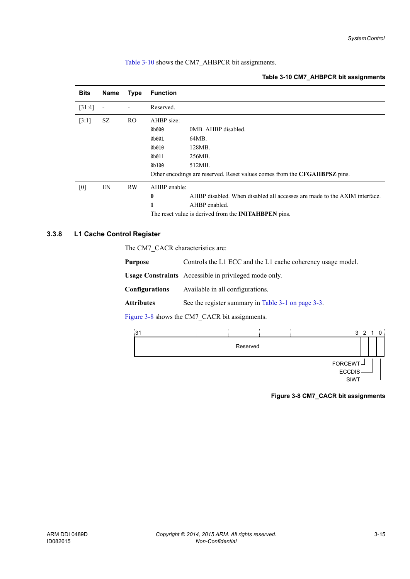<span id="page-50-2"></span>[Table 3-10](#page-50-2) shows the CM7\_AHBPCR bit assignments.

#### **Table 3-10 CM7\_AHBPCR bit assignments**

| <b>Bits</b> | Name                     | <b>Type</b> | <b>Function</b> |                                                                           |
|-------------|--------------------------|-------------|-----------------|---------------------------------------------------------------------------|
| [31:4]      | $\overline{\phantom{a}}$ |             | Reserved.       |                                                                           |
| [3:1]       | SZ                       | RO.         | AHBP size:      |                                                                           |
|             |                          |             | 0b000           | 0MB. AHBP disabled.                                                       |
|             |                          |             | 0b001           | 64MB.                                                                     |
|             |                          |             | 0b010           | 128MB.                                                                    |
|             |                          |             | 0b011           | 256MB.                                                                    |
|             |                          |             | 0b100           | 512MB.                                                                    |
|             |                          |             |                 | Other encodings are reserved. Reset values comes from the CFGAHBPSZ pins. |
| [0]         | EN                       | <b>RW</b>   | AHBP enable:    |                                                                           |
|             |                          |             | $\bf{0}$        | AHBP disabled. When disabled all accesses are made to the AXIM interface. |
|             |                          |             | 1               | AHBP enabled.                                                             |
|             |                          |             |                 | The reset value is derived from the <b>INITAHBPEN</b> pins.               |

## <span id="page-50-0"></span>**3.3.8 L1 Cache Control Register**

The CM7\_CACR characteristics are:

| <b>Purpose</b>                                 | Controls the L1 ECC and the L1 cache coherency usage model.  |  |  |  |
|------------------------------------------------|--------------------------------------------------------------|--|--|--|
|                                                | <b>Usage Constraints</b> Accessible in privileged mode only. |  |  |  |
| <b>Configurations</b>                          | Available in all configurations.                             |  |  |  |
| <b>Attributes</b>                              | See the register summary in Table 3-1 on page 3-3.           |  |  |  |
| Figure 3-8 shows the CM7 CACR bit assignments. |                                                              |  |  |  |

<span id="page-50-1"></span>



**Figure 3-8 CM7\_CACR bit assignments**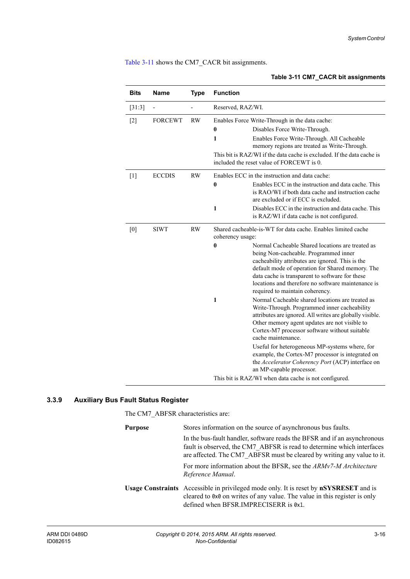<span id="page-51-1"></span>[Table 3-11](#page-51-1) shows the CM7\_CACR bit assignments.

## **Table 3-11 CM7\_CACR bit assignments**

| <b>Bits</b>       | <b>Name</b>    | <b>Type</b> | <b>Function</b>   |                                                                                                                                                                                                                                                                                                                                                                                                                                                  |
|-------------------|----------------|-------------|-------------------|--------------------------------------------------------------------------------------------------------------------------------------------------------------------------------------------------------------------------------------------------------------------------------------------------------------------------------------------------------------------------------------------------------------------------------------------------|
| $[31:3]$          |                |             | Reserved, RAZ/WI. |                                                                                                                                                                                                                                                                                                                                                                                                                                                  |
| $\lceil 2 \rceil$ | <b>FORCEWT</b> | <b>RW</b>   |                   | Enables Force Write-Through in the data cache:                                                                                                                                                                                                                                                                                                                                                                                                   |
|                   |                |             | $\boldsymbol{0}$  | Disables Force Write-Through.                                                                                                                                                                                                                                                                                                                                                                                                                    |
|                   |                |             | 1                 | Enables Force Write-Through. All Cacheable<br>memory regions are treated as Write-Through.                                                                                                                                                                                                                                                                                                                                                       |
|                   |                |             |                   | This bit is RAZ/WI if the data cache is excluded. If the data cache is<br>included the reset value of FORCEWT is 0.                                                                                                                                                                                                                                                                                                                              |
| $[1]$             | <b>ECCDIS</b>  | <b>RW</b>   |                   | Enables ECC in the instruction and data cache:                                                                                                                                                                                                                                                                                                                                                                                                   |
|                   |                |             | $\bf{0}$          | Enables ECC in the instruction and data cache. This<br>is RAO/WI if both data cache and instruction cache<br>are excluded or if ECC is excluded.                                                                                                                                                                                                                                                                                                 |
|                   |                |             | 1                 | Disables ECC in the instruction and data cache. This<br>is RAZ/WI if data cache is not configured.                                                                                                                                                                                                                                                                                                                                               |
| [0]               | <b>SIWT</b>    | <b>RW</b>   | coherency usage:  | Shared cacheable-is-WT for data cache. Enables limited cache                                                                                                                                                                                                                                                                                                                                                                                     |
|                   |                |             | $\bf{0}$          | Normal Cacheable Shared locations are treated as<br>being Non-cacheable. Programmed inner<br>cacheability attributes are ignored. This is the<br>default mode of operation for Shared memory. The<br>data cache is transparent to software for these<br>locations and therefore no software maintenance is<br>required to maintain coherency.                                                                                                    |
|                   |                |             | $\mathbf{1}$      | Normal Cacheable shared locations are treated as<br>Write-Through. Programmed inner cacheability<br>attributes are ignored. All writes are globally visible.<br>Other memory agent updates are not visible to<br>Cortex-M7 processor software without suitable<br>cache maintenance.<br>Useful for heterogeneous MP-systems where, for<br>example, the Cortex-M7 processor is integrated on<br>the Accelerator Coherency Port (ACP) interface on |
|                   |                |             |                   | an MP-capable processor.<br>This bit is RAZ/WI when data cache is not configured.                                                                                                                                                                                                                                                                                                                                                                |
|                   |                |             |                   |                                                                                                                                                                                                                                                                                                                                                                                                                                                  |

## <span id="page-51-0"></span>**3.3.9 Auxiliary Bus Fault Status Register**

The CM7\_ABFSR characteristics are:

| <b>Purpose</b> | Stores information on the source of asynchronous bus faults.                                                                                                                                                                  |
|----------------|-------------------------------------------------------------------------------------------------------------------------------------------------------------------------------------------------------------------------------|
|                | In the bus-fault handler, software reads the BFSR and if an asynchronous<br>fault is observed, the CM7 ABFSR is read to determine which interfaces<br>are affected. The CM7 ABFSR must be cleared by writing any value to it. |
|                | For more information about the BFSR, see the ARMv7-M Architecture<br>Reference Manual.                                                                                                                                        |
|                | <b>Usage Constraints</b> Accessible in privileged mode only. It is reset by <b>nSYSRESET</b> and is<br>cleared to 0x0 on writes of any value. The value in this register is only<br>defined when BFSR.IMPRECISERR is 0x1.     |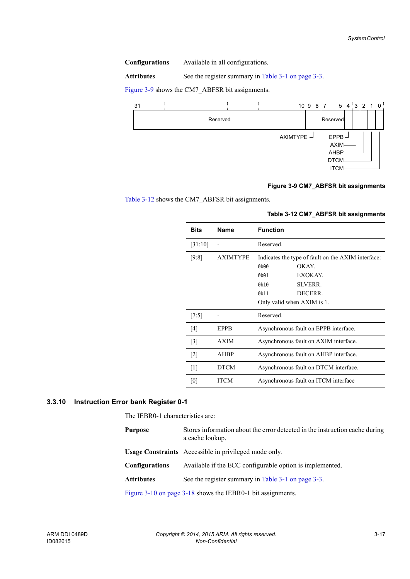**Configurations** Available in all configurations.

Attributes See the register summary in [Table 3-1 on page 3-3](#page-38-1).

[Figure 3-9](#page-52-1) shows the CM7\_ABFSR bit assignments.



## **Figure 3-9 CM7\_ABFSR bit assignments**

<span id="page-52-2"></span><span id="page-52-1"></span>[Table 3-12](#page-52-2) shows the CM7\_ABFSR bit assignments.

| <b>Bits</b>       | <b>Name</b>     | <b>Function</b>                                    |
|-------------------|-----------------|----------------------------------------------------|
| [31:10]           |                 | Reserved.                                          |
| [9:8]             | <b>AXIMTYPE</b> | Indicates the type of fault on the AXIM interface: |
|                   |                 | 0b00<br>OK AY.                                     |
|                   |                 | EXOKAY.<br>0h01                                    |
|                   |                 | <b>SLVERR.</b><br>0h10                             |
|                   |                 | DECERR.<br>0 <sub>b</sub> 11                       |
|                   |                 | Only valid when AXIM is 1.                         |
| [7:5]             |                 | Reserved.                                          |
| [4]               | EPPB            | Asynchronous fault on EPPB interface.              |
| $\lceil 3 \rceil$ | <b>AXIM</b>     | Asynchronous fault on AXIM interface.              |
| $\lceil 2 \rceil$ | <b>AHBP</b>     | Asynchronous fault on AHBP interface.              |
| $\lceil 1 \rceil$ | <b>DTCM</b>     | Asynchronous fault on DTCM interface.              |
| [0]               | ITCM            | Asynchronous fault on ITCM interface               |

## **Table 3-12 CM7\_ABFSR bit assignments**

## <span id="page-52-0"></span>**3.3.10 Instruction Error bank Register 0-1**

The IEBR0-1 characteristics are:

| <b>Purpose</b>                                              | Stores information about the error detected in the instruction cache during<br>a cache lookup. |  |  |
|-------------------------------------------------------------|------------------------------------------------------------------------------------------------|--|--|
|                                                             | <b>Usage Constraints</b> Accessible in privileged mode only.                                   |  |  |
| <b>Configurations</b>                                       | Available if the ECC configurable option is implemented.                                       |  |  |
| <b>Attributes</b>                                           | See the register summary in Table 3-1 on page 3-3.                                             |  |  |
| Figure 3-10 on page 3-18 shows the IEBR0-1 bit assignments. |                                                                                                |  |  |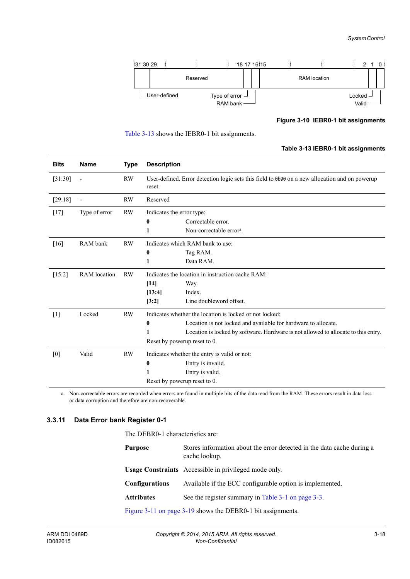

**Figure 3-10 IEBR0-1 bit assignments**

<span id="page-53-2"></span>

### **Table 3-13 IEBR0-1 bit assignments**

<span id="page-53-1"></span>

| <b>Bits</b> | <b>Name</b>              | <b>Type</b> | <b>Description</b>        |                                                                                                |
|-------------|--------------------------|-------------|---------------------------|------------------------------------------------------------------------------------------------|
| [31:30]     | $\overline{\phantom{a}}$ | <b>RW</b>   | reset.                    | User-defined. Error detection logic sets this field to 0b00 on a new allocation and on powerup |
| [29:18]     |                          | <b>RW</b>   | Reserved                  |                                                                                                |
| $[17]$      | Type of error            | <b>RW</b>   | Indicates the error type: |                                                                                                |
|             |                          |             | 0                         | Correctable error.                                                                             |
|             |                          |             | 1                         | Non-correctable error <sup>a</sup> .                                                           |
| [16]        | RAM bank                 | <b>RW</b>   |                           | Indicates which RAM bank to use:                                                               |
|             |                          |             | 0                         | Tag RAM.                                                                                       |
|             |                          |             | 1                         | Data RAM.                                                                                      |
| $[15:2]$    | <b>RAM</b> location      | <b>RW</b>   |                           | Indicates the location in instruction cache RAM:                                               |
|             |                          |             | [14]                      | Way.                                                                                           |
|             |                          |             | [13:4]                    | Index.                                                                                         |
|             |                          |             | [3:2]                     | Line doubleword offset.                                                                        |
| $[1]$       | Locked                   | <b>RW</b>   |                           | Indicates whether the location is locked or not locked:                                        |
|             |                          |             | 0                         | Location is not locked and available for hardware to allocate.                                 |
|             |                          |             | 1                         | Location is locked by software. Hardware is not allowed to allocate to this entry.             |
|             |                          |             |                           | Reset by powerup reset to 0.                                                                   |
| [0]         | Valid                    | <b>RW</b>   |                           | Indicates whether the entry is valid or not:                                                   |
|             |                          |             | $\bf{0}$                  | Entry is invalid.                                                                              |
|             |                          |             | 1                         | Entry is valid.                                                                                |
|             |                          |             |                           | Reset by powerup reset to 0.                                                                   |

a. Non-correctable errors are recorded when errors are found in multiple bits of the data read from the RAM. These errors result in data loss or data corruption and therefore are non-recoverable.

## <span id="page-53-0"></span>**3.3.11 Data Error bank Register 0-1**

The DEBR0-1 characteristics are:

| Purpose               | Stores information about the error detected in the data cache during a<br>cache lookup. |
|-----------------------|-----------------------------------------------------------------------------------------|
|                       | <b>Usage Constraints</b> Accessible in privileged mode only.                            |
| <b>Configurations</b> | Available if the ECC configurable option is implemented.                                |
| <b>Attributes</b>     | See the register summary in Table 3-1 on page 3-3.                                      |
|                       | Figure 3-11 on page 3-19 shows the DEBR0-1 bit assignments.                             |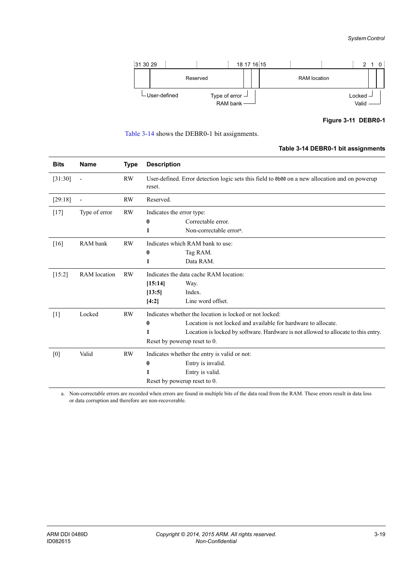

**Figure 3-11 DEBR0-1**

<span id="page-54-1"></span>

### **Table 3-14 DEBR0-1 bit assignments**

<span id="page-54-0"></span>

| <b>Bits</b> | <b>Name</b>              | <b>Type</b> | <b>Description</b>        |                                                                                                |
|-------------|--------------------------|-------------|---------------------------|------------------------------------------------------------------------------------------------|
| [31:30]     | $\overline{\phantom{a}}$ | <b>RW</b>   | reset.                    | User-defined. Error detection logic sets this field to 0b00 on a new allocation and on powerup |
| [29:18]     |                          | <b>RW</b>   | Reserved.                 |                                                                                                |
| $[17]$      | Type of error            | <b>RW</b>   | Indicates the error type: |                                                                                                |
|             |                          |             | $\bf{0}$                  | Correctable error.                                                                             |
|             |                          |             | 1                         | Non-correctable error <sup>a</sup> .                                                           |
| [16]        | RAM bank                 | <b>RW</b>   |                           | Indicates which RAM bank to use:                                                               |
|             |                          |             | $\bf{0}$                  | Tag RAM.                                                                                       |
|             |                          |             | 1                         | Data RAM.                                                                                      |
| $[15:2]$    | <b>RAM</b> location      | <b>RW</b>   |                           | Indicates the data cache RAM location:                                                         |
|             |                          |             | [15:14]                   | Way.                                                                                           |
|             |                          |             | [13:5]                    | Index.                                                                                         |
|             |                          |             | [4:2]                     | Line word offset.                                                                              |
| $[1]$       | Locked                   | <b>RW</b>   |                           | Indicates whether the location is locked or not locked:                                        |
|             |                          |             | 0                         | Location is not locked and available for hardware to allocate.                                 |
|             |                          |             | 1                         | Location is locked by software. Hardware is not allowed to allocate to this entry.             |
|             |                          |             |                           | Reset by powerup reset to 0.                                                                   |
| [0]         | Valid                    | <b>RW</b>   |                           | Indicates whether the entry is valid or not:                                                   |
|             |                          |             | 0                         | Entry is invalid.                                                                              |
|             |                          |             | 1                         | Entry is valid.                                                                                |
|             |                          |             |                           | Reset by powerup reset to 0.                                                                   |

a. Non-correctable errors are recorded when errors are found in multiple bits of the data read from the RAM. These errors result in data loss or data corruption and therefore are non-recoverable.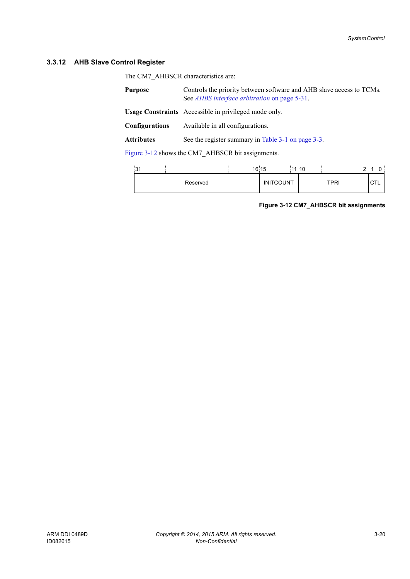## <span id="page-55-0"></span>**3.3.12 AHB Slave Control Register**

The CM7\_AHBSCR characteristics are:

| <b>Purpose</b>        | Controls the priority between software and AHB slave access to TCMs.<br>See <i>AHBS</i> interface arbitration on page 5-31. |
|-----------------------|-----------------------------------------------------------------------------------------------------------------------------|
|                       | <b>Usage Constraints</b> Accessible in privileged mode only.                                                                |
| <b>Configurations</b> | Available in all configurations.                                                                                            |
| <b>Attributes</b>     | See the register summary in Table 3-1 on page 3-3.                                                                          |

[Figure 3-12](#page-55-1) shows the CM7\_AHBSCR bit assignments.

<span id="page-55-1"></span>

| n.<br>ا دب |          | 16 15 |                  | 11 10 |      | ົ |   |  |
|------------|----------|-------|------------------|-------|------|---|---|--|
|            | Reserved |       | <b>INITCOUNT</b> |       | TPRI |   | ◡ |  |

**Figure 3-12 CM7\_AHBSCR bit assignments**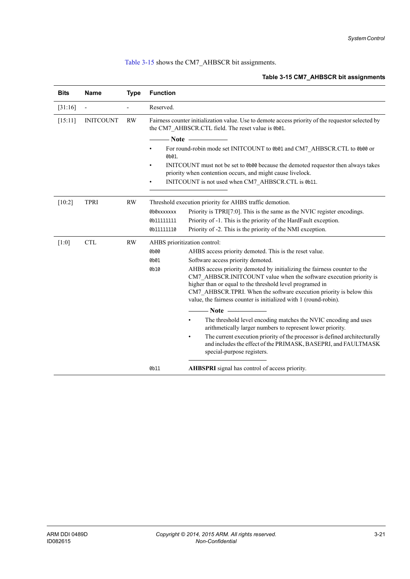## <span id="page-56-0"></span>[Table 3-15](#page-56-0) shows the CM7\_AHBSCR bit assignments.

## **Table 3-15 CM7\_AHBSCR bit assignments**

| <b>Bits</b> | <b>Name</b>              | <b>Type</b> | <b>Function</b> |                                                                                                                                                                                                                                                                                                                                                       |
|-------------|--------------------------|-------------|-----------------|-------------------------------------------------------------------------------------------------------------------------------------------------------------------------------------------------------------------------------------------------------------------------------------------------------------------------------------------------------|
| [31:16]     | $\overline{\phantom{a}}$ |             | Reserved.       |                                                                                                                                                                                                                                                                                                                                                       |
| [15:11]     | <b>INITCOUNT</b>         | <b>RW</b>   |                 | Fairness counter initialization value. Use to demote access priority of the requestor selected by<br>the CM7 AHBSCR.CTL field. The reset value is 0b01.                                                                                                                                                                                               |
|             |                          |             |                 | $\longrightarrow$ Note $\longrightarrow$                                                                                                                                                                                                                                                                                                              |
|             |                          |             | 0b01.           | For round-robin mode set INITCOUNT to 0b01 and CM7 AHBSCR.CTL to 0b00 or                                                                                                                                                                                                                                                                              |
|             |                          |             | ٠               | INITCOUNT must not be set to 0b00 because the demoted requestor then always takes<br>priority when contention occurs, and might cause livelock.                                                                                                                                                                                                       |
|             |                          |             |                 | INITCOUNT is not used when CM7 AHBSCR.CTL is 0b11.                                                                                                                                                                                                                                                                                                    |
| $[10:2]$    | <b>TPRI</b>              | <b>RW</b>   |                 | Threshold execution priority for AHBS traffic demotion.                                                                                                                                                                                                                                                                                               |
|             |                          |             | 0b0xxxxxxx      | Priority is TPRI[7:0]. This is the same as the NVIC register encodings.                                                                                                                                                                                                                                                                               |
|             |                          |             | 0b111111111     | Priority of -1. This is the priority of the HardFault exception.                                                                                                                                                                                                                                                                                      |
|             |                          |             | 0b111111110     | Priority of -2. This is the priority of the NMI exception.                                                                                                                                                                                                                                                                                            |
| [1:0]       | <b>CTL</b>               | RW          |                 | AHBS prioritization control:                                                                                                                                                                                                                                                                                                                          |
|             |                          |             | 0b00            | AHBS access priority demoted. This is the reset value.                                                                                                                                                                                                                                                                                                |
|             |                          |             | 0b01            | Software access priority demoted.                                                                                                                                                                                                                                                                                                                     |
|             |                          |             | 0b10            | AHBS access priority demoted by initializing the fairness counter to the<br>CM7 AHBSCR.INITCOUNT value when the software execution priority is<br>higher than or equal to the threshold level programed in<br>CM7 AHBSCR.TPRI. When the software execution priority is below this<br>value, the fairness counter is initialized with 1 (round-robin). |
|             |                          |             |                 | $- Note$                                                                                                                                                                                                                                                                                                                                              |
|             |                          |             |                 | The threshold level encoding matches the NVIC encoding and uses<br>٠<br>arithmetically larger numbers to represent lower priority.                                                                                                                                                                                                                    |
|             |                          |             |                 | The current execution priority of the processor is defined architecturally<br>٠<br>and includes the effect of the PRIMASK, BASEPRI, and FAULTMASK<br>special-purpose registers.                                                                                                                                                                       |
|             |                          |             | 0b11            | AHBSPRI signal has control of access priority.                                                                                                                                                                                                                                                                                                        |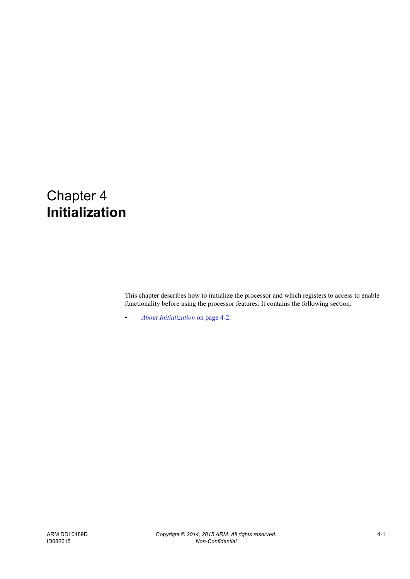# Chapter 4 **Initialization**

This chapter describes how to initialize the processor and which registers to access to enable functionality before using the processor features. It contains the following section:

• *[About Initialization](#page-58-0)* on page 4-2.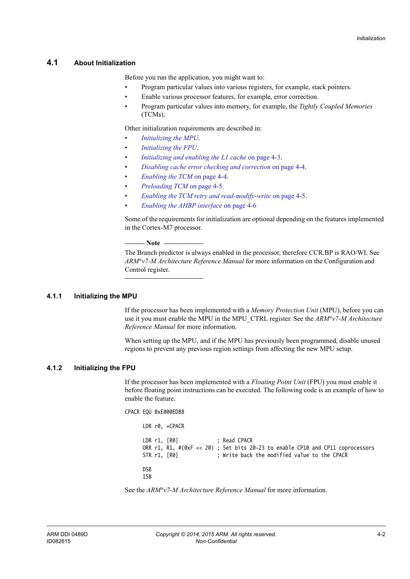## <span id="page-58-0"></span>**4.1 About Initialization**

Before you run the application, you might want to:

- Program particular values into various registers, for example, stack pointers.
- Enable various processor features, for example, error correction.
- Program particular values into memory, for example, the *Tightly Coupled Memories* (TCMs).

Other initialization requirements are described in:

- *[Initializing the MPU](#page-58-1)*.
- *[Initializing the FPU](#page-58-2)*.
- *[Initializing and enabling the L1 cache](#page-59-0)* on page 4-3.
- *[Disabling cache error checking and correction](#page-60-0)* on page 4-4.
- *[Enabling the TCM](#page-60-1)* on page 4-4.
- *[Preloading TCM](#page-61-0)* on page 4-5.
- *[Enabling the TCM retry and read-modify-write](#page-61-1)* on page 4-5.
- *[Enabling the AHBP interface](#page-62-0)* on page 4-6

Some of the requirements for initialization are optional depending on the features implemented in the Cortex-M7 processor.

**Note**

 The Branch predictor is always enabled in the processor, therefore CCR.BP is RAO/WI. See *ARM®v7-M Architecture Reference Manual* for more information on the Configuration and Control register.

## <span id="page-58-1"></span>**4.1.1 Initializing the MPU**

If the processor has been implemented with a *Memory Protection Unit* (MPU), before you can use it you must enable the MPU in the MPU\_CTRL register. See the *ARM®v7-M Architecture Reference Manual* for more information.

When setting up the MPU, and if the MPU has previously been programmed, disable unused regions to prevent any previous region settings from affecting the new MPU setup.

## <span id="page-58-2"></span>**4.1.2 Initializing the FPU**

If the processor has been implemented with a *Floating Point Unit* (FPU) you must enable it before floating point instructions can be executed. The following code is an example of how to enable the feature.

CPACR EQU 0xE000ED88

LDR r0, =CPACR LDR r1, [R0] ; Read CPACR ORR r1, R1, #(0xF << 20) ; Set bits 20-23 to enable CP10 and CP11 coprocessors STR r1, [R0] ; Write back the modified value to the CPACR DSB ISB

See the *ARM®v7-M Architecture Reference Manual* for more information.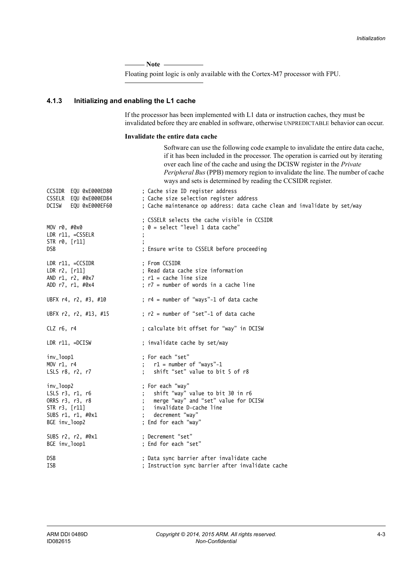- Note ——

Floating point logic is only available with the Cortex-M7 processor with FPU.

## <span id="page-59-0"></span>**4.1.3 Initializing and enabling the L1 cache**

If the processor has been implemented with L1 data or instruction caches, they must be invalidated before they are enabled in software, otherwise UNPREDICTABLE behavior can occur.

#### **Invalidate the entire data cache**

Software can use the following code example to invalidate the entire data cache, if it has been included in the processor. The operation is carried out by iterating over each line of the cache and using the DCISW register in the *Private Peripheral Bus* (PPB) memory region to invalidate the line. The number of cache ways and sets is determined by reading the CCSIDR register.

|                                                                                                                | $m$ and sets to determined by reading the existing register.                                                                                                         |
|----------------------------------------------------------------------------------------------------------------|----------------------------------------------------------------------------------------------------------------------------------------------------------------------|
| CCSIDR EQU 0xE000ED80<br>CSSELR EQU 0xE000ED84<br>DCISW<br>EQU 0xE000EF60                                      | ; Cache size ID register address<br>; Cache size selection register address<br>; Cache maintenance op address: data cache clean and invalidate by set/way            |
| MOV r0, #0x0<br>LDR r11, =CSSELR<br>STR r0, [r11]<br><b>DSB</b>                                                | : CSSELR selects the cache visible in CCSIDR<br>; 0 = select "level 1 data cache"<br>; Ensure write to CSSELR before proceeding                                      |
| $LDR r11, =CCSIDR$<br>LDR r2, [r11]<br>AND r1, r2, #0x7<br>ADD r7, r1, #0x4                                    | : From CCSIDR<br>; Read data cache size information<br>$: r1 = cache line size$<br>; r7 = number of words in a cache line                                            |
| UBFX r4, r2, #3, #10                                                                                           | ; r4 = number of "ways"-1 of data cache                                                                                                                              |
| UBFX r2, r2, #13, #15                                                                                          | ; r2 = number of "set"-1 of data cache                                                                                                                               |
| CLZ r6, r4                                                                                                     | ; calculate bit offset for "way" in DCISW                                                                                                                            |
| LDR $r11$ , =DCISW                                                                                             | ; invalidate cache by set/way                                                                                                                                        |
| inv_loop1<br>MOV r1, r4<br>LSLS r8, r2, r7                                                                     | ; For each "set"<br>; $r1 =$ number of "ways"-1<br>shift "set" value to bit 5 of r8                                                                                  |
| inv_loop2<br>LSLS $r3$ , $r1$ , $r6$<br>ORRS r3, r3, r8<br>STR r3, [r11]<br>SUBS r1, r1, #0x1<br>BGE inv_loop2 | ; For each "way"<br>shift "way" value to bit 30 in r6<br>merge "way" and "set" value for DCISW<br>invalidate D-cache line<br>decrement "way"<br>; End for each "way" |
| SUBS r2, r2, #0x1<br>BGE inv_loop1                                                                             | : Decrement "set"<br>; End for each "set"                                                                                                                            |
| <b>DSB</b><br><b>ISB</b>                                                                                       | ; Data sync barrier after invalidate cache<br>; Instruction sync barrier after invalidate cache                                                                      |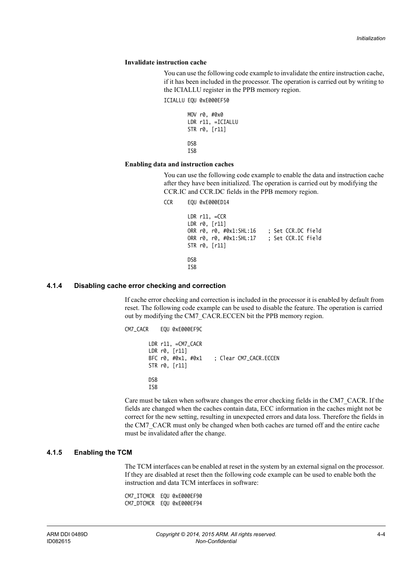#### **Invalidate instruction cache**

You can use the following code example to invalidate the entire instruction cache, if it has been included in the processor. The operation is carried out by writing to the ICIALLU register in the PPB memory region.

ICIALLU EQU 0xE000EF50

MOV r0, #0x0 LDR r11, =ICIALLU STR r0, [r11] DSB **TSB** 

#### **Enabling data and instruction caches**

You can use the following code example to enable the data and instruction cache after they have been initialized. The operation is carried out by modifying the CCR.IC and CCR.DC fields in the PPB memory region.

CCR EQU 0xE000ED14 LDR r11, =CCR LDR r0, [r11] ORR r0, r0, #0x1:SHL:16 ; Set CCR.DC field ORR r0, r0, #0x1:SHL:17 ; Set CCR.IC field STR r0, [r11] DSB ISB

### <span id="page-60-0"></span>**4.1.4 Disabling cache error checking and correction**

If cache error checking and correction is included in the processor it is enabled by default from reset. The following code example can be used to disable the feature. The operation is carried out by modifying the CM7\_CACR.ECCEN bit the PPB memory region.

CM7\_CACR EQU 0xE000EF9C LDR r11, =CM7\_CACR LDR r0, [r11] BFC r0, #0x1, #0x1 ; Clear CM7\_CACR.ECCEN STR r0, [r11] DSB ISB

Care must be taken when software changes the error checking fields in the CM7\_CACR. If the fields are changed when the caches contain data, ECC information in the caches might not be correct for the new setting, resulting in unexpected errors and data loss. Therefore the fields in the CM7\_CACR must only be changed when both caches are turned off and the entire cache must be invalidated after the change.

## <span id="page-60-1"></span>**4.1.5 Enabling the TCM**

The TCM interfaces can be enabled at reset in the system by an external signal on the processor. If they are disabled at reset then the following code example can be used to enable both the instruction and data TCM interfaces in software:

CM7\_ITCMCR EQU 0xE000EF90 CM7\_DTCMCR EQU 0xE000EF94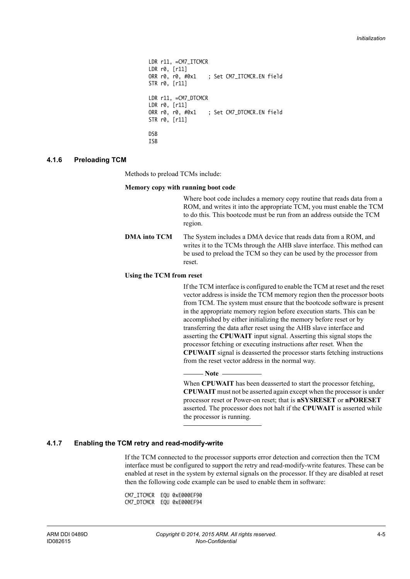```
LDR r11, =CM7_ITCMCR
LDR r0, [r11]
ORR r0, r0, #0x1 ; Set CM7_ITCMCR.EN field
STR r0, [r11]
LDR r11, =CM7_DTCMCR
LDR r0, [r11]
ORR r0, r0, #0x1 ; Set CM7_DTCMCR.EN field
STR r0, [r11]
DSB
ISB
```
#### <span id="page-61-0"></span>**4.1.6 Preloading TCM**

Methods to preload TCMs include:

#### **Memory copy with running boot code**

Where boot code includes a memory copy routine that reads data from a ROM, and writes it into the appropriate TCM, you must enable the TCM to do this. This bootcode must be run from an address outside the TCM region.

**DMA into TCM** The System includes a DMA device that reads data from a ROM, and writes it to the TCMs through the AHB slave interface. This method can be used to preload the TCM so they can be used by the processor from reset.

#### **Using the TCM from reset**

If the TCM interface is configured to enable the TCM at reset and the reset vector address is inside the TCM memory region then the processor boots from TCM. The system must ensure that the bootcode software is present in the appropriate memory region before execution starts. This can be accomplished by either initializing the memory before reset or by transferring the data after reset using the AHB slave interface and asserting the **CPUWAIT** input signal. Asserting this signal stops the processor fetching or executing instructions after reset. When the **CPUWAIT** signal is deasserted the processor starts fetching instructions from the reset vector address in the normal way.

— Note —

When **CPUWAIT** has been deasserted to start the processor fetching, **CPUWAIT** must not be asserted again except when the processor is under processor reset or Power-on reset; that is **nSYSRESET** or **nPORESET** asserted. The processor does not halt if the **CPUWAIT** is asserted while the processor is running.

#### <span id="page-61-1"></span>**4.1.7 Enabling the TCM retry and read-modify-write**

If the TCM connected to the processor supports error detection and correction then the TCM interface must be configured to support the retry and read-modify-write features. These can be enabled at reset in the system by external signals on the processor. If they are disabled at reset then the following code example can be used to enable them in software:

CM7\_ITCMCR EQU 0xE000EF90 CM7\_DTCMCR EQU 0xE000EF94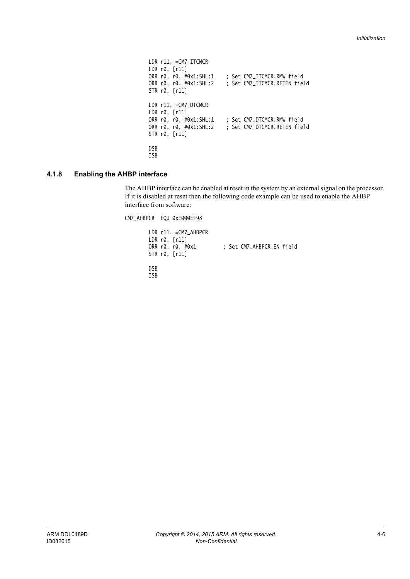```
LDR r11, =CM7_ITCMCR
LDR r0, [r11]
ORR r0, r0, #0x1:SHL:1 ; Set CM7_ITCMCR.RMW field
ORR r0, r0, #0x1:SHL:2 ; Set CM7_ITCMCR.RETEN field
STR r0, [r11]
LDR r11, =CM7_DTCMCR
LDR r0, [r11]
ORR r0, r0, #0x1:SHL:1 ; Set CM7_DTCMCR.RMW field
ORR r0, r0, #0x1:SHL:2 ; Set CM7_DTCMCR.RETEN field
STR r0, [r11]
DSB
ISB
```
## <span id="page-62-0"></span>**4.1.8 Enabling the AHBP interface**

The AHBP interface can be enabled at reset in the system by an external signal on the processor. If it is disabled at reset then the following code example can be used to enable the AHBP interface from software:

CM7\_AHBPCR EQU 0xE000EF98

| $LDR r11, = CM7_AHBPCR$<br>LDR r0, [r11]<br>ORR r0, r0, #0x1<br>STR r0, [r11] | : Set CM7_AHBPCR.EN field |
|-------------------------------------------------------------------------------|---------------------------|
| <b>DSB</b><br>TCR                                                             |                           |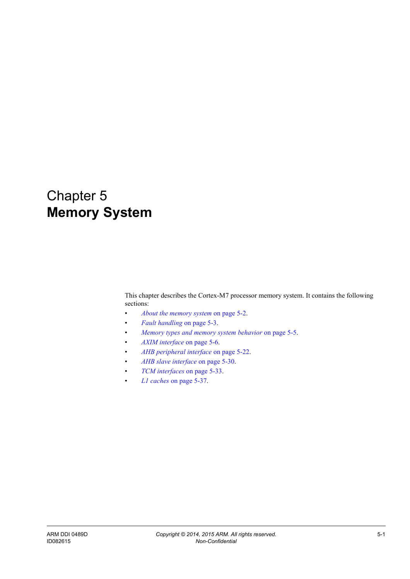# Chapter 5 **Memory System**

This chapter describes the Cortex-M7 processor memory system. It contains the following sections:

- *[About the memory system](#page-64-0)* on page 5-2.
- *[Fault handling](#page-65-0)* on page 5-3.
- *[Memory types and memory system behavior](#page-67-0)* on page 5-5.
- *[AXIM interface](#page-68-0)* on page 5-6.
- *[AHB peripheral interface](#page-84-0)* on page 5-22.
- *[AHB slave interface](#page-92-0)* on page 5-30.
- *[TCM interfaces](#page-95-0)* on page 5-33.
- *L1 caches* [on page 5-37](#page-99-0).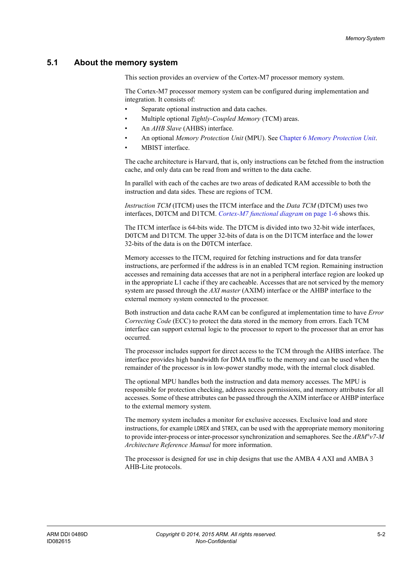## <span id="page-64-0"></span>**5.1 About the memory system**

This section provides an overview of the Cortex-M7 processor memory system.

The Cortex-M7 processor memory system can be configured during implementation and integration. It consists of:

- Separate optional instruction and data caches.
- Multiple optional *Tightly-Coupled Memory* (TCM) areas.
- An *AHB Slave* (AHBS) interface.
- An optional *Memory Protection Unit* (MPU). See Chapter 6 *[Memory Protection Unit](#page-103-0)*.
- MBIST interface.

The cache architecture is Harvard, that is, only instructions can be fetched from the instruction cache, and only data can be read from and written to the data cache.

In parallel with each of the caches are two areas of dedicated RAM accessible to both the instruction and data sides. These are regions of TCM.

*Instruction TCM* (ITCM) uses the ITCM interface and the *Data TCM* (DTCM) uses two interfaces, D0TCM and D1TCM. *[Cortex-M7 functional diagram](#page-16-0)* on page 1-6 shows this.

The ITCM interface is 64-bits wide. The DTCM is divided into two 32-bit wide interfaces, D0TCM and D1TCM. The upper 32-bits of data is on the D1TCM interface and the lower 32-bits of the data is on the D0TCM interface.

Memory accesses to the ITCM, required for fetching instructions and for data transfer instructions, are performed if the address is in an enabled TCM region. Remaining instruction accesses and remaining data accesses that are not in a peripheral interface region are looked up in the appropriate L1 cache if they are cacheable. Accesses that are not serviced by the memory system are passed through the *AXI master* (AXIM) interface or the AHBP interface to the external memory system connected to the processor.

Both instruction and data cache RAM can be configured at implementation time to have *Error Correcting Code* (ECC) to protect the data stored in the memory from errors. Each TCM interface can support external logic to the processor to report to the processor that an error has occurred.

The processor includes support for direct access to the TCM through the AHBS interface. The interface provides high bandwidth for DMA traffic to the memory and can be used when the remainder of the processor is in low-power standby mode, with the internal clock disabled.

The optional MPU handles both the instruction and data memory accesses. The MPU is responsible for protection checking, address access permissions, and memory attributes for all accesses. Some of these attributes can be passed through the AXIM interface or AHBP interface to the external memory system.

The memory system includes a monitor for exclusive accesses. Exclusive load and store instructions, for example LDREX and STREX, can be used with the appropriate memory monitoring to provide inter-process or inter-processor synchronization and semaphores. See the *ARM®v7-M Architecture Reference Manual* for more information.

The processor is designed for use in chip designs that use the AMBA 4 AXI and AMBA 3 AHB-Lite protocols.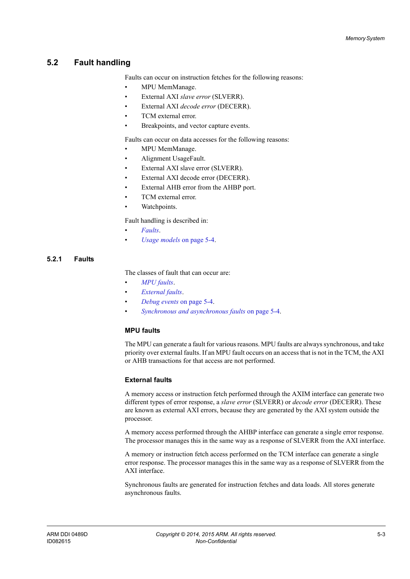# <span id="page-65-0"></span>**5.2 Fault handling**

Faults can occur on instruction fetches for the following reasons:

- MPU MemManage.
- External AXI *slave error* (SLVERR).
- External AXI *decode error* (DECERR).
- TCM external error.
- Breakpoints, and vector capture events.

Faults can occur on data accesses for the following reasons:

- MPU MemManage.
- Alignment UsageFault.
- External AXI slave error (SLVERR).
- External AXI decode error (DECERR).
- External AHB error from the AHBP port.
- TCM external error.
- Watchpoints.

Fault handling is described in:

- *[Faults](#page-65-1)*.
- *[Usage models](#page-66-0)* on page 5-4.

## <span id="page-65-1"></span>**5.2.1 Faults**

The classes of fault that can occur are:

- *[MPU faults](#page-65-2)*.
- *[External faults](#page-65-3)*.
- *[Debug events](#page-66-1)* on page 5-4.
- *[Synchronous and asynchronous faults](#page-66-2)* on page 5-4.

## <span id="page-65-2"></span>**MPU faults**

The MPU can generate a fault for various reasons. MPU faults are always synchronous, and take priority over external faults. If an MPU fault occurs on an access that is not in the TCM, the AXI or AHB transactions for that access are not performed.

## <span id="page-65-3"></span>**External faults**

A memory access or instruction fetch performed through the AXIM interface can generate two different types of error response, a *slave error* (SLVERR) or *decode error* (DECERR). These are known as external AXI errors, because they are generated by the AXI system outside the processor.

A memory access performed through the AHBP interface can generate a single error response. The processor manages this in the same way as a response of SLVERR from the AXI interface.

A memory or instruction fetch access performed on the TCM interface can generate a single error response. The processor manages this in the same way as a response of SLVERR from the AXI interface.

Synchronous faults are generated for instruction fetches and data loads. All stores generate asynchronous faults.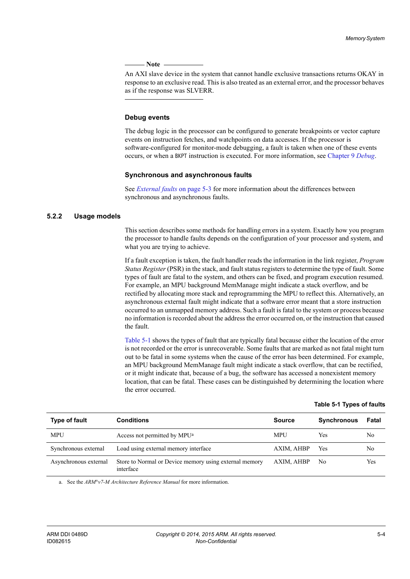**Note**

 An AXI slave device in the system that cannot handle exclusive transactions returns OKAY in response to an exclusive read. This is also treated as an external error, and the processor behaves as if the response was SLVERR.

#### <span id="page-66-1"></span>**Debug events**

The debug logic in the processor can be configured to generate breakpoints or vector capture events on instruction fetches, and watchpoints on data accesses. If the processor is software-configured for monitor-mode debugging, a fault is taken when one of these events occurs, or when a BKPT instruction is executed. For more information, see [Chapter 9](#page-117-0) *Debug*.

#### <span id="page-66-2"></span>**Synchronous and asynchronous faults**

See *[External faults](#page-65-3)* on page 5-3 for more information about the differences between synchronous and asynchronous faults.

## <span id="page-66-0"></span>**5.2.2 Usage models**

This section describes some methods for handling errors in a system. Exactly how you program the processor to handle faults depends on the configuration of your processor and system, and what you are trying to achieve.

If a fault exception is taken, the fault handler reads the information in the link register, *Program Status Register* (PSR) in the stack, and fault status registers to determine the type of fault. Some types of fault are fatal to the system, and others can be fixed, and program execution resumed. For example, an MPU background MemManage might indicate a stack overflow, and be rectified by allocating more stack and reprogramming the MPU to reflect this. Alternatively, an asynchronous external fault might indicate that a software error meant that a store instruction occurred to an unmapped memory address. Such a fault is fatal to the system or process because no information is recorded about the address the error occurred on, or the instruction that caused the fault.

<span id="page-66-3"></span>[Table 5-1](#page-66-3) shows the types of fault that are typically fatal because either the location of the error is not recorded or the error is unrecoverable. Some faults that are marked as not fatal might turn out to be fatal in some systems when the cause of the error has been determined. For example, an MPU background MemManage fault might indicate a stack overflow, that can be rectified, or it might indicate that, because of a bug, the software has accessed a nonexistent memory location, that can be fatal. These cases can be distinguished by determining the location where the error occurred.

| Type of fault         | <b>Conditions</b>                                                   | <b>Source</b> | <b>Synchronous</b> | Fatal |
|-----------------------|---------------------------------------------------------------------|---------------|--------------------|-------|
| <b>MPU</b>            | Access not permitted by MPU <sup>a</sup>                            | <b>MPU</b>    | Yes                | No    |
| Synchronous external  | Load using external memory interface                                | AXIM, AHBP    | Yes                | No    |
| Asynchronous external | Store to Normal or Device memory using external memory<br>interface | AXIM, AHBP    | No                 | Yes   |

**Table 5-1 Types of faults**

a. See the *ARM®v7-M Architecture Reference Manual* for more information.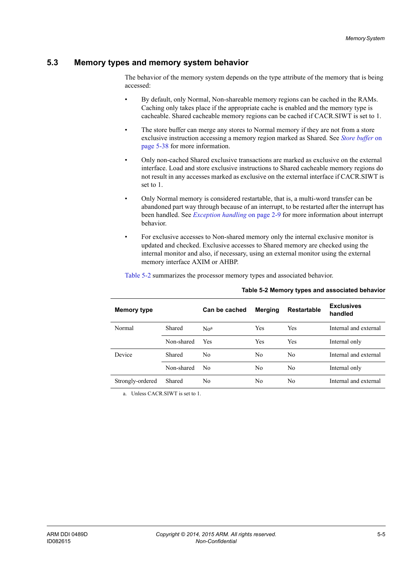## <span id="page-67-0"></span>**5.3 Memory types and memory system behavior**

The behavior of the memory system depends on the type attribute of the memory that is being accessed:

- By default, only Normal, Non-shareable memory regions can be cached in the RAMs. Caching only takes place if the appropriate cache is enabled and the memory type is cacheable. Shared cacheable memory regions can be cached if CACR.SIWT is set to 1.
- The store buffer can merge any stores to Normal memory if they are not from a store exclusive instruction accessing a memory region marked as Shared. See *[Store buffer](#page-100-0)* on [page 5-38](#page-100-0) for more information.
- Only non-cached Shared exclusive transactions are marked as exclusive on the external interface. Load and store exclusive instructions to Shared cacheable memory regions do not result in any accesses marked as exclusive on the external interface if CACR.SIWT is set to 1.
- Only Normal memory is considered restartable, that is, a multi-word transfer can be abandoned part way through because of an interrupt, to be restarted after the interrupt has been handled. See *[Exception handling](#page-35-0)* on page 2-9 for more information about interrupt behavior.
- For exclusive accesses to Non-shared memory only the internal exclusive monitor is updated and checked. Exclusive accesses to Shared memory are checked using the internal monitor and also, if necessary, using an external monitor using the external memory interface AXIM or AHBP.

<span id="page-67-1"></span>

| Table 5-2 summarizes the processor memory types and associated behavior. |  |
|--------------------------------------------------------------------------|--|
|                                                                          |  |

| <b>Memory type</b> |            | Can be cached   | <b>Merging</b> | <b>Restartable</b> | <b>Exclusives</b><br>handled |
|--------------------|------------|-----------------|----------------|--------------------|------------------------------|
| Normal             | Shared     | No <sup>a</sup> | <b>Yes</b>     | Yes                | Internal and external        |
|                    | Non-shared | Yes             | <b>Yes</b>     | Yes                | Internal only                |
| Device             | Shared     | No.             | No.            | N <sub>0</sub>     | Internal and external        |
|                    | Non-shared | No              | No             | No                 | Internal only                |
| Strongly-ordered   | Shared     | No              | No             | No                 | Internal and external        |

**Table 5-2 Memory types and associated behavior**

a. Unless CACR.SIWT is set to 1.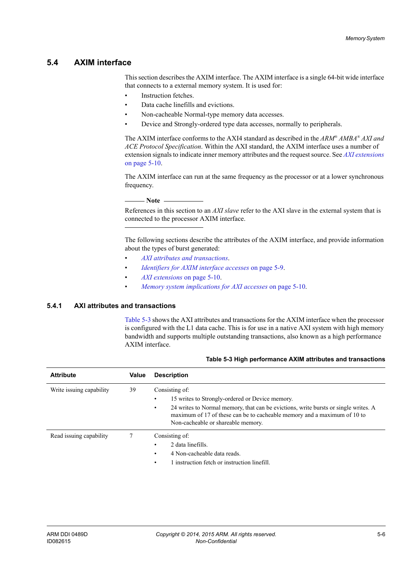## <span id="page-68-0"></span>**5.4 AXIM interface**

This section describes the AXIM interface. The AXIM interface is a single 64-bit wide interface that connects to a external memory system. It is used for:

- Instruction fetches.
- Data cache linefills and evictions.
- Non-cacheable Normal-type memory data accesses.
- Device and Strongly-ordered type data accesses, normally to peripherals.

The AXIM interface conforms to the AXI4 standard as described in the *ARM® AMBA® AXI and ACE Protocol Specification*. Within the AXI standard, the AXIM interface uses a number of extension signals to indicate inner memory attributes and the request source. See *[AXI extensions](#page-72-0)* [on page 5-10.](#page-72-0)

The AXIM interface can run at the same frequency as the processor or at a lower synchronous frequency.

**Note**

 References in this section to an *AXI slave* refer to the AXI slave in the external system that is connected to the processor AXIM interface.

The following sections describe the attributes of the AXIM interface, and provide information about the types of burst generated:

- *[AXI attributes and transactions](#page-68-1)*.
- *[Identifiers for AXIM interface accesses](#page-71-0)* on page 5-9.
- *[AXI extensions](#page-72-0)* on page 5-10.
- *[Memory system implications for AXI accesses](#page-72-1)* on page 5-10.

## <span id="page-68-1"></span>**5.4.1 AXI attributes and transactions**

<span id="page-68-2"></span>[Table 5-3](#page-68-2) shows the AXI attributes and transactions for the AXIM interface when the processor is configured with the L1 data cache. This is for use in a native AXI system with high memory bandwidth and supports multiple outstanding transactions, also known as a high performance AXIM interface.

| <b>Attribute</b>         | Value | <b>Description</b>                                                                                                                                                                                                                                                              |  |
|--------------------------|-------|---------------------------------------------------------------------------------------------------------------------------------------------------------------------------------------------------------------------------------------------------------------------------------|--|
| Write issuing capability | 39    | Consisting of:<br>15 writes to Strongly-ordered or Device memory.<br>24 writes to Normal memory, that can be evictions, write bursts or single writes. A<br>٠<br>maximum of 17 of these can be to cacheable memory and a maximum of 10 to<br>Non-cacheable or shareable memory. |  |
| Read issuing capability  |       | Consisting of:<br>2 data linefills.<br>٠<br>4 Non-cacheable data reads.<br>٠<br>l instruction fetch or instruction linefill.                                                                                                                                                    |  |

#### **Table 5-3 High performance AXIM attributes and transactions**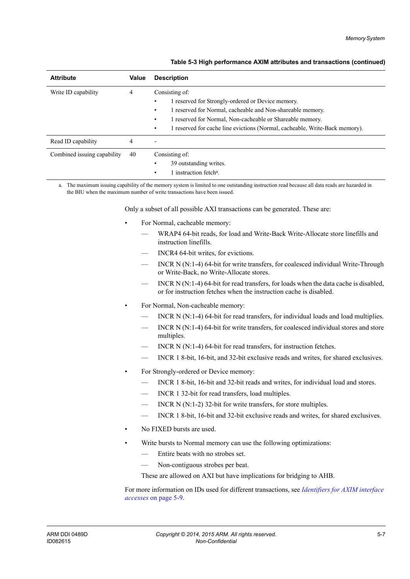| <b>Attribute</b>            | Value | <b>Description</b>                                                                                                                                                                                                                                                                           |
|-----------------------------|-------|----------------------------------------------------------------------------------------------------------------------------------------------------------------------------------------------------------------------------------------------------------------------------------------------|
| Write ID capability         | 4     | Consisting of:<br>1 reserved for Strongly-ordered or Device memory.<br>1 reserved for Normal, cacheable and Non-shareable memory.<br>٠<br>1 reserved for Normal, Non-cacheable or Shareable memory.<br>٠<br>1 reserved for cache line evictions (Normal, cacheable, Write-Back memory).<br>٠ |
| Read ID capability          | 4     | $\overline{\phantom{0}}$                                                                                                                                                                                                                                                                     |
| Combined issuing capability | 40    | Consisting of:<br>39 outstanding writes.<br>instruction fetch <sup>a</sup> .                                                                                                                                                                                                                 |

## **Table 5-3 High performance AXIM attributes and transactions (continued)**

a. The maximum issuing capability of the memory system is limited to one outstanding instruction read because all data reads are hazarded in the BIU when the maximum number of write transactions have been issued.

Only a subset of all possible AXI transactions can be generated. These are:

- For Normal, cacheable memory:
	- WRAP4 64-bit reads, for load and Write-Back Write-Allocate store linefills and instruction linefills.
	- INCR4 64-bit writes, for evictions.
	- INCR N (N:1-4) 64-bit for write transfers, for coalesced individual Write-Through or Write-Back, no Write-Allocate stores.
	- INCR N (N:1-4) 64-bit for read transfers, for loads when the data cache is disabled, or for instruction fetches when the instruction cache is disabled.
- For Normal, Non-cacheable memory:
	- INCR N (N:1-4) 64-bit for read transfers, for individual loads and load multiplies.
	- INCR N (N:1-4) 64-bit for write transfers, for coalesced individual stores and store multiples.
	- INCR  $N(N:1-4)$  64-bit for read transfers, for instruction fetches.
	- INCR 1 8-bit, 16-bit, and 32-bit exclusive reads and writes, for shared exclusives.
- For Strongly-ordered or Device memory:
	- INCR 1 8-bit, 16-bit and 32-bit reads and writes, for individual load and stores.
	- INCR 1 32-bit for read transfers, load multiples.
	- INCR N (N:1-2) 32-bit for write transfers, for store multiples.
	- INCR 1 8-bit, 16-bit and 32-bit exclusive reads and writes, for shared exclusives.
- No FIXED bursts are used.
- Write bursts to Normal memory can use the following optimizations:
	- Entire beats with no strobes set.
	- Non-contiguous strobes per beat.

These are allowed on AXI but have implications for bridging to AHB.

For more information on IDs used for different transactions, see *[Identifiers for AXIM interface](#page-71-0)  accesses* [on page 5-9.](#page-71-0)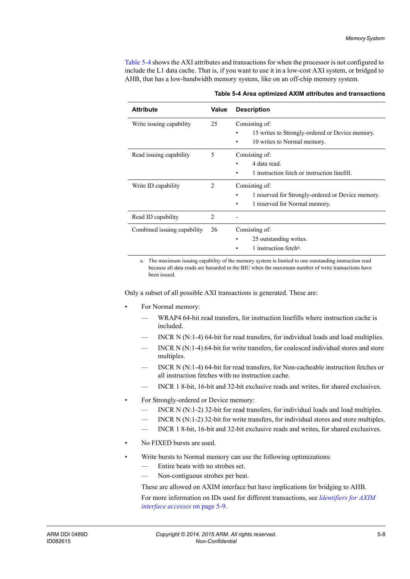<span id="page-70-0"></span>[Table 5-4](#page-70-0) shows the AXI attributes and transactions for when the processor is not configured to include the L1 data cache. That is, if you want to use it in a low-cost AXI system, or bridged to AHB, that has a low-bandwidth memory system, like on an off-chip memory system.

| <b>Attribute</b>            | Value          | <b>Description</b>                                                                                   |  |
|-----------------------------|----------------|------------------------------------------------------------------------------------------------------|--|
| Write issuing capability    | 25             | Consisting of:<br>15 writes to Strongly-ordered or Device memory.<br>10 writes to Normal memory.     |  |
| Read issuing capability     | 5              | Consisting of:<br>4 data read.<br>1 instruction fetch or instruction linefill.                       |  |
| Write ID capability         | 2              | Consisting of:<br>1 reserved for Strongly-ordered or Device memory.<br>1 reserved for Normal memory. |  |
| Read ID capability          | $\overline{2}$ |                                                                                                      |  |
| Combined issuing capability | 26             | Consisting of:<br>25 outstanding writes.<br>٠<br>1 instruction fetch <sup>a</sup> .                  |  |

#### **Table 5-4 Area optimized AXIM attributes and transactions**

a. The maximum issuing capability of the memory system is limited to one outstanding instruction read because all data reads are hazarded in the BIU when the maximum number of write transactions have been issued.

Only a subset of all possible AXI transactions is generated. These are:

- For Normal memory:
	- WRAP4 64-bit read transfers, for instruction linefills where instruction cache is included.
	- INCR N  $(N:1-4)$  64-bit for read transfers, for individual loads and load multiplies.
	- INCR  $N(N:1-4)$  64-bit for write transfers, for coalesced individual stores and store multiples.
	- INCR N (N:1-4) 64-bit for read transfers, for Non-cacheable instruction fetches or all instruction fetches with no instruction cache.
	- INCR 1 8-bit, 16-bit and 32-bit exclusive reads and writes, for shared exclusives.
- For Strongly-ordered or Device memory:
	- INCR N (N:1-2) 32-bit for read transfers, for individual loads and load multiples.
	- INCR N  $(N:1-2)$  32-bit for write transfers, for individual stores and store multiples.
	- INCR 1 8-bit, 16-bit and 32-bit exclusive reads and writes, for shared exclusives.
- No FIXED bursts are used.
- Write bursts to Normal memory can use the following optimizations:
	- Entire beats with no strobes set.
	- Non-contiguous strobes per beat.

These are allowed on AXIM interface but have implications for bridging to AHB.

For more information on IDs used for different transactions, see *[Identifiers for AXIM](#page-71-0)  [interface accesses](#page-71-0)* on page 5-9.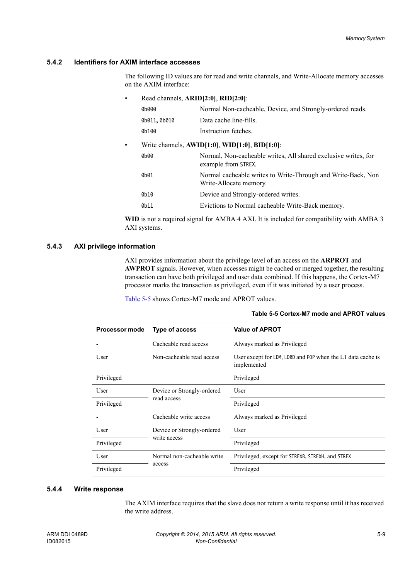## <span id="page-71-0"></span>**5.4.2 Identifiers for AXIM interface accesses**

The following ID values are for read and write channels, and Write-Allocate memory accesses on the AXIM interface:

| ٠                                                            | Read channels, ARID[2:0], RID[2:0]: |                                                                                        |  |  |  |  |  |
|--------------------------------------------------------------|-------------------------------------|----------------------------------------------------------------------------------------|--|--|--|--|--|
|                                                              | 0b000                               | Normal Non-cacheable, Device, and Strongly-ordered reads.                              |  |  |  |  |  |
|                                                              | 0b011,0b010                         | Data cache line-fills.                                                                 |  |  |  |  |  |
|                                                              | 0b100                               | Instruction fetches.                                                                   |  |  |  |  |  |
| Write channels, $AWID[1:0]$ , $WID[1:0]$ , $BID[1:0]$ :<br>٠ |                                     |                                                                                        |  |  |  |  |  |
|                                                              | 0b00                                | Normal, Non-cacheable writes, All shared exclusive writes, for<br>example from STREX.  |  |  |  |  |  |
|                                                              | 0b01                                | Normal cacheable writes to Write-Through and Write-Back, Non<br>Write-Allocate memory. |  |  |  |  |  |
|                                                              | 0b10                                | Device and Strongly-ordered writes.                                                    |  |  |  |  |  |
|                                                              | 0b11                                | Evictions to Normal cacheable Write-Back memory.                                       |  |  |  |  |  |
|                                                              |                                     |                                                                                        |  |  |  |  |  |

**WID** is not a required signal for AMBA 4 AXI. It is included for compatibility with AMBA 3 AXI systems.

## **5.4.3 AXI privilege information**

AXI provides information about the privilege level of an access on the **ARPROT** and **AWPROT** signals. However, when accesses might be cached or merged together, the resulting transaction can have both privileged and user data combined. If this happens, the Cortex-M7 processor marks the transaction as privileged, even if it was initiated by a user process.

<span id="page-71-1"></span>[Table 5-5](#page-71-1) shows Cortex-M7 mode and APROT values.

| <b>Processor mode</b> | <b>Type of access</b>      | <b>Value of APROT</b>                                                      |
|-----------------------|----------------------------|----------------------------------------------------------------------------|
|                       | Cacheable read access      | Always marked as Privileged                                                |
| User                  | Non-cacheable read access  | User except for LDM, LDRD and POP when the L1 data cache is<br>implemented |
| Privileged            |                            | Privileged                                                                 |
| User                  | Device or Strongly-ordered | User                                                                       |
| Privileged            | read access                | Privileged                                                                 |
|                       | Cacheable write access     | Always marked as Privileged                                                |
| User                  | Device or Strongly-ordered | User                                                                       |
| Privileged            | write access               | Privileged                                                                 |
| User                  | Normal non-cacheable write | Privileged, except for STREXB, STREXH, and STREX                           |
| Privileged            | access                     | Privileged                                                                 |

#### **Table 5-5 Cortex-M7 mode and APROT values**

#### **5.4.4 Write response**

The AXIM interface requires that the slave does not return a write response until it has received the write address.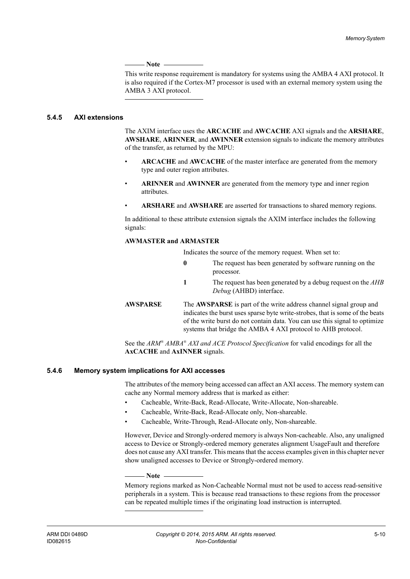**Note**

 This write response requirement is mandatory for systems using the AMBA 4 AXI protocol. It is also required if the Cortex-M7 processor is used with an external memory system using the AMBA 3 AXI protocol.

#### **5.4.5 AXI extensions**

The AXIM interface uses the **ARCACHE** and **AWCACHE** AXI signals and the **ARSHARE**, **AWSHARE**, **ARINNER**, and **AWINNER** extension signals to indicate the memory attributes of the transfer, as returned by the MPU:

- **ARCACHE** and **AWCACHE** of the master interface are generated from the memory type and outer region attributes.
- **ARINNER** and **AWINNER** are generated from the memory type and inner region attributes.
- **ARSHARE** and **AWSHARE** are asserted for transactions to shared memory regions.

In additional to these attribute extension signals the AXIM interface includes the following signals:

#### **AWMASTER and ARMASTER**

Indicates the source of the memory request. When set to:

**0** The request has been generated by software running on the processor. **1** The request has been generated by a debug request on the *AHB Debug* (AHBD) interface. **AWSPARSE** The **AWSPARSE** is part of the write address channel signal group and indicates the burst uses sparse byte write-strobes, that is some of the beats of the write burst do not contain data. You can use this signal to optimize systems that bridge the AMBA 4 AXI protocol to AHB protocol.

See the *ARM® AMBA® AXI and ACE Protocol Specification* for valid encodings for all the **AxCACHE** and **AxINNER** signals.

#### **5.4.6 Memory system implications for AXI accesses**

The attributes of the memory being accessed can affect an AXI access. The memory system can cache any Normal memory address that is marked as either:

- Cacheable, Write-Back, Read-Allocate, Write-Allocate, Non-shareable.
- Cacheable, Write-Back, Read-Allocate only, Non-shareable.
- Cacheable, Write-Through, Read-Allocate only, Non-shareable.

However, Device and Strongly-ordered memory is always Non-cacheable. Also, any unaligned access to Device or Strongly-ordered memory generates alignment UsageFault and therefore does not cause any AXI transfer. This means that the access examples given in this chapter never show unaligned accesses to Device or Strongly-ordered memory.

#### — Note —

 Memory regions marked as Non-Cacheable Normal must not be used to access read-sensitive peripherals in a system. This is because read transactions to these regions from the processor can be repeated multiple times if the originating load instruction is interrupted.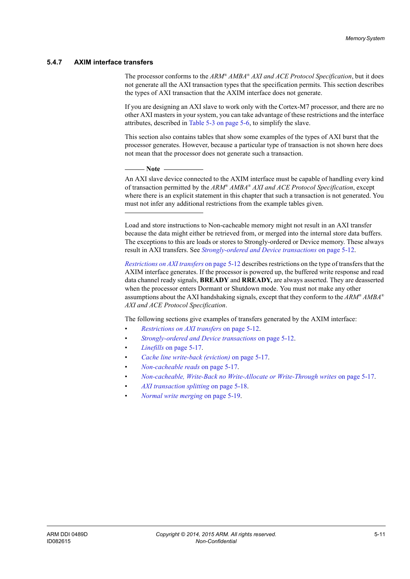#### **5.4.7 AXIM interface transfers**

The processor conforms to the *ARM® AMBA® AXI and ACE Protocol Specification*, but it does not generate all the AXI transaction types that the specification permits. This section describes the types of AXI transaction that the AXIM interface does not generate.

If you are designing an AXI slave to work only with the Cortex-M7 processor, and there are no other AXI masters in your system, you can take advantage of these restrictions and the interface attributes, described in [Table 5-3 on page 5-6](#page-68-0), to simplify the slave.

This section also contains tables that show some examples of the types of AXI burst that the processor generates. However, because a particular type of transaction is not shown here does not mean that the processor does not generate such a transaction.

 $-$  Note -

 An AXI slave device connected to the AXIM interface must be capable of handling every kind of transaction permitted by the *ARM® AMBA® AXI and ACE Protocol Specification*, except where there is an explicit statement in this chapter that such a transaction is not generated. You must not infer any additional restrictions from the example tables given.

Load and store instructions to Non-cacheable memory might not result in an AXI transfer because the data might either be retrieved from, or merged into the internal store data buffers. The exceptions to this are loads or stores to Strongly-ordered or Device memory. These always result in AXI transfers. See *[Strongly-ordered and Device transactions](#page-74-0)* on page 5-12.

*[Restrictions on AXI transfers](#page-74-1)* on page 5-12 describes restrictions on the type of transfers that the AXIM interface generates. If the processor is powered up, the buffered write response and read data channel ready signals, **BREADY** and **RREADY,** are always asserted. They are deasserted when the processor enters Dormant or Shutdown mode. You must not make any other assumptions about the AXI handshaking signals, except that they conform to the *ARM® AMBA® AXI and ACE Protocol Specification*.

The following sections give examples of transfers generated by the AXIM interface:

- *[Restrictions on AXI transfers](#page-74-1)* on page 5-12.
- *[Strongly-ordered and Device transactions](#page-74-0)* on page 5-12.
- *Linefills* [on page 5-17.](#page-79-0)
- *[Cache line write-back \(eviction\)](#page-79-1)* on page 5-17.
- *[Non-cacheable reads](#page-79-2)* on page 5-17.
- *[Non-cacheable, Write-Back no Write-Allocate or Write-Through writes](#page-79-3)* on page 5-17.
- *[AXI transaction splitting](#page-80-0)* on page 5-18.
- *[Normal write merging](#page-81-0)* on page 5-19.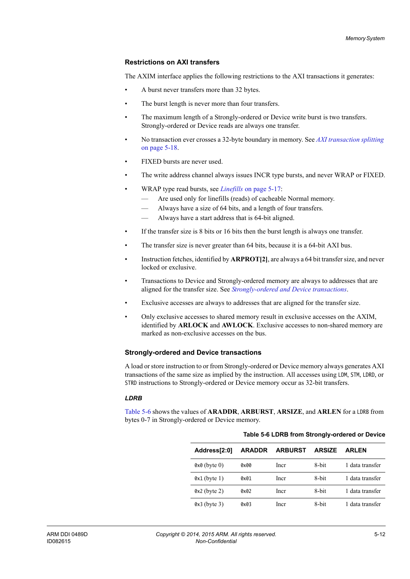#### <span id="page-74-1"></span>**Restrictions on AXI transfers**

The AXIM interface applies the following restrictions to the AXI transactions it generates:

- A burst never transfers more than 32 bytes.
- The burst length is never more than four transfers.
- The maximum length of a Strongly-ordered or Device write burst is two transfers. Strongly-ordered or Device reads are always one transfer.
- No transaction ever crosses a 32-byte boundary in memory. See *[AXI transaction splitting](#page-80-0)* [on page 5-18.](#page-80-0)
- FIXED bursts are never used.
- The write address channel always issues INCR type bursts, and never WRAP or FIXED.
- WRAP type read bursts, see *Linefills* [on page 5-17:](#page-79-0)
	- Are used only for linefills (reads) of cacheable Normal memory.
	- Always have a size of 64 bits, and a length of four transfers.
	- Always have a start address that is 64-bit aligned.
- If the transfer size is 8 bits or 16 bits then the burst length is always one transfer.
- The transfer size is never greater than 64 bits, because it is a 64-bit AXI bus.
- Instruction fetches, identified by **ARPROT[2]**, are always a 64 bit transfer size, and never locked or exclusive.
- Transactions to Device and Strongly-ordered memory are always to addresses that are aligned for the transfer size. See *[Strongly-ordered and Device transactions](#page-74-0)*.
- Exclusive accesses are always to addresses that are aligned for the transfer size.
- Only exclusive accesses to shared memory result in exclusive accesses on the AXIM, identified by **ARLOCK** and **AWLOCK**. Exclusive accesses to non-shared memory are marked as non-exclusive accesses on the bus.

#### <span id="page-74-0"></span>**Strongly-ordered and Device transactions**

A load or store instruction to or from Strongly-ordered or Device memory always generates AXI transactions of the same size as implied by the instruction. All accesses using LDM, STM, LDRD, or STRD instructions to Strongly-ordered or Device memory occur as 32-bit transfers.

#### *LDRB*

<span id="page-74-2"></span>[Table 5-6](#page-74-2) shows the values of **ARADDR**, **ARBURST**, **ARSIZE**, and **ARLEN** for a LDRB from bytes 0-7 in Strongly-ordered or Device memory.

| Address[2:0]   | <b>ARADDR</b> | <b>ARBURST</b> | <b>ARSIZE</b> | <b>ARLEN</b>    |
|----------------|---------------|----------------|---------------|-----------------|
| $0x0$ (byte 0) | 0x00          | Incr           | 8-bit         | 1 data transfer |
| $0x1$ (byte 1) | 0x01          | Incr           | 8-bit         | 1 data transfer |
| $0x2$ (byte 2) | 0x02          | Incr           | 8-bit         | 1 data transfer |
| $0x3$ (byte 3) | 0x03          | Incr           | 8-bit         | 1 data transfer |

|  | Table 5-6 LDRB from Strongly-ordered or Device |
|--|------------------------------------------------|
|--|------------------------------------------------|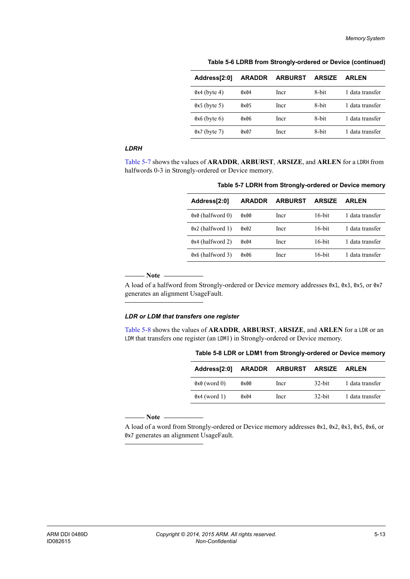| Address[2:0]      | <b>ARADDR</b> | <b>ARBURST</b> | <b>ARSIZE</b> | <b>ARLEN</b>    |
|-------------------|---------------|----------------|---------------|-----------------|
| $0x4$ (byte 4)    | 0x04          | Incr           | 8-bit         | 1 data transfer |
| $0x5$ (byte 5)    | 0x05          | Incr           | 8-bit         | 1 data transfer |
| $0x6$ (byte 6)    | 0x06          | Incr           | 8-bit         | 1 data transfer |
| $0x7$ (byte $7$ ) | 0x07          | Incr           | 8-bit         | 1 data transfer |

**Table 5-6 LDRB from Strongly-ordered or Device (continued)**

#### *LDRH*

<span id="page-75-0"></span>[Table 5-7](#page-75-0) shows the values of **ARADDR**, **ARBURST**, **ARSIZE**, and **ARLEN** for a LDRH from halfwords 0-3 in Strongly-ordered or Device memory.

| Address[2:0]     | <b>ARADDR</b> | <b>ARBURST</b> | <b>ARSIZE</b> | <b>ARLEN</b>    |
|------------------|---------------|----------------|---------------|-----------------|
| 0x0 (halfword 0) | 0x00          | Incr           | $16$ -bit     | 1 data transfer |
| 0x2 (halfword 1) | 0x02          | Incr           | $16$ -bit     | 1 data transfer |
| 0x4 (halfword 2) | 0x04          | Incr           | $16$ -bit     | 1 data transfer |
| 0x6 (halfword 3) | 0x06          | Incr           | 16-bit        | 1 data transfer |

**Table 5-7 LDRH from Strongly-ordered or Device memory**

**Note**

 A load of a halfword from Strongly-ordered or Device memory addresses 0x1, 0x3, 0x5, or 0x7 generates an alignment UsageFault.

#### *LDR or LDM that transfers one register*

<span id="page-75-1"></span>[Table 5-8](#page-75-1) shows the values of **ARADDR**, **ARBURST**, **ARSIZE**, and **ARLEN** for a LDR or an LDM that transfers one register (an LDM1) in Strongly-ordered or Device memory.

| Address[2:0]   |      | ARADDR ARBURST ARSIZE ARLEN |           |                 |
|----------------|------|-----------------------------|-----------|-----------------|
| $0x0$ (word 0) | 0x00 | <b>Incr</b>                 | $32$ -bit | 1 data transfer |
| $0x4$ (word 1) | 0x04 | Incr                        | 32-bit    | 1 data transfer |

**Table 5-8 LDR or LDM1 from Strongly-ordered or Device memory**

**Note**

 A load of a word from Strongly-ordered or Device memory addresses 0x1, 0x2, 0x3, 0x5, 0x6, or 0x7 generates an alignment UsageFault.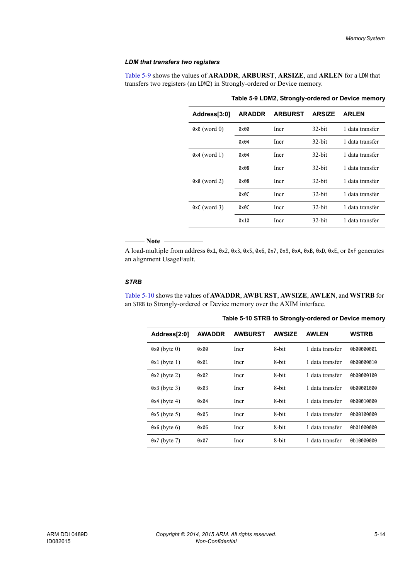#### *LDM that transfers two registers*

<span id="page-76-0"></span>[Table 5-9](#page-76-0) shows the values of **ARADDR**, **ARBURST**, **ARSIZE**, and **ARLEN** for a LDM that transfers two registers (an LDM2) in Strongly-ordered or Device memory.

| Address[3:0]   | <b>ARADDR</b> | <b>ARBURST</b> | <b>ARSIZE</b> | <b>ARLEN</b>    |
|----------------|---------------|----------------|---------------|-----------------|
| $0x0$ (word 0) | 0x00          | Incr           | $32$ -bit     | 1 data transfer |
|                | 0x04          | Incr           | $32$ -bit     | 1 data transfer |
| $0x4$ (word 1) | 0x04          | Incr           | $32$ -bit     | 1 data transfer |
|                | 0x08          | Incr           | $32$ -bit     | 1 data transfer |
| $0x8$ (word 2) | 0x08          | Incr           | $32$ -bit     | 1 data transfer |
|                | 0x0C          | Incr           | $32$ -bit     | 1 data transfer |
| $0xC$ (word 3) | 0x0C          | Incr           | $32$ -bit     | 1 data transfer |
|                | 0x10          | Incr           | $32$ -bit     | 1 data transfer |

**Table 5-9 LDM2, Strongly-ordered or Device memory**

#### Note ——

 A load-multiple from address 0x1, 0x2, 0x3, 0x5, 0x6, 0x7, 0x9, 0xA, 0xB, 0xD, 0xE, or 0xF generates an alignment UsageFault.

#### *STRB*

<span id="page-76-1"></span>[Table 5-10](#page-76-1) shows the values of **AWADDR**, **AWBURST**, **AWSIZE**, **AWLEN**, and **WSTRB** for an STRB to Strongly-ordered or Device memory over the AXIM interface.

| Table 5-10 STRB to Strongly-ordered or Device memory |
|------------------------------------------------------|
|------------------------------------------------------|

| Address[2:0]      | <b>AWADDR</b> | <b>AWBURST</b> | <b>AWSIZE</b> | <b>AWLEN</b>    | <b>WSTRB</b> |
|-------------------|---------------|----------------|---------------|-----------------|--------------|
| $0x0$ (byte 0)    | 0x00          | Incr           | 8-bit         | 1 data transfer | 0b00000001   |
| $0x1$ (byte 1)    | 0x01          | Incr           | 8-bit         | 1 data transfer | 0b00000010   |
| $0x2$ (byte 2)    | 0x02          | Incr           | 8-bit         | 1 data transfer | 0b00000100   |
| $0x3$ (byte 3)    | 0x03          | Incr           | 8-bit         | 1 data transfer | 0b00001000   |
| $0x4$ (byte 4)    | 0x04          | Incr           | 8-bit         | 1 data transfer | 0b00010000   |
| $0x5$ (byte 5)    | 0x05          | Incr           | 8-bit         | 1 data transfer | 0b00100000   |
| $0x6$ (byte 6)    | 0x06          | Incr           | 8-bit         | 1 data transfer | 0b01000000   |
| $0x7$ (byte $7$ ) | 0x07          | Incr           | 8-bit         | 1 data transfer | 0b10000000   |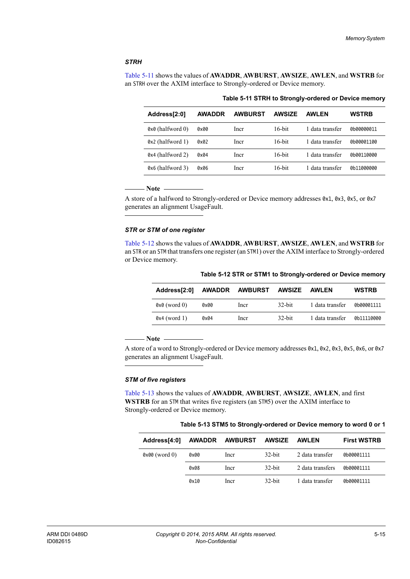#### *STRH*

<span id="page-77-0"></span>[Table 5-11](#page-77-0) shows the values of **AWADDR**, **AWBURST**, **AWSIZE**, **AWLEN**, and **WSTRB** for an STRH over the AXIM interface to Strongly-ordered or Device memory.

**Table 5-11 STRH to Strongly-ordered or Device memory**

| Address[2:0]     | <b>AWADDR</b> | <b>AWBURST</b> | <b>AWSIZE</b> | AWI FN          | <b>WSTRB</b> |
|------------------|---------------|----------------|---------------|-----------------|--------------|
| 0x0 (halfword 0) | 0x00          | Incr           | $16$ -bit     | 1 data transfer | 0b00000011   |
| 0x2 (halfword 1) | 0x02          | Incr           | $16$ -bit     | 1 data transfer | 0b00001100   |
| 0x4 (halfword 2) | 0x04          | Incr           | $16$ -bit     | 1 data transfer | 0b00110000   |
| 0x6 (halfword 3) | 0x06          | Incr           | $16$ -bit     | 1 data transfer | 0b11000000   |

#### $-$  Note  $-$

 A store of a halfword to Strongly-ordered or Device memory addresses 0x1, 0x3, 0x5, or 0x7 generates an alignment UsageFault.

#### *STR or STM of one register*

<span id="page-77-1"></span>[Table 5-12](#page-77-1) shows the values of **AWADDR**, **AWBURST**, **AWSIZE**, **AWLEN**, and **WSTRB** for an STR or an STM that transfers one register (an STM1) over the AXIM interface to Strongly-ordered or Device memory.

| Address[2:0]   | <b>AWADDR</b> | <b>AWBURST</b> | AWSIZE    | <b>AWLEN</b>    | <b>WSTRB</b> |
|----------------|---------------|----------------|-----------|-----------------|--------------|
| $0x0$ (word 0) | 0x00          | Incr           | $32$ -bit | 1 data transfer | 0b00001111   |
| $0x4$ (word 1) | 0x04          | Incr           | $32$ -bit | 1 data transfer | 0b11110000   |

**Table 5-12 STR or STM1 to Strongly-ordered or Device memory**

**Note**

 A store of a word to Strongly-ordered or Device memory addresses 0x1, 0x2, 0x3, 0x5, 0x6, or 0x7 generates an alignment UsageFault.

#### *STM of five registers*

<span id="page-77-2"></span>[Table 5-13](#page-77-2) shows the values of **AWADDR**, **AWBURST**, **AWSIZE**, **AWLEN**, and first **WSTRB** for an STM that writes five registers (an STM5) over the AXIM interface to Strongly-ordered or Device memory.

**Table 5-13 STM5 to Strongly-ordered or Device memory to word 0 or 1**

| Address[4:0]    |      | AWADDR AWBURST AWSIZE |           | AWLEN            | <b>First WSTRB</b> |
|-----------------|------|-----------------------|-----------|------------------|--------------------|
| $0x00$ (word 0) | 0x00 | <b>Incr</b>           | $32$ -bit | 2 data transfer  | 0b00001111         |
|                 | 0x08 | Incr                  | $32$ -bit | 2 data transfers | 0b00001111         |
|                 | 0x10 | Incr                  | $32$ -bit | 1 data transfer  | 0b00001111         |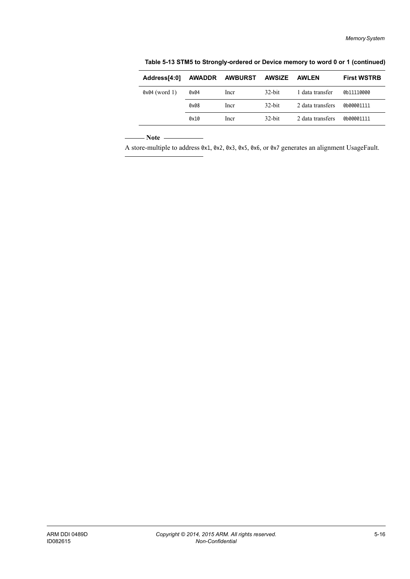| $0x04$ (word 1)<br>$32$ -bit<br>1 data transfer<br>0b11110000<br>0x04<br><sub>lncr</sub><br>$32$ -bit<br>2 data transfers<br>0x08<br>0b00001111<br><b>Incr</b> | Address[4:0] | <b>AWADDR</b> | AWBURST | <b>AWSIZE</b> | <b>AWLEN</b> | <b>First WSTRB</b> |
|----------------------------------------------------------------------------------------------------------------------------------------------------------------|--------------|---------------|---------|---------------|--------------|--------------------|
|                                                                                                                                                                |              |               |         |               |              |                    |
|                                                                                                                                                                |              |               |         |               |              |                    |
| $32$ -bit<br>2 data transfers<br>0x10<br>0b00001111<br>Incr                                                                                                    |              |               |         |               |              |                    |

**Table 5-13 STM5 to Strongly-ordered or Device memory to word 0 or 1 (continued)**

 $-$  Note  $-$ 

A store-multiple to address 0x1, 0x2, 0x3, 0x5, 0x6, or 0x7 generates an alignment UsageFault.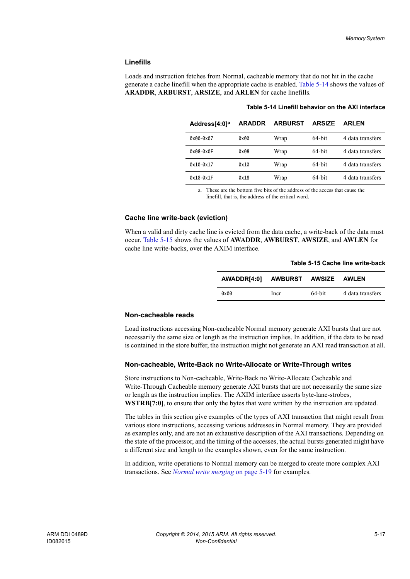#### <span id="page-79-0"></span>**Linefills**

<span id="page-79-4"></span>Loads and instruction fetches from Normal, cacheable memory that do not hit in the cache generate a cache linefill when the appropriate cache is enabled. [Table 5-14](#page-79-4) shows the values of **ARADDR**, **ARBURST**, **ARSIZE**, and **ARLEN** for cache linefills.

| <b>ARADDR</b> | <b>ARBURST</b> | <b>ARSIZE</b> | <b>ARLEN</b>     |
|---------------|----------------|---------------|------------------|
| 0x00          | Wrap           | 64-bit        | 4 data transfers |
| 0x08          | Wrap           | 64-bit        | 4 data transfers |
| 0x10          | Wrap           | 64-bit        | 4 data transfers |
| 0x18          | Wrap           | 64-bit        | 4 data transfers |
|               |                |               |                  |

#### **Table 5-14 Linefill behavior on the AXI interface**

a. These are the bottom five bits of the address of the access that cause the linefill, that is, the address of the critical word.

#### <span id="page-79-1"></span>**Cache line write-back (eviction)**

<span id="page-79-5"></span>When a valid and dirty cache line is evicted from the data cache, a write-back of the data must occur. [Table 5-15](#page-79-5) shows the values of **AWADDR**, **AWBURST**, **AWSIZE**, and **AWLEN** for cache line write-backs, over the AXIM interface.

#### **Table 5-15 Cache line write-back**

| AWADDR[4:0] AWBURST AWSIZE AWLEN |      |        |                  |
|----------------------------------|------|--------|------------------|
| 0x00                             | Incr | 64-bit | 4 data transfers |

#### <span id="page-79-2"></span>**Non-cacheable reads**

Load instructions accessing Non-cacheable Normal memory generate AXI bursts that are not necessarily the same size or length as the instruction implies. In addition, if the data to be read is contained in the store buffer, the instruction might not generate an AXI read transaction at all.

#### <span id="page-79-3"></span>**Non-cacheable, Write-Back no Write-Allocate or Write-Through writes**

Store instructions to Non-cacheable, Write-Back no Write-Allocate Cacheable and Write-Through Cacheable memory generate AXI bursts that are not necessarily the same size or length as the instruction implies. The AXIM interface asserts byte-lane-strobes, **WSTRB[7:0]**, to ensure that only the bytes that were written by the instruction are updated.

The tables in this section give examples of the types of AXI transaction that might result from various store instructions, accessing various addresses in Normal memory. They are provided as examples only, and are not an exhaustive description of the AXI transactions. Depending on the state of the processor, and the timing of the accesses, the actual bursts generated might have a different size and length to the examples shown, even for the same instruction.

In addition, write operations to Normal memory can be merged to create more complex AXI transactions. See *[Normal write merging](#page-81-0)* on page 5-19 for examples.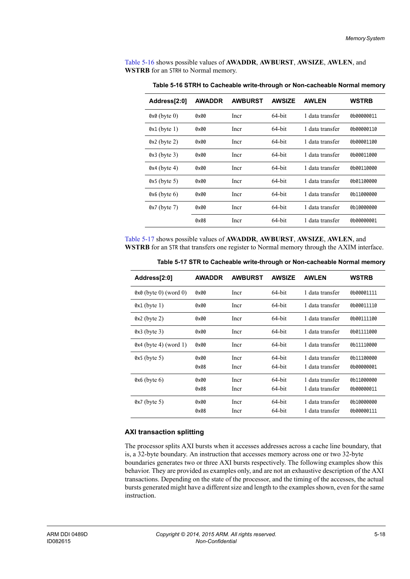<span id="page-80-1"></span>[Table 5-16](#page-80-1) shows possible values of **AWADDR**, **AWBURST**, **AWSIZE**, **AWLEN**, and **WSTRB** for an STRH to Normal memory.

| Address[2:0]   | <b>AWADDR</b> | <b>AWBURST</b> | <b>AWSIZE</b> | <b>AWLEN</b>    | WSTRB      |
|----------------|---------------|----------------|---------------|-----------------|------------|
| $0x0$ (byte 0) | 0x00          | Incr           | 64-bit        | 1 data transfer | 0b00000011 |
| $0x1$ (byte 1) | 0x00          | Incr           | 64-bit        | 1 data transfer | 0b00000110 |
| $0x2$ (byte 2) | 0x00          | Incr           | 64-bit        | 1 data transfer | 0b00001100 |
| $0x3$ (byte 3) | 0x00          | Incr           | 64-bit        | 1 data transfer | 0b00011000 |
| $0x4$ (byte 4) | 0x00          | Incr           | 64-bit        | 1 data transfer | 0b00110000 |
| $0x5$ (byte 5) | 0x00          | Incr           | 64-bit        | 1 data transfer | 0b01100000 |
| $0x6$ (byte 6) | 0x00          | Incr           | 64-bit        | 1 data transfer | 0b11000000 |
| $0x7$ (byte 7) | 0x00          | Incr           | 64-bit        | 1 data transfer | 0b10000000 |
|                | 0x08          | Incr           | 64-bit        | 1 data transfer | 0b00000001 |

**Table 5-16 STRH to Cacheable write-through or Non-cacheable Normal memory**

<span id="page-80-2"></span>[Table 5-17](#page-80-2) shows possible values of **AWADDR**, **AWBURST**, **AWSIZE**, **AWLEN**, and **WSTRB** for an STR that transfers one register to Normal memory through the AXIM interface.

| Address[2:0]                   | <b>AWADDR</b> | <b>AWBURST</b> | <b>AWSIZE</b>    | <b>AWLEN</b>                       | <b>WSTRB</b>             |
|--------------------------------|---------------|----------------|------------------|------------------------------------|--------------------------|
| $0 \times 0$ (byte 0) (word 0) | 0x00          | Incr           | 64-bit           | 1 data transfer                    | 0b00001111               |
| $0x1$ (byte 1)                 | 0x00          | Incr           | 64-bit           | 1 data transfer                    | 0b00011110               |
| $0x2$ (byte 2)                 | 0x00          | Incr           | 64-bit           | 1 data transfer                    | 0b00111100               |
| $0x3$ (byte 3)                 | 0x00          | Incr           | 64-bit           | 1 data transfer                    | 0b01111000               |
| $0x4$ (byte 4) (word 1)        | 0x00          | Incr           | 64-bit           | 1 data transfer                    | 0b11110000               |
| $0x5$ (byte 5)                 | 0x00          | Incr           | 64-bit           | 1 data transfer                    | 0b11100000               |
|                                | 0x08          | Incr           | 64-bit           | 1 data transfer                    | 0b00000001               |
| $0x6$ (byte 6)                 | 0x00          | Incr           | 64-bit           | 1 data transfer                    | 0b11000000               |
|                                | 0x08          | Incr           | 64-bit           | 1 data transfer                    | 0b00000011               |
| $0x7$ (byte 5)                 | 0x00<br>0x08  | Incr<br>Incr   | 64-bit<br>64-bit | 1 data transfer<br>1 data transfer | 0b10000000<br>0b00000111 |

**Table 5-17 STR to Cacheable write-through or Non-cacheable Normal memory**

#### <span id="page-80-0"></span>**AXI transaction splitting**

The processor splits AXI bursts when it accesses addresses across a cache line boundary, that is, a 32-byte boundary. An instruction that accesses memory across one or two 32-byte boundaries generates two or three AXI bursts respectively. The following examples show this behavior. They are provided as examples only, and are not an exhaustive description of the AXI transactions. Depending on the state of the processor, and the timing of the accesses, the actual bursts generated might have a different size and length to the examples shown, even for the same instruction.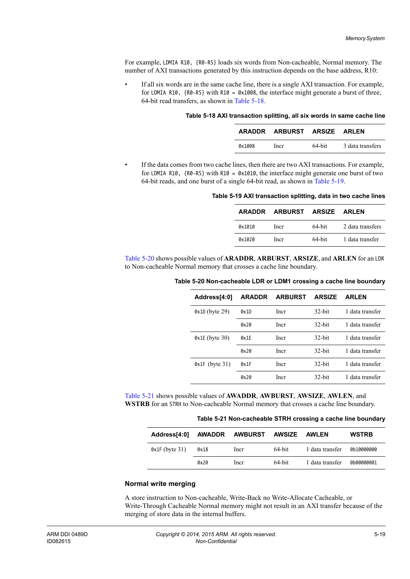For example, LDMIA R10, {R0-R5} loads six words from Non-cacheable, Normal memory. The number of AXI transactions generated by this instruction depends on the base address, R10:

<span id="page-81-1"></span>• If all six words are in the same cache line, there is a single AXI transaction. For example, for LDMIA R10, {R0-R5} with R10 = 0x1008, the interface might generate a burst of three, 64-bit read transfers, as shown in [Table 5-18](#page-81-1).

#### **Table 5-18 AXI transaction splitting, all six words in same cache line**

|        | ARADDR ARBURST ARSIZE ARLEN |        |                  |
|--------|-----------------------------|--------|------------------|
| 0x1008 | Incr                        | 64-bit | 3 data transfers |

<span id="page-81-2"></span>• If the data comes from two cache lines, then there are two AXI transactions. For example, for LDMIA R10,  $\{R0 - R5\}$  with R10 = 0x1010, the interface might generate one burst of two 64-bit reads, and one burst of a single 64-bit read, as shown in [Table 5-19.](#page-81-2)

#### **Table 5-19 AXI transaction splitting, data in two cache lines**

| ARADDR | <b>ARBURST ARSIZE ARLEN</b> |           |                  |
|--------|-----------------------------|-----------|------------------|
| 0x1010 | Incr                        | $64$ -bit | 2 data transfers |
| Qx1020 | Incr                        | $64$ -bit | 1 data transfer  |

<span id="page-81-3"></span>[Table 5-20](#page-81-3) shows possible values of **ARADDR**, **ARBURST**, **ARSIZE**, and **ARLEN** for an LDR to Non-cacheable Normal memory that crosses a cache line boundary.

| Table 5-20 Non-cacheable LDR or LDM1 crossing a cache line boundary |  |  |
|---------------------------------------------------------------------|--|--|
|                                                                     |  |  |

| Address[4:0]     | <b>ARADDR</b> | <b>ARBURST</b> | <b>ARSIZE</b> | <b>ARLEN</b>    |
|------------------|---------------|----------------|---------------|-----------------|
| $0x1D$ (byte 29) | 0x1D          | Incr           | $32$ -bit     | 1 data transfer |
|                  | 0x20          | Incr           | 32-bit        | 1 data transfer |
| $0x1E$ (byte 30) | 0x1E          | Incr           | $32$ -bit     | 1 data transfer |
|                  | 0x20          | Incr           | $32$ -hit     | 1 data transfer |
| $0x1F$ (byte 31) | 0x1F          | Incr           | $32$ -bit     | 1 data transfer |
|                  | 0x20          | Incr           | 32-bit        | 1 data transfer |

<span id="page-81-4"></span>[Table 5-21](#page-81-4) shows possible values of **AWADDR**, **AWBURST**, **AWSIZE**, **AWLEN**, and **WSTRB** for an STRH to Non-cacheable Normal memory that crosses a cache line boundary.

#### **Table 5-21 Non-cacheable STRH crossing a cache line boundary**

| Address[4:0]     |      | AWADDR AWBURST AWSIZE |           | AWLEN           | <b>WSTRB</b> |
|------------------|------|-----------------------|-----------|-----------------|--------------|
| $0x1F$ (byte 31) | 0x18 | Incr                  | 64-bit    | 1 data transfer | 0b10000000   |
|                  | 0x20 | Incr                  | $64$ -bit | 1 data transfer | 0b00000001   |

#### <span id="page-81-0"></span>**Normal write merging**

A store instruction to Non-cacheable, Write-Back no Write-Allocate Cacheable, or Write-Through Cacheable Normal memory might not result in an AXI transfer because of the merging of store data in the internal buffers.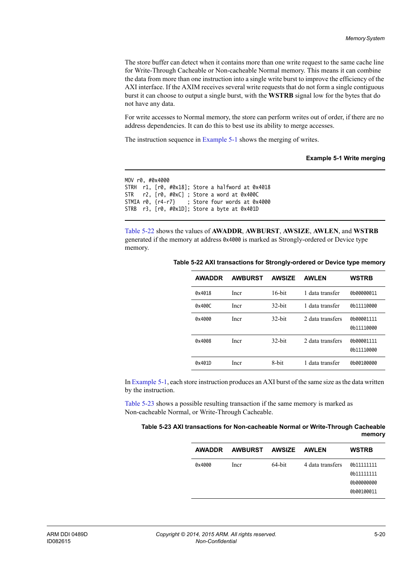The store buffer can detect when it contains more than one write request to the same cache line for Write-Through Cacheable or Non-cacheable Normal memory. This means it can combine the data from more than one instruction into a single write burst to improve the efficiency of the AXI interface. If the AXIM receives several write requests that do not form a single contiguous burst it can choose to output a single burst, with the **WSTRB** signal low for the bytes that do not have any data.

For write accesses to Normal memory, the store can perform writes out of order, if there are no address dependencies. It can do this to best use its ability to merge accesses.

<span id="page-82-0"></span>The instruction sequence in [Example 5-1](#page-82-0) shows the merging of writes.

#### **Example 5-1 Write merging**

```
MOV r0, #0x4000
STRH r1, [r0, #0x18]; Store a halfword at 0x4018
STR r2, [r0, #0xC] ; Store a word at 0x400C
STMIA r0, {r4-r7} ; Store four words at 0x4000
STRB r3, [r0, #0x1D]; Store a byte at 0x401D
```
<span id="page-82-1"></span>[Table 5-22](#page-82-1) shows the values of **AWADDR**, **AWBURST**, **AWSIZE**, **AWLEN**, and **WSTRB** generated if the memory at address 0x4000 is marked as Strongly-ordered or Device type memory.

| <b>AWADDR</b> | <b>AWBURST</b> | <b>AWSIZE</b> | <b>AWLEN</b>     | <b>WSTRB</b>             |
|---------------|----------------|---------------|------------------|--------------------------|
| 0x4018        | Incr           | $16$ -bit     | 1 data transfer  | 0b00000011               |
| 0x400C        | Incr           | $32$ -bit     | 1 data transfer  | 0b11110000               |
| 0x4000        | Incr           | $32$ -hit     | 2 data transfers | 0b00001111<br>0b11110000 |
| 0x4008        | Incr           | $32$ -bit     | 2 data transfers | 0b00001111<br>0b11110000 |
| 0x401D        | Incr           | 8-bit         | 1 data transfer  | 0b00100000               |

**Table 5-22 AXI transactions for Strongly-ordered or Device type memory**

In [Example 5-1,](#page-82-0) each store instruction produces an AXI burst of the same size as the data written by the instruction.

<span id="page-82-2"></span>[Table 5-23](#page-82-2) shows a possible resulting transaction if the same memory is marked as Non-cacheable Normal, or Write-Through Cacheable.

#### **Table 5-23 AXI transactions for Non-cacheable Normal or Write-Through Cacheable memory**

| <b>AWADDR</b> | <b>AWBURST</b> | AWSIZE | AWLEN            | <b>WSTRB</b> |
|---------------|----------------|--------|------------------|--------------|
| 0x4000        | Incr           | 64-bit | 4 data transfers | 0b11111111   |
|               |                |        |                  | 0b11111111   |
|               |                |        |                  | 0b00000000   |
|               |                |        |                  | 0b00100011   |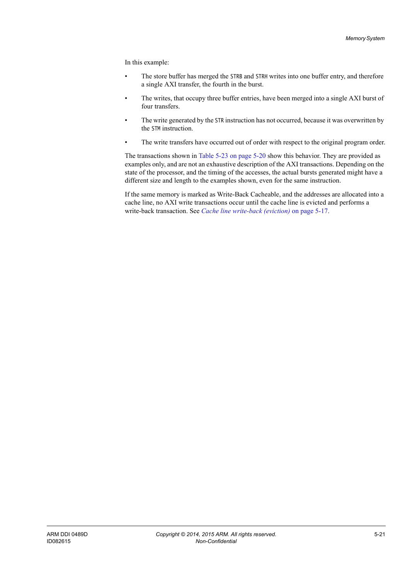In this example:

- The store buffer has merged the STRB and STRH writes into one buffer entry, and therefore a single AXI transfer, the fourth in the burst.
- The writes, that occupy three buffer entries, have been merged into a single AXI burst of four transfers.
- The write generated by the STR instruction has not occurred, because it was overwritten by the STM instruction.
- The write transfers have occurred out of order with respect to the original program order.

The transactions shown in [Table 5-23 on page 5-20](#page-82-2) show this behavior. They are provided as examples only, and are not an exhaustive description of the AXI transactions. Depending on the state of the processor, and the timing of the accesses, the actual bursts generated might have a different size and length to the examples shown, even for the same instruction.

If the same memory is marked as Write-Back Cacheable, and the addresses are allocated into a cache line, no AXI write transactions occur until the cache line is evicted and performs a write-back transaction. See *[Cache line write-back \(eviction\)](#page-79-1)* on page 5-17.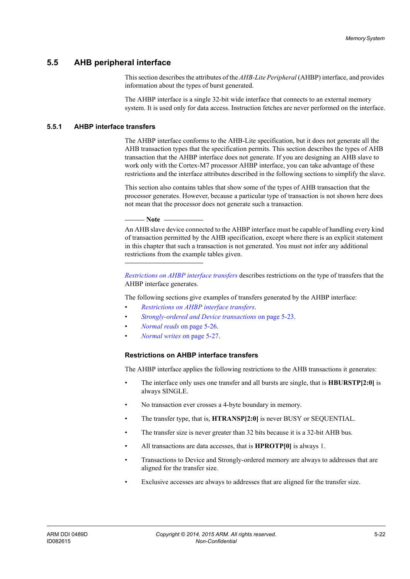# **5.5 AHB peripheral interface**

This section describes the attributes of the *AHB-Lite Peripheral* (AHBP) interface, and provides information about the types of burst generated.

The AHBP interface is a single 32-bit wide interface that connects to an external memory system. It is used only for data access. Instruction fetches are never performed on the interface.

### **5.5.1 AHBP interface transfers**

The AHBP interface conforms to the AHB-Lite specification, but it does not generate all the AHB transaction types that the specification permits. This section describes the types of AHB transaction that the AHBP interface does not generate. If you are designing an AHB slave to work only with the Cortex-M7 processor AHBP interface, you can take advantage of these restrictions and the interface attributes described in the following sections to simplify the slave.

This section also contains tables that show some of the types of AHB transaction that the processor generates. However, because a particular type of transaction is not shown here does not mean that the processor does not generate such a transaction.

**Note**

 An AHB slave device connected to the AHBP interface must be capable of handling every kind of transaction permitted by the AHB specification, except where there is an explicit statement in this chapter that such a transaction is not generated. You must not infer any additional restrictions from the example tables given.

*[Restrictions on AHBP interface transfers](#page-84-0)* describes restrictions on the type of transfers that the AHBP interface generates.

The following sections give examples of transfers generated by the AHBP interface:

- *[Restrictions on AHBP interface transfers](#page-84-0)*.
- *[Strongly-ordered and Device transactions](#page-85-0)* on page 5-23.
- *[Normal reads](#page-88-0)* on page 5-26.
- *[Normal writes](#page-89-0)* on page 5-27.

#### <span id="page-84-0"></span>**Restrictions on AHBP interface transfers**

The AHBP interface applies the following restrictions to the AHB transactions it generates:

- The interface only uses one transfer and all bursts are single, that is **HBURSTP[2:0]** is always SINGLE.
- No transaction ever crosses a 4-byte boundary in memory.
- The transfer type, that is, **HTRANSP[2:0]** is never BUSY or SEQUENTIAL.
- The transfer size is never greater than 32 bits because it is a 32-bit AHB bus.
- All transactions are data accesses, that is **HPROTP[0]** is always 1.
- Transactions to Device and Strongly-ordered memory are always to addresses that are aligned for the transfer size.
- Exclusive accesses are always to addresses that are aligned for the transfer size.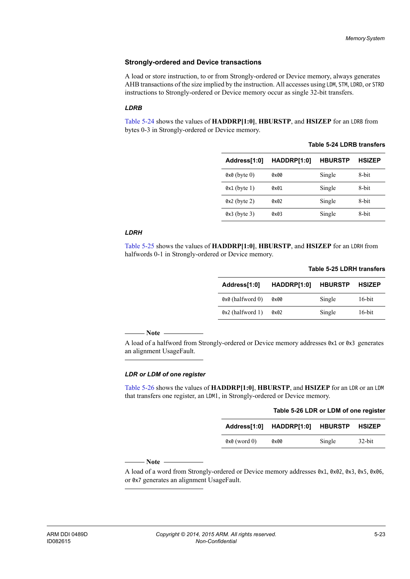#### <span id="page-85-0"></span>**Strongly-ordered and Device transactions**

A load or store instruction, to or from Strongly-ordered or Device memory, always generates AHB transactions of the size implied by the instruction. All accesses using LDM, STM, LDRD, or STRD instructions to Strongly-ordered or Device memory occur as single 32-bit transfers.

#### *LDRB*

<span id="page-85-1"></span>[Table 5-24](#page-85-1) shows the values of **HADDRP[1:0]**, **HBURSTP**, and **HSIZEP** for an LDRB from bytes 0-3 in Strongly-ordered or Device memory.

| Address[1:0]   | HADDRP[1:0] | <b>HBURSTP</b> | <b>HSIZEP</b> |
|----------------|-------------|----------------|---------------|
| $0x0$ (byte 0) | 0x00        | Single         | 8-bit         |
| $0x1$ (byte 1) | 0x01        | Single         | 8-bit         |
| $0x2$ (byte 2) | 0x02        | Single         | 8-bit         |
| $0x3$ (byte 3) | 0x03        | Single         | 8-bit         |

#### *LDRH*

<span id="page-85-2"></span>[Table 5-25](#page-85-2) shows the values of **HADDRP[1:0]**, **HBURSTP**, and **HSIZEP** for an LDRH from halfwords 0-1 in Strongly-ordered or Device memory.

| Address[1:0]     | HADDRP[1:0] | <b>HBURSTP</b> | <b>HSIZEP</b> |
|------------------|-------------|----------------|---------------|
| 0x0 (halfword 0) | 0x00        | Single         | 16-bit        |
| 0x2 (halfword 1) | 0x02        | Single         | 16-bit        |

#### **Table 5-25 LDRH transfers**

**Table 5-24 LDRB transfers**

 $-$  Note  $-$ 

 A load of a halfword from Strongly-ordered or Device memory addresses 0x1 or 0x3 generates an alignment UsageFault.

#### *LDR or LDM of one register*

<span id="page-85-3"></span>[Table 5-26](#page-85-3) shows the values of **HADDRP[1:0]**, **HBURSTP**, and **HSIZEP** for an LDR or an LDM that transfers one register, an LDM1, in Strongly-ordered or Device memory.

|                | Table 5-26 LDR or LDM of one register |                       |           |
|----------------|---------------------------------------|-----------------------|-----------|
|                | Address[1:0] HADDRP[1:0]              | <b>HBURSTP HSIZEP</b> |           |
| $0x0$ (word 0) | 0x00                                  | Single                | $32$ -bit |

 $-$  Note  $-$ 

 A load of a word from Strongly-ordered or Device memory addresses 0x1, 0x02, 0x3, 0x5, 0x06, or 0x7 generates an alignment UsageFault.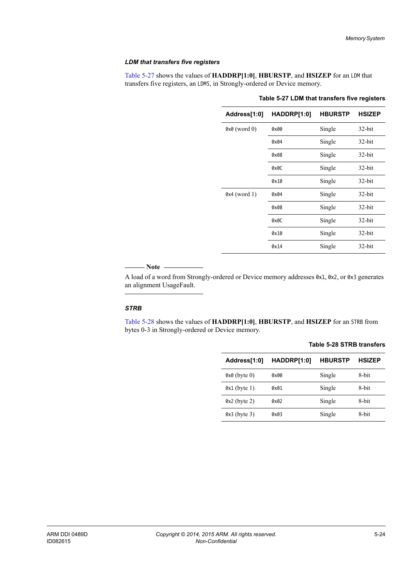#### *LDM that transfers five registers*

<span id="page-86-0"></span>[Table 5-27](#page-86-0) shows the values of **HADDRP[1:0]**, **HBURSTP**, and **HSIZEP** for an LDM that transfers five registers, an LDM5, in Strongly-ordered or Device memory.

| Address[1:0]   | HADDRP[1:0] | <b>HBURSTP</b> | <b>HSIZEP</b> |
|----------------|-------------|----------------|---------------|
| $0x0$ (word 0) | 0x00        | Single         | $32$ -bit     |
|                | 0x04        | Single         | $32$ -bit     |
|                | 0x08        | Single         | $32$ -bit     |
|                | 0x0C        | Single         | $32$ -bit     |
|                | 0x10        | Single         | $32$ -bit     |
| $0x4$ (word 1) | 0x04        | Single         | $32$ -bit     |
|                | 0x08        | Single         | $32$ -bit     |
|                | 0x0C        | Single         | $32$ -bit     |
|                | 0x10        | Single         | $32$ -bit     |
|                | 0x14        | Single         | $32$ -bit     |

#### **Table 5-27 LDM that transfers five registers**

#### $-$  Note  $-$

 A load of a word from Strongly-ordered or Device memory addresses 0x1, 0x2, or 0x3 generates an alignment UsageFault.

#### *STRB*

<span id="page-86-1"></span>[Table 5-28](#page-86-1) shows the values of **HADDRP[1:0]**, **HBURSTP**, and **HSIZEP** for an STRB from bytes 0-3 in Strongly-ordered or Device memory.

#### **Table 5-28 STRB transfers**

| Address[1:0]   | HADDRP[1:0] | <b>HBURSTP</b> | <b>HSIZEP</b> |
|----------------|-------------|----------------|---------------|
| $0x0$ (byte 0) | 0x00        | Single         | 8-bit         |
| $0x1$ (byte 1) | 0x01        | Single         | 8-bit         |
| $0x2$ (byte 2) | 0x02        | Single         | 8-bit         |
| $0x3$ (byte 3) | 0x03        | Single         | 8-bit         |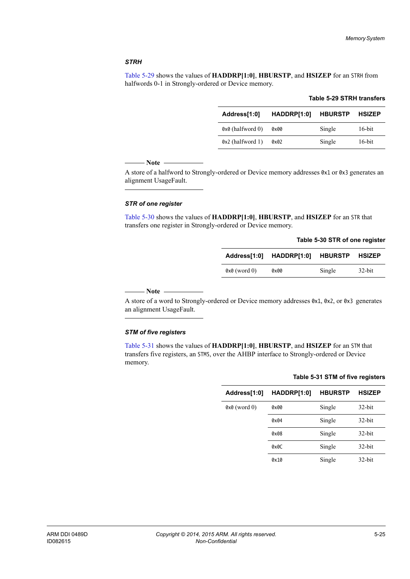#### *STRH*

<span id="page-87-0"></span>[Table 5-29](#page-87-0) shows the values of **HADDRP[1:0]**, **HBURSTP**, and **HSIZEP** for an STRH from halfwords 0-1 in Strongly-ordered or Device memory.

| Address[1:0]     | HADDRP[1:0] HBURSTP HSIZEP |        |           |
|------------------|----------------------------|--------|-----------|
| 0x0 (halfword 0) | 0x00                       | Single | $16$ -bit |
| 0x2 (halfword 1) | 0x02                       | Single | $16$ -bit |

#### **Table 5-29 STRH transfers**

#### $-$  Note -

 A store of a halfword to Strongly-ordered or Device memory addresses 0x1 or 0x3 generates an alignment UsageFault.

#### *STR of one register*

<span id="page-87-1"></span>[Table 5-30](#page-87-1) shows the values of **HADDRP[1:0]**, **HBURSTP**, and **HSIZEP** for an STR that transfers one register in Strongly-ordered or Device memory.

|  |  |  |  |  | Table 5-30 STR of one register |
|--|--|--|--|--|--------------------------------|
|--|--|--|--|--|--------------------------------|

|                | Address[1:0] HADDRP[1:0] HBURSTP HSIZEP |        |           |
|----------------|-----------------------------------------|--------|-----------|
| $0x0$ (word 0) | 0x00                                    | Single | $32$ -bit |

 $-$  Note  $-$ 

 A store of a word to Strongly-ordered or Device memory addresses 0x1, 0x2, or 0x3 generates an alignment UsageFault.

#### *STM of five registers*

<span id="page-87-2"></span>[Table 5-31](#page-87-2) shows the values of **HADDRP[1:0]**, **HBURSTP**, and **HSIZEP** for an STM that transfers five registers, an STM5, over the AHBP interface to Strongly-ordered or Device memory.

| Address[1:0]   | HADDRP[1:0]   | <b>HBURSTP</b> | <b>HSIZEP</b> |
|----------------|---------------|----------------|---------------|
| $0x0$ (word 0) | $0 \times 00$ | Single         | $32$ -bit     |
|                | 0x04          | Single         | $32$ -bit     |
|                | 0x08          | Single         | $32$ -bit     |
|                | 0x0C          | Single         | $32$ -bit     |
|                | 0x10          | Single         | $32$ -bit     |

# **Table 5-31 STM of five registers**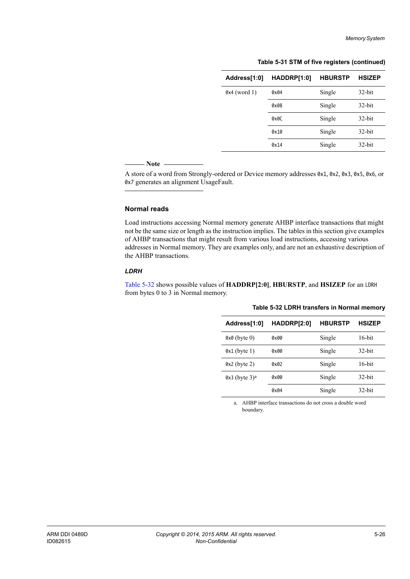**Table 5-31 STM of five registers (continued)**

| Address[1:0]   | HADDRP[1:0] | <b>HBURSTP</b> | <b>HSIZEP</b> |
|----------------|-------------|----------------|---------------|
| $0x4$ (word 1) | 0x04        | Single         | $32$ -bit     |
|                | 0x08        | Single         | $32$ -bit     |
|                | 0x0C        | Single         | $32$ -bit     |
|                | 0x10        | Single         | $32$ -bit     |
|                | 0x14        | Single         | $32$ -bit     |

#### **Note**

 A store of a word from Strongly-ordered or Device memory addresses 0x1, 0x2, 0x3, 0x5, 0x6, or 0x7 generates an alignment UsageFault.

#### <span id="page-88-0"></span>**Normal reads**

Load instructions accessing Normal memory generate AHBP interface transactions that might not be the same size or length as the instruction implies. The tables in this section give examples of AHBP transactions that might result from various load instructions, accessing various addresses in Normal memory. They are examples only, and are not an exhaustive description of the AHBP transactions.

#### *LDRH*

<span id="page-88-1"></span>[Table 5-32](#page-88-1) shows possible values of **HADDRP[2:0]**, **HBURSTP**, and **HSIZEP** for an LDRH from bytes 0 to 3 in Normal memory.

| Address[1:0]                | HADDRP[2:0]   | <b>HBURSTP</b> | <b>HSIZEP</b> |
|-----------------------------|---------------|----------------|---------------|
| $0x0$ (byte 0)              | $0 \times 00$ | Single         | $16$ -bit     |
| $0x1$ (byte 1)              | 0x00          | Single         | $32$ -bit     |
| $0x2$ (byte 2)              | 0x02          | Single         | $16$ -bit     |
| $0x3$ (byte 3) <sup>a</sup> | $0 \times 00$ | Single         | $32$ -bit     |
|                             | 0x04          | Single         | $32$ -bit     |

**Table 5-32 LDRH transfers in Normal memory**

a. AHBP interface transactions do not cross a double word boundary.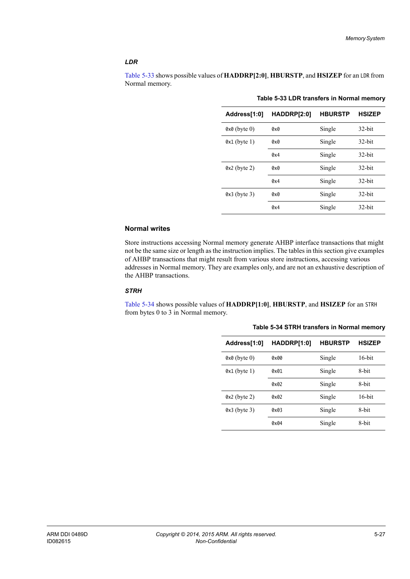#### *LDR*

<span id="page-89-1"></span>[Table 5-33](#page-89-1) shows possible values of **HADDRP[2:0]**, **HBURSTP**, and **HSIZEP** for an LDR from Normal memory.

| Address[1:0]   | HADDRP[2:0] | <b>HBURSTP</b> | <b>HSIZEP</b> |
|----------------|-------------|----------------|---------------|
| $0x0$ (byte 0) | 0x0         | Single         | $32$ -bit     |
| $0x1$ (byte 1) | 0x0         | Single         | $32$ -bit     |
|                | 0x4         | Single         | $32$ -bit     |
| $0x2$ (byte 2) | 0x0         | Single         | $32$ -bit     |
|                | 0x4         | Single         | $32$ -bit     |
| $0x3$ (byte 3) | 0x0         | Single         | $32$ -bit     |
|                | 0x4         | Single         | $32$ -bit     |

#### **Table 5-33 LDR transfers in Normal memory**

#### <span id="page-89-0"></span>**Normal writes**

Store instructions accessing Normal memory generate AHBP interface transactions that might not be the same size or length as the instruction implies. The tables in this section give examples of AHBP transactions that might result from various store instructions, accessing various addresses in Normal memory. They are examples only, and are not an exhaustive description of the AHBP transactions.

#### *STRH*

<span id="page-89-2"></span>[Table 5-34](#page-89-2) shows possible values of **HADDRP[1:0]**, **HBURSTP**, and **HSIZEP** for an STRH from bytes 0 to 3 in Normal memory.

| Address[1:0]   | HADDRP[1:0] | <b>HBURSTP</b> | <b>HSIZEP</b> |
|----------------|-------------|----------------|---------------|
| $0x0$ (byte 0) | axaa        | Single         | $16$ -bit     |
| $0x1$ (byte 1) | 0x01        | Single         | 8-bit         |
|                | 0x02        | Single         | 8-bit         |
| $0x2$ (byte 2) | axa2        | Single         | $16-hit$      |
| $0x3$ (byte 3) | 0x03        | Single         | 8-bit         |
|                | 0x04        | Single         | 8-bit         |

**Table 5-34 STRH transfers in Normal memory**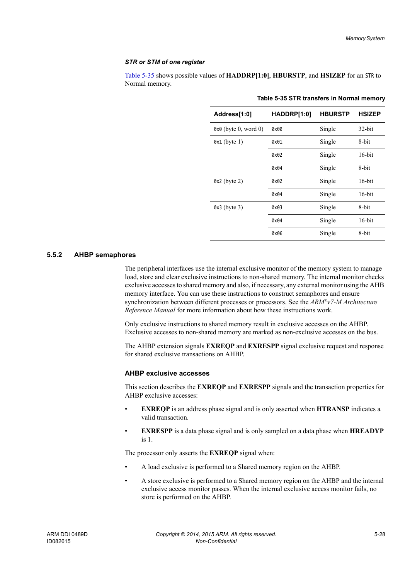#### *STR or STM of one register*

<span id="page-90-0"></span>[Table 5-35](#page-90-0) shows possible values of **HADDRP[1:0]**, **HBURSTP**, and **HSIZEP** for an STR to Normal memory.

| Address[1:0]         | HADDRP[1:0]   | <b>HBURSTP</b> | <b>HSIZEP</b> |
|----------------------|---------------|----------------|---------------|
| 0x0 (byte 0, word 0) | $0 \times 00$ | Single         | $32$ -bit     |
| $0x1$ (byte 1)       | 0x01          | Single         | 8-bit         |
|                      | 0x02          | Single         | $16$ -bit     |
|                      | 0x04          | Single         | 8-bit         |
| $0x2$ (byte 2)       | 0x02          | Single         | $16$ -bit     |
|                      | 0x04          | Single         | $16$ -bit     |
| $0x3$ (byte 3)       | 0x03          | Single         | 8-bit         |
|                      | 0x04          | Single         | $16$ -bit     |
|                      | 0x06          | Single         | 8-bit         |

**Table 5-35 STR transfers in Normal memory**

#### **5.5.2 AHBP semaphores**

The peripheral interfaces use the internal exclusive monitor of the memory system to manage load, store and clear exclusive instructions to non-shared memory. The internal monitor checks exclusive accesses to shared memory and also, if necessary, any external monitor using the AHB memory interface. You can use these instructions to construct semaphores and ensure synchronization between different processes or processors. See the *ARM®v7-M Architecture Reference Manual* for more information about how these instructions work.

Only exclusive instructions to shared memory result in exclusive accesses on the AHBP. Exclusive accesses to non-shared memory are marked as non-exclusive accesses on the bus.

The AHBP extension signals **EXREQP** and **EXRESPP** signal exclusive request and response for shared exclusive transactions on AHBP.

#### **AHBP exclusive accesses**

This section describes the **EXREQP** and **EXRESPP** signals and the transaction properties for AHBP exclusive accesses:

- **EXREQP** is an address phase signal and is only asserted when **HTRANSP** indicates a valid transaction.
- **EXRESPP** is a data phase signal and is only sampled on a data phase when **HREADYP** is 1.

The processor only asserts the **EXREQP** signal when:

- A load exclusive is performed to a Shared memory region on the AHBP.
- A store exclusive is performed to a Shared memory region on the AHBP and the internal exclusive access monitor passes. When the internal exclusive access monitor fails, no store is performed on the AHBP.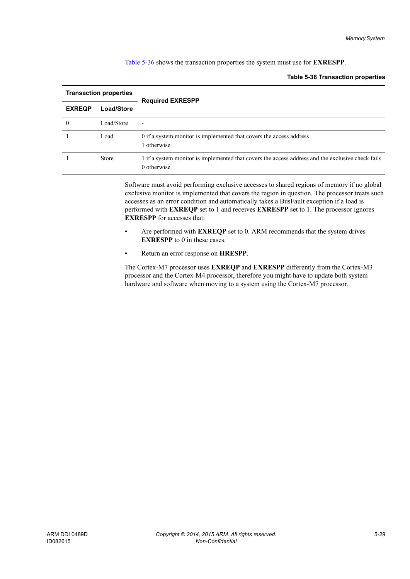#### <span id="page-91-0"></span>[Table 5-36](#page-91-0) shows the transaction properties the system must use for **EXRESPP**.

#### **Table 5-36 Transaction properties**

| <b>Transaction properties</b> |              | <b>Required EXRESPP</b>                                                                                          |  |
|-------------------------------|--------------|------------------------------------------------------------------------------------------------------------------|--|
| <b>EXREQP</b>                 | Load/Store   |                                                                                                                  |  |
| 0                             | Load/Store   | ٠                                                                                                                |  |
|                               | Load         | 0 if a system monitor is implemented that covers the access address<br>1 otherwise                               |  |
|                               | <b>Store</b> | 1 if a system monitor is implemented that covers the access address and the exclusive check fails<br>0 otherwise |  |

Software must avoid performing exclusive accesses to shared regions of memory if no global exclusive monitor is implemented that covers the region in question. The processor treats such accesses as an error condition and automatically takes a BusFault exception if a load is performed with **EXREQP** set to 1 and receives **EXRESPP** set to 1. The processor ignores **EXRESPP** for accesses that:

- Are performed with **EXREQP** set to 0. ARM recommends that the system drives **EXRESPP** to 0 in these cases.
- Return an error response on **HRESPP**.

The Cortex-M7 processor uses **EXREQP** and **EXRESPP** differently from the Cortex-M3 processor and the Cortex-M4 processor, therefore you might have to update both system hardware and software when moving to a system using the Cortex-M7 processor.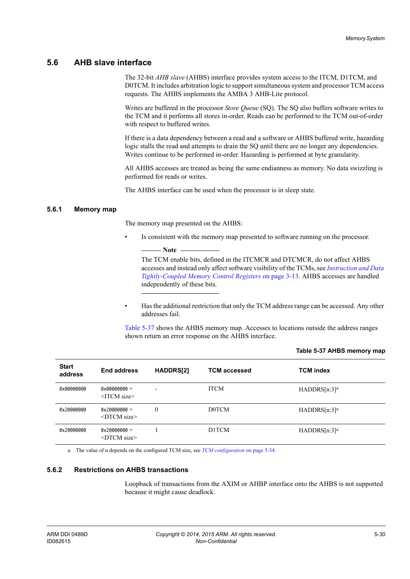## **5.6 AHB slave interface**

The 32-bit *AHB slave* (AHBS) interface provides system access to the ITCM, D1TCM, and D0TCM. It includes arbitration logic to support simultaneous system and processor TCM access requests. The AHBS implements the AMBA 3 AHB-Lite protocol.

Writes are buffered in the processor *Store Queue* (SQ). The SQ also buffers software writes to the TCM and it performs all stores in-order. Reads can be performed to the TCM out-of-order with respect to buffered writes.

If there is a data dependency between a read and a software or AHBS buffered write, hazarding logic stalls the read and attempts to drain the SQ until there are no longer any dependencies. Writes continue to be performed in-order. Hazarding is performed at byte granularity.

All AHBS accesses are treated as being the same endianness as memory. No data swizzling is performed for reads or writes.

The AHBS interface can be used when the processor is in sleep state.

#### **5.6.1 Memory map**

The memory map presented on the AHBS:

- Note -

Is consistent with the memory map presented to software running on the processor.

 The TCM enable bits, defined in the ITCMCR and DTCMCR, do not affect AHBS accesses and instead only affect software visibility of the TCMs, see *[Instruction and Data](#page-48-0)  [Tightly-Coupled Memory Control Registers](#page-48-0)* on page 3-13. AHBS accesses are handled independently of these bits.

• Has the additional restriction that only the TCM address range can be accessed. Any other addresses fail.

<span id="page-92-1"></span>[Table 5-37](#page-92-1) shows the AHBS memory map. Accesses to locations outside the address ranges shown return an error response on the AHBS interface.

| <b>Start</b><br>address | <b>End address</b>                            | <b>HADDRS[2]</b>         | <b>TCM accessed</b> | <b>TCM</b> index |
|-------------------------|-----------------------------------------------|--------------------------|---------------------|------------------|
| 0x00000000              | $0 \times 000000000 +$<br>$\le$ ITCM size $>$ | $\overline{\phantom{0}}$ | <b>ITCM</b>         | $HADDRS[n:3]^a$  |
| 0x20000000              | $0x20000000 +$<br>$\leq$ DTCM size $\geq$     | $\mathbf{0}$             | <b>D0TCM</b>        | $HADDRS[n:3]^a$  |
| 0x20000000              | $0x200000000 +$<br>$\leq$ DTCM size $\geq$    |                          | D1TCM               | $HADDRS[n:3]^a$  |

#### <span id="page-92-0"></span>**Table 5-37 AHBS memory map**

a. The value of n depends on the configured TCM size, see *[TCM configuration](#page-96-0)* on page 5-34.

#### **5.6.2 Restrictions on AHBS transactions**

Loopback of transactions from the AXIM or AHBP interface onto the AHBS is not supported because it might cause deadlock.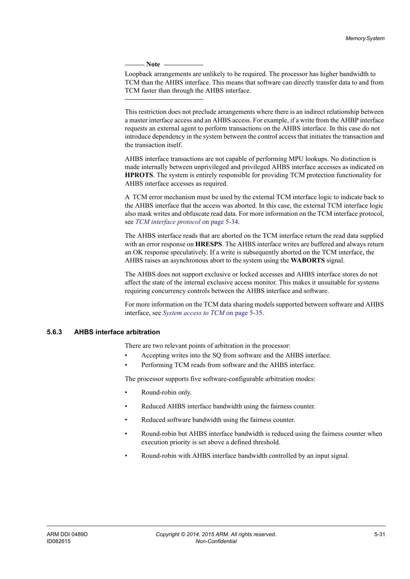- Note  $-$ 

 Loopback arrangements are unlikely to be required. The processor has higher bandwidth to TCM than the AHBS interface. This means that software can directly transfer data to and from TCM faster than through the AHBS interface.

This restriction does not preclude arrangements where there is an indirect relationship between a master interface access and an AHBS access. For example, if a write from the AHBP interface requests an external agent to perform transactions on the AHBS interface. In this case do not introduce dependency in the system between the control access that initiates the transaction and the transaction itself.

AHBS interface transactions are not capable of performing MPU lookups. No distinction is made internally between unprivileged and privileged AHBS interface accesses as indicated on **HPROTS**. The system is entirely responsible for providing TCM protection functionality for AHBS interface accesses as required.

A TCM error mechanism must be used by the external TCM interface logic to indicate back to the AHBS interface that the access was aborted. In this case, the external TCM interface logic also mask writes and obfuscate read data. For more information on the TCM interface protocol, see *[TCM interface protocol](#page-96-1)* on page 5-34.

The AHBS interface reads that are aborted on the TCM interface return the read data supplied with an error response on **HRESPS**. The AHBS interface writes are buffered and always return an OK response speculatively. If a write is subsequently aborted on the TCM interface, the AHBS raises an asynchronous abort to the system using the **WABORTS** signal.

The AHBS does not support exclusive or locked accesses and AHBS interface stores do not affect the state of the internal exclusive access monitor. This makes it unsuitable for systems requiring concurrency controls between the AHBS interface and software.

For more information on the TCM data sharing models supported between software and AHBS interface, see *[System access to TCM](#page-97-0)* on page 5-35.

#### <span id="page-93-0"></span>**5.6.3 AHBS interface arbitration**

There are two relevant points of arbitration in the processor:

- Accepting writes into the SQ from software and the AHBS interface.
- Performing TCM reads from software and the AHBS interface.

The processor supports five software-configurable arbitration modes:

- Round-robin only.
- Reduced AHBS interface bandwidth using the fairness counter.
- Reduced software bandwidth using the fairness counter.
- Round-robin but AHBS interface bandwidth is reduced using the fairness counter when execution priority is set above a defined threshold.
- Round-robin with AHBS interface bandwidth controlled by an input signal.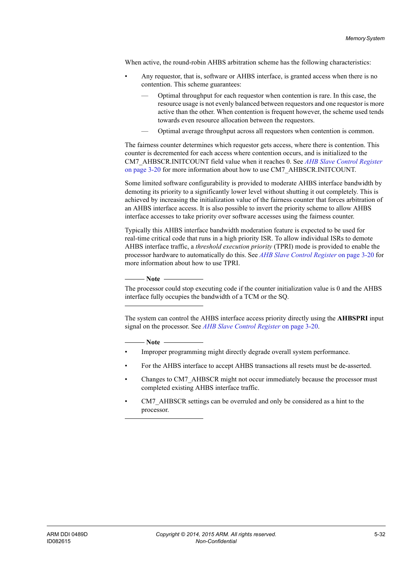When active, the round-robin AHBS arbitration scheme has the following characteristics:

- Any requestor, that is, software or AHBS interface, is granted access when there is no contention. This scheme guarantees:
	- Optimal throughput for each requestor when contention is rare. In this case, the resource usage is not evenly balanced between requestors and one requestor is more active than the other. When contention is frequent however, the scheme used tends towards even resource allocation between the requestors.
	- Optimal average throughput across all requestors when contention is common.

The fairness counter determines which requestor gets access, where there is contention. This counter is decremented for each access where contention occurs, and is initialized to the CM7\_AHBSCR.INITCOUNT field value when it reaches 0. See *[AHB Slave Control Register](#page-55-0)* [on page 3-20](#page-55-0) for more information about how to use CM7\_AHBSCR.INITCOUNT.

Some limited software configurability is provided to moderate AHBS interface bandwidth by demoting its priority to a significantly lower level without shutting it out completely. This is achieved by increasing the initialization value of the fairness counter that forces arbitration of an AHBS interface access. It is also possible to invert the priority scheme to allow AHBS interface accesses to take priority over software accesses using the fairness counter.

Typically this AHBS interface bandwidth moderation feature is expected to be used for real-time critical code that runs in a high priority ISR. To allow individual ISRs to demote AHBS interface traffic, a *threshold execution priority* (TPRI) mode is provided to enable the processor hardware to automatically do this. See *[AHB Slave Control Register](#page-55-0)* on page 3-20 for more information about how to use TPRI.

**Note**

 The processor could stop executing code if the counter initialization value is 0 and the AHBS interface fully occupies the bandwidth of a TCM or the SQ.

The system can control the AHBS interface access priority directly using the **AHBSPRI** input signal on the processor. See *[AHB Slave Control Register](#page-55-0)* on page 3-20.

**Note**

- Improper programming might directly degrade overall system performance.
- For the AHBS interface to accept AHBS transactions all resets must be de-asserted.
- Changes to CM7\_AHBSCR might not occur immediately because the processor must completed existing AHBS interface traffic.
- CM7 AHBSCR settings can be overruled and only be considered as a hint to the processor.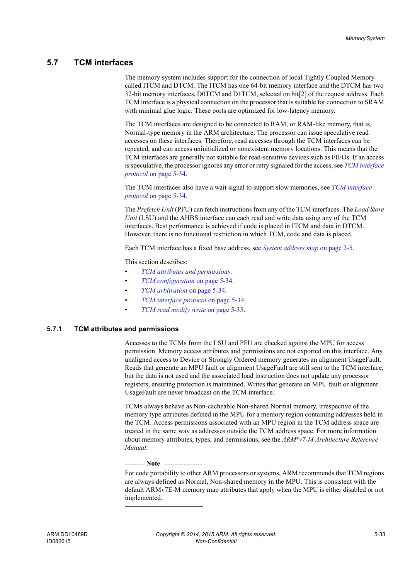# **5.7 TCM interfaces**

The memory system includes support for the connection of local Tightly Coupled Memory called ITCM and DTCM. The ITCM has one 64-bit memory interface and the DTCM has two 32-bit memory interfaces, D0TCM and D1TCM, selected on bit[2] of the request address. Each TCM interface is a physical connection on the processor that is suitable for connection to SRAM with minimal glue logic. These ports are optimized for low-latency memory.

The TCM interfaces are designed to be connected to RAM, or RAM-like memory, that is, Normal-type memory in the ARM architecture. The processor can issue speculative read accesses on these interfaces. Therefore, read accesses through the TCM interfaces can be repeated, and can access uninitialized or nonexistent memory locations. This means that the TCM interfaces are generally not suitable for read-sensitive devices such as FIFOs. If an access is speculative, the processor ignores any error or retry signaled for the access, see *[TCM interface](#page-96-1)  protocol* [on page 5-34.](#page-96-1)

The TCM interfaces also have a wait signal to support slow memories, see *[TCM interface](#page-96-1)  protocol* [on page 5-34.](#page-96-1)

The *Prefetch Unit* (PFU) can fetch instructions from any of the TCM interfaces. The *Load Store Unit* (LSU) and the AHBS interface can each read and write data using any of the TCM interfaces. Best performance is achieved if code is placed in ITCM and data in DTCM. However, there is no functional restriction in which TCM, code and data is placed.

Each TCM interface has a fixed base address, see *[System address map](#page-31-0)* on page 2-5.

This section describes:

- *[TCM attributes and permissions](#page-95-0)*.
- *[TCM configuration](#page-96-0)* on page 5-34.
- *[TCM arbitration](#page-96-2)* on page 5-34.
- *[TCM interface protocol](#page-96-1)* on page 5-34.
- *[TCM read modify write](#page-97-1)* on page 5-35.

#### <span id="page-95-0"></span>**5.7.1 TCM attributes and permissions**

Accesses to the TCMs from the LSU and PFU are checked against the MPU for access permission. Memory access attributes and permissions are not exported on this interface. Any unaligned access to Device or Strongly Ordered memory generates an alignment UsageFault. Reads that generate an MPU fault or alignment UsageFault are still sent to the TCM interface, but the data is not used and the associated load instruction does not update any processor registers, ensuring protection is maintained. Writes that generate an MPU fault or alignment UsageFault are never broadcast on the TCM interface.

TCMs always behave as Non-cacheable Non-shared Normal memory, irrespective of the memory type attributes defined in the MPU for a memory region containing addresses held in the TCM. Access permissions associated with an MPU region in the TCM address space are treated in the same way as addresses outside the TCM address space. For more information about memory attributes, types, and permissions, see the *ARM®v7-M Architecture Reference Manual*.

- Note

 For code portability to other ARM processors or systems, ARM recommends that TCM regions are always defined as Normal, Non-shared memory in the MPU. This is consistent with the default ARMv7E-M memory map attributes that apply when the MPU is either disabled or not implemented.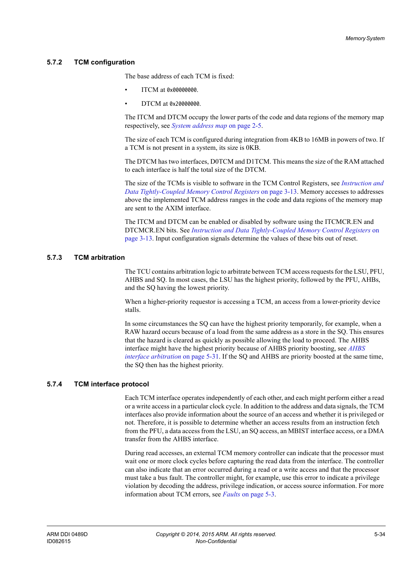#### <span id="page-96-0"></span>**5.7.2 TCM configuration**

The base address of each TCM is fixed:

- ITCM at 0x00000000.
- DTCM at 0x20000000.

The ITCM and DTCM occupy the lower parts of the code and data regions of the memory map respectively, see *[System address map](#page-31-0)* on page 2-5.

The size of each TCM is configured during integration from 4KB to 16MB in powers of two. If a TCM is not present in a system, its size is 0KB.

The DTCM has two interfaces, D0TCM and D1TCM. This means the size of the RAM attached to each interface is half the total size of the DTCM.

The size of the TCMs is visible to software in the TCM Control Registers, see *[Instruction and](#page-48-0)  [Data Tightly-Coupled Memory Control Registers](#page-48-0)* on page 3-13. Memory accesses to addresses above the implemented TCM address ranges in the code and data regions of the memory map are sent to the AXIM interface.

The ITCM and DTCM can be enabled or disabled by software using the ITCMCR.EN and DTCMCR.EN bits. See *[Instruction and Data Tightly-Coupled Memory Control Registers](#page-48-0)* on [page 3-13](#page-48-0). Input configuration signals determine the values of these bits out of reset.

#### <span id="page-96-2"></span>**5.7.3 TCM arbitration**

The TCU contains arbitration logic to arbitrate between TCM access requests for the LSU, PFU, AHBS and SQ. In most cases, the LSU has the highest priority, followed by the PFU, AHBs, and the SQ having the lowest priority.

When a higher-priority requestor is accessing a TCM, an access from a lower-priority device stalls.

In some circumstances the SQ can have the highest priority temporarily, for example, when a RAW hazard occurs because of a load from the same address as a store in the SQ. This ensures that the hazard is cleared as quickly as possible allowing the load to proceed. The AHBS interface might have the highest priority because of AHBS priority boosting, see *[AHBS](#page-93-0)  [interface arbitration](#page-93-0)* on page 5-31. If the SQ and AHBS are priority boosted at the same time, the SQ then has the highest priority.

### <span id="page-96-1"></span>**5.7.4 TCM interface protocol**

Each TCM interface operates independently of each other, and each might perform either a read or a write access in a particular clock cycle. In addition to the address and data signals, the TCM interfaces also provide information about the source of an access and whether it is privileged or not. Therefore, it is possible to determine whether an access results from an instruction fetch from the PFU, a data access from the LSU, an SQ access, an MBIST interface access, or a DMA transfer from the AHBS interface.

During read accesses, an external TCM memory controller can indicate that the processor must wait one or more clock cycles before capturing the read data from the interface. The controller can also indicate that an error occurred during a read or a write access and that the processor must take a bus fault. The controller might, for example, use this error to indicate a privilege violation by decoding the address, privilege indication, or access source information. For more information about TCM errors, see *Faults* [on page 5-3.](#page-65-0)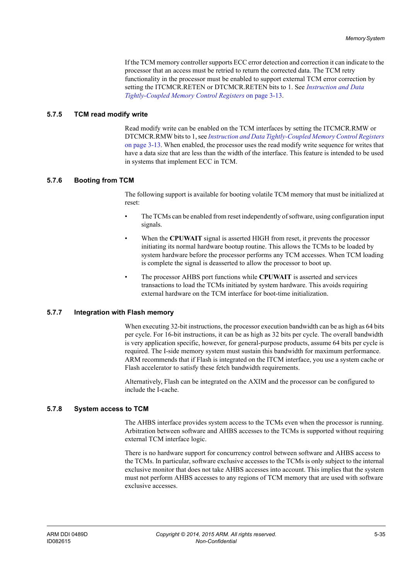If the TCM memory controller supports ECC error detection and correction it can indicate to the processor that an access must be retried to return the corrected data. The TCM retry functionality in the processor must be enabled to support external TCM error correction by setting the ITCMCR.RETEN or DTCMCR.RETEN bits to 1. See *[Instruction and Data](#page-48-0)  [Tightly-Coupled Memory Control Registers](#page-48-0)* on page 3-13.

#### <span id="page-97-1"></span>**5.7.5 TCM read modify write**

Read modify write can be enabled on the TCM interfaces by setting the ITCMCR.RMW or DTCMCR.RMW bits to 1, see *[Instruction and Data Tightly-Coupled Memory Control Registers](#page-48-0)* [on page 3-13](#page-48-0). When enabled, the processor uses the read modify write sequence for writes that have a data size that are less than the width of the interface. This feature is intended to be used in systems that implement ECC in TCM.

#### **5.7.6 Booting from TCM**

The following support is available for booting volatile TCM memory that must be initialized at reset:

- The TCMs can be enabled from reset independently of software, using configuration input signals.
- When the **CPUWAIT** signal is asserted HIGH from reset, it prevents the processor initiating its normal hardware bootup routine. This allows the TCMs to be loaded by system hardware before the processor performs any TCM accesses. When TCM loading is complete the signal is deasserted to allow the processor to boot up.
- The processor AHBS port functions while **CPUWAIT** is asserted and services transactions to load the TCMs initiated by system hardware. This avoids requiring external hardware on the TCM interface for boot-time initialization.

#### **5.7.7 Integration with Flash memory**

When executing 32-bit instructions, the processor execution bandwidth can be as high as 64 bits per cycle. For 16-bit instructions, it can be as high as 32 bits per cycle. The overall bandwidth is very application specific, however, for general-purpose products, assume 64 bits per cycle is required. The I-side memory system must sustain this bandwidth for maximum performance. ARM recommends that if Flash is integrated on the ITCM interface, you use a system cache or Flash accelerator to satisfy these fetch bandwidth requirements.

Alternatively, Flash can be integrated on the AXIM and the processor can be configured to include the I-cache.

#### <span id="page-97-0"></span>**5.7.8 System access to TCM**

The AHBS interface provides system access to the TCMs even when the processor is running. Arbitration between software and AHBS accesses to the TCMs is supported without requiring external TCM interface logic.

There is no hardware support for concurrency control between software and AHBS access to the TCMs. In particular, software exclusive accesses to the TCMs is only subject to the internal exclusive monitor that does not take AHBS accesses into account. This implies that the system must not perform AHBS accesses to any regions of TCM memory that are used with software exclusive accesses.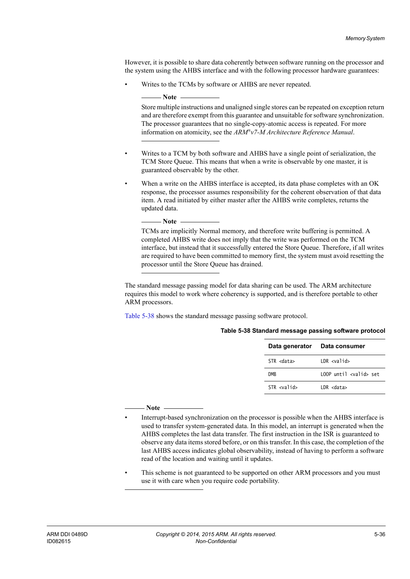However, it is possible to share data coherently between software running on the processor and the system using the AHBS interface and with the following processor hardware guarantees:

Writes to the TCMs by software or AHBS are never repeated.

 Store multiple instructions and unaligned single stores can be repeated on exception return and are therefore exempt from this guarantee and unsuitable for software synchronization. The processor guarantees that no single-copy-atomic access is repeated. For more information on atomicity, see the *ARM®v7-M Architecture Reference Manual*.

- Writes to a TCM by both software and AHBS have a single point of serialization, the TCM Store Queue. This means that when a write is observable by one master, it is guaranteed observable by the other.
- When a write on the AHBS interface is accepted, its data phase completes with an OK response, the processor assumes responsibility for the coherent observation of that data item. A read initiated by either master after the AHBS write completes, returns the updated data.

- Note

 $-$  Note -

 TCMs are implicitly Normal memory, and therefore write buffering is permitted. A completed AHBS write does not imply that the write was performed on the TCM interface, but instead that it successfully entered the Store Queue. Therefore, if all writes are required to have been committed to memory first, the system must avoid resetting the processor until the Store Queue has drained.

The standard message passing model for data sharing can be used. The ARM architecture requires this model to work where coherency is supported, and is therefore portable to other ARM processors.

<span id="page-98-0"></span>[Table 5-38](#page-98-0) shows the standard message passing software protocol.

|                     | Data generator Data consumer   |
|---------------------|--------------------------------|
| STR <data></data>   | $1DR \times$                   |
| <b>DMR</b>          | 100P until <valid> set</valid> |
| STR <valid></valid> | $IDR <$ data>                  |

#### **Table 5-38 Standard message passing software protocol**

#### **Note**

- Interrupt-based synchronization on the processor is possible when the AHBS interface is used to transfer system-generated data. In this model, an interrupt is generated when the AHBS completes the last data transfer. The first instruction in the ISR is guaranteed to observe any data items stored before, or on this transfer. In this case, the completion of the last AHBS access indicates global observability, instead of having to perform a software read of the location and waiting until it updates.
- This scheme is not guaranteed to be supported on other ARM processors and you must use it with care when you require code portability.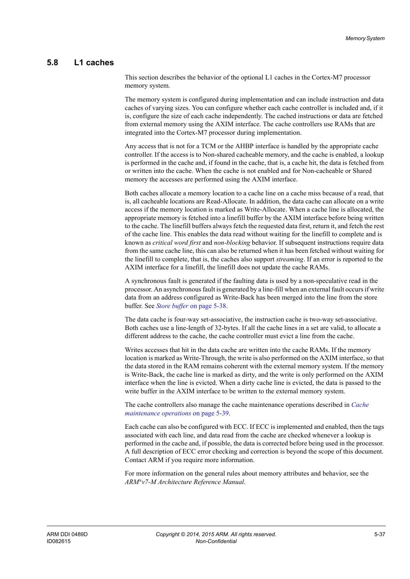## **5.8 L1 caches**

This section describes the behavior of the optional L1 caches in the Cortex-M7 processor memory system.

The memory system is configured during implementation and can include instruction and data caches of varying sizes. You can configure whether each cache controller is included and, if it is, configure the size of each cache independently. The cached instructions or data are fetched from external memory using the AXIM interface. The cache controllers use RAMs that are integrated into the Cortex-M7 processor during implementation.

Any access that is not for a TCM or the AHBP interface is handled by the appropriate cache controller. If the access is to Non-shared cacheable memory, and the cache is enabled, a lookup is performed in the cache and, if found in the cache, that is, a cache hit, the data is fetched from or written into the cache. When the cache is not enabled and for Non-cacheable or Shared memory the accesses are performed using the AXIM interface.

Both caches allocate a memory location to a cache line on a cache miss because of a read, that is, all cacheable locations are Read-Allocate. In addition, the data cache can allocate on a write access if the memory location is marked as Write-Allocate. When a cache line is allocated, the appropriate memory is fetched into a linefill buffer by the AXIM interface before being written to the cache. The linefill buffers always fetch the requested data first, return it, and fetch the rest of the cache line. This enables the data read without waiting for the linefill to complete and is known as *critical word first* and *non-blocking* behavior. If subsequent instructions require data from the same cache line, this can also be returned when it has been fetched without waiting for the linefill to complete, that is, the caches also support *streaming*. If an error is reported to the AXIM interface for a linefill, the linefill does not update the cache RAMs.

A synchronous fault is generated if the faulting data is used by a non-speculative read in the processor. An asynchronous fault is generated by a line-fill when an external fault occurs if write data from an address configured as Write-Back has been merged into the line from the store buffer. See *Store buffer* [on page 5-38](#page-100-0).

The data cache is four-way set-associative, the instruction cache is two-way set-associative. Both caches use a line-length of 32-bytes. If all the cache lines in a set are valid, to allocate a different address to the cache, the cache controller must evict a line from the cache.

Writes accesses that hit in the data cache are written into the cache RAMs. If the memory location is marked as Write-Through, the write is also performed on the AXIM interface, so that the data stored in the RAM remains coherent with the external memory system. If the memory is Write-Back, the cache line is marked as dirty, and the write is only performed on the AXIM interface when the line is evicted. When a dirty cache line is evicted, the data is passed to the write buffer in the AXIM interface to be written to the external memory system.

The cache controllers also manage the cache maintenance operations described in *[Cache](#page-101-0)  [maintenance operations](#page-101-0)* on page 5-39.

Each cache can also be configured with ECC. If ECC is implemented and enabled, then the tags associated with each line, and data read from the cache are checked whenever a lookup is performed in the cache and, if possible, the data is corrected before being used in the processor. A full description of ECC error checking and correction is beyond the scope of this document. Contact ARM if you require more information.

For more information on the general rules about memory attributes and behavior, see the *ARM®v7-M Architecture Reference Manual*.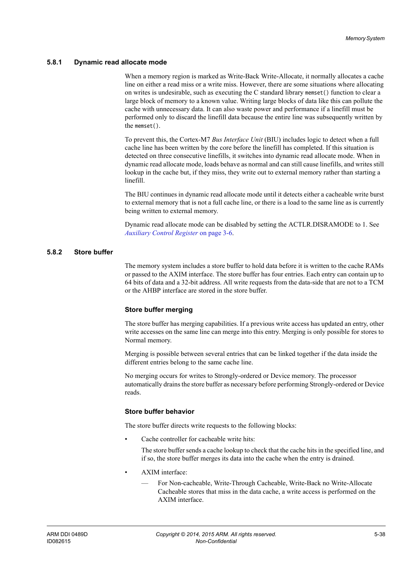#### **5.8.1 Dynamic read allocate mode**

When a memory region is marked as Write-Back Write-Allocate, it normally allocates a cache line on either a read miss or a write miss. However, there are some situations where allocating on writes is undesirable, such as executing the C standard library memset() function to clear a large block of memory to a known value. Writing large blocks of data like this can pollute the cache with unnecessary data. It can also waste power and performance if a linefill must be performed only to discard the linefill data because the entire line was subsequently written by the memset().

To prevent this, the Cortex-M7 *Bus Interface Unit* (BIU) includes logic to detect when a full cache line has been written by the core before the linefill has completed. If this situation is detected on three consecutive linefills, it switches into dynamic read allocate mode. When in dynamic read allocate mode, loads behave as normal and can still cause linefills, and writes still lookup in the cache but, if they miss, they write out to external memory rather than starting a linefill.

The BIU continues in dynamic read allocate mode until it detects either a cacheable write burst to external memory that is not a full cache line, or there is a load to the same line as is currently being written to external memory.

Dynamic read allocate mode can be disabled by setting the ACTLR.DISRAMODE to 1. See *[Auxiliary Control Register](#page-41-0)* on page 3-6.

#### <span id="page-100-0"></span>**5.8.2 Store buffer**

The memory system includes a store buffer to hold data before it is written to the cache RAMs or passed to the AXIM interface. The store buffer has four entries. Each entry can contain up to 64 bits of data and a 32-bit address. All write requests from the data-side that are not to a TCM or the AHBP interface are stored in the store buffer.

#### **Store buffer merging**

The store buffer has merging capabilities. If a previous write access has updated an entry, other write accesses on the same line can merge into this entry. Merging is only possible for stores to Normal memory.

Merging is possible between several entries that can be linked together if the data inside the different entries belong to the same cache line.

No merging occurs for writes to Strongly-ordered or Device memory. The processor automatically drains the store buffer as necessary before performing Strongly-ordered or Device reads.

#### **Store buffer behavior**

The store buffer directs write requests to the following blocks:

Cache controller for cacheable write hits:

The store buffer sends a cache lookup to check that the cache hits in the specified line, and if so, the store buffer merges its data into the cache when the entry is drained.

- AXIM interface:
	- For Non-cacheable, Write-Through Cacheable, Write-Back no Write-Allocate Cacheable stores that miss in the data cache, a write access is performed on the AXIM interface.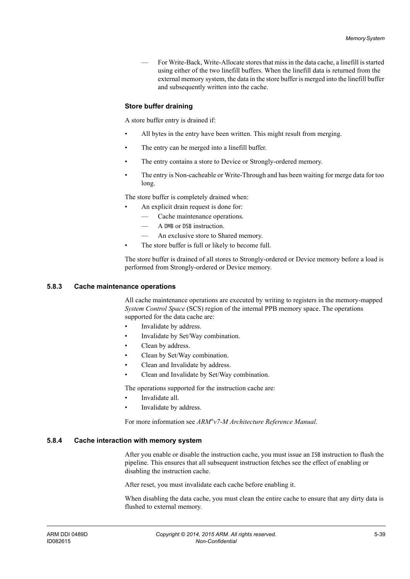— For Write-Back, Write-Allocate stores that miss in the data cache, a linefill is started using either of the two linefill buffers. When the linefill data is returned from the external memory system, the data in the store buffer is merged into the linefill buffer and subsequently written into the cache.

#### **Store buffer draining**

A store buffer entry is drained if:

- All bytes in the entry have been written. This might result from merging.
- The entry can be merged into a linefill buffer.
- The entry contains a store to Device or Strongly-ordered memory.
- The entry is Non-cacheable or Write-Through and has been waiting for merge data for too long.

The store buffer is completely drained when:

- An explicit drain request is done for:
	- Cache maintenance operations.
	- A DMB or DSB instruction.
	- An exclusive store to Shared memory.
- The store buffer is full or likely to become full.

The store buffer is drained of all stores to Strongly-ordered or Device memory before a load is performed from Strongly-ordered or Device memory.

#### <span id="page-101-0"></span>**5.8.3 Cache maintenance operations**

All cache maintenance operations are executed by writing to registers in the memory-mapped *System Control Space* (SCS) region of the internal PPB memory space. The operations supported for the data cache are:

- Invalidate by address.
- Invalidate by Set/Way combination.
- Clean by address.
- Clean by Set/Way combination.
- Clean and Invalidate by address.
- Clean and Invalidate by Set/Way combination.

The operations supported for the instruction cache are:

- Invalidate all.
- Invalidate by address.

For more information see *ARM®v7-M Architecture Reference Manual*.

#### **5.8.4 Cache interaction with memory system**

After you enable or disable the instruction cache, you must issue an ISB instruction to flush the pipeline. This ensures that all subsequent instruction fetches see the effect of enabling or disabling the instruction cache.

After reset, you must invalidate each cache before enabling it.

When disabling the data cache, you must clean the entire cache to ensure that any dirty data is flushed to external memory.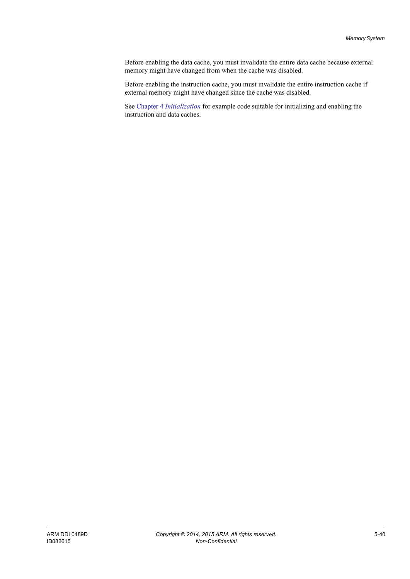Before enabling the data cache, you must invalidate the entire data cache because external memory might have changed from when the cache was disabled.

Before enabling the instruction cache, you must invalidate the entire instruction cache if external memory might have changed since the cache was disabled.

See Chapter 4 *[Initialization](#page-57-0)* for example code suitable for initializing and enabling the instruction and data caches.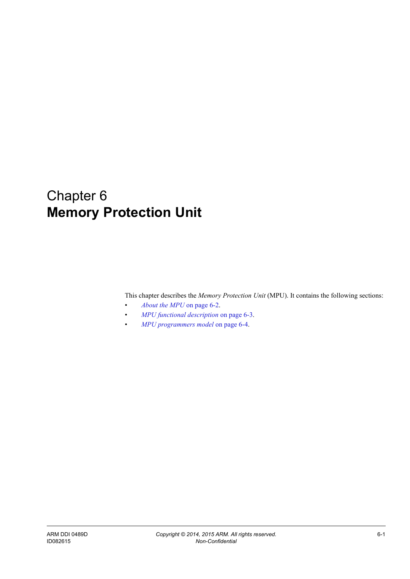# Chapter 6 **Memory Protection Unit**

This chapter describes the *Memory Protection Unit* (MPU). It contains the following sections:

- *[About the MPU](#page-104-0)* on page 6-2.
- *[MPU functional description](#page-105-0)* on page 6-3.
- *[MPU programmers model](#page-106-0)* on page 6-4.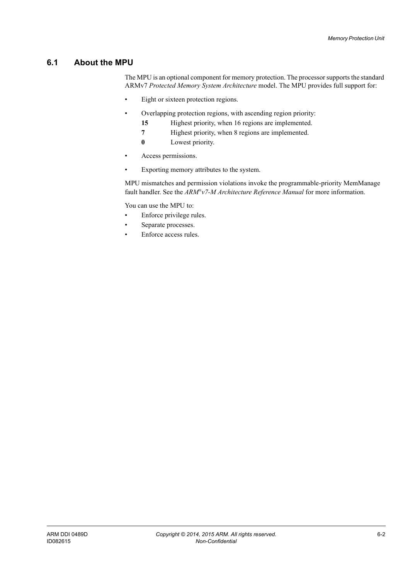# <span id="page-104-0"></span>**6.1 About the MPU**

The MPU is an optional component for memory protection. The processor supports the standard ARMv7 *Protected Memory System Architecture* model. The MPU provides full support for:

- Eight or sixteen protection regions.
- Overlapping protection regions, with ascending region priority:
	- **15** Highest priority, when 16 regions are implemented.
	- **7** Highest priority, when 8 regions are implemented.
	- **0** Lowest priority.
- Access permissions.
- Exporting memory attributes to the system.

MPU mismatches and permission violations invoke the programmable-priority MemManage fault handler. See the *ARM®v7-M Architecture Reference Manual* for more information.

You can use the MPU to:

- Enforce privilege rules.
- Separate processes.
- Enforce access rules.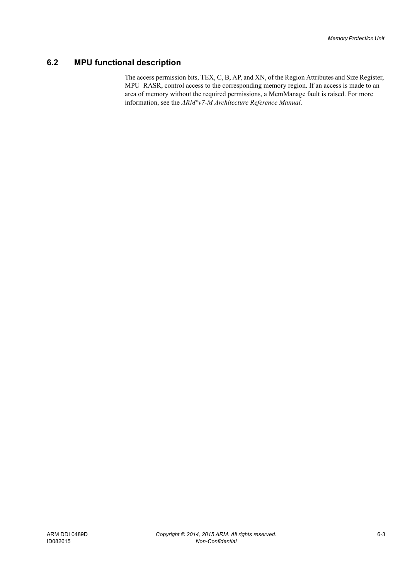# <span id="page-105-0"></span>**6.2 MPU functional description**

The access permission bits, TEX, C, B, AP, and XN, of the Region Attributes and Size Register, MPU\_RASR, control access to the corresponding memory region. If an access is made to an area of memory without the required permissions, a MemManage fault is raised. For more information, see the *ARM®v7-M Architecture Reference Manual*.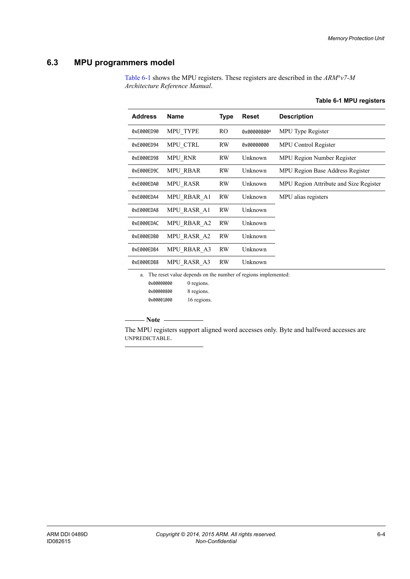# <span id="page-106-0"></span>**6.3 MPU programmers model**

<span id="page-106-1"></span>[Table 6-1](#page-106-1) shows the MPU registers. These registers are described in the *ARM®v7-M Architecture Reference Manual*.

| <b>Address</b> | Name                              | <b>Type</b> | <b>Reset</b> | <b>Description</b>                     |
|----------------|-----------------------------------|-------------|--------------|----------------------------------------|
| 0xE000ED90     | <b>MPU TYPE</b>                   | RO.         | 0x00000800a  | MPU Type Register                      |
| 0xE000ED94     | MPU_CTRL                          | RW          | 0x00000000   | <b>MPU Control Register</b>            |
| 0xE000ED98     | MPU_RNR                           | RW          | Unknown      | MPU Region Number Register             |
| 0xE000ED9C     | MPU RBAR                          | RW          | Unknown      | MPU Region Base Address Register       |
| 0xE000EDA0     | MPU_RASR                          | <b>RW</b>   | Unknown      | MPU Region Attribute and Size Register |
| 0xE000EDA4     | MPU RBAR A1                       | <b>RW</b>   | Unknown      | MPU alias registers                    |
| 0xE000EDA8     | MPU RASR A1                       | <b>RW</b>   | Unknown      |                                        |
| 0xE000EDAC     | MPU RBAR A2                       | <b>RW</b>   | Unknown      |                                        |
| 0xE000EDB0     | MPU RASR A2                       | <b>RW</b>   | Unknown      |                                        |
| 0xE000EDB4     | MPU RBAR A3                       | <b>RW</b>   | Unknown      |                                        |
| 0xE000EDB8     | MPU RASR A3                       | <b>RW</b>   | Unknown      |                                        |
|                | $\sim$ 11 12 13 16 16 16 17 17 18 |             |              |                                        |

#### **Table 6-1 MPU registers**

a. The reset value depends on the number of regions implemented: 0x00000000 0 regions.

0x00000800 8 regions.

0x00001000 16 regions.

 $-$  Note  $-$ 

 The MPU registers support aligned word accesses only. Byte and halfword accesses are UNPREDICTABLE.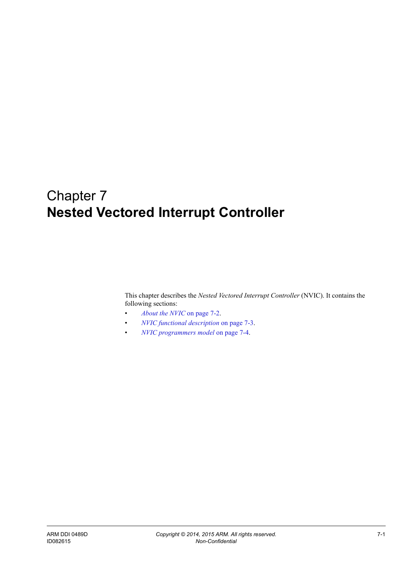# Chapter 7 **Nested Vectored Interrupt Controller**

This chapter describes the *Nested Vectored Interrupt Controller* (NVIC). It contains the following sections:

- *[About the NVIC](#page-108-0)* on page 7-2.
- *[NVIC functional description](#page-109-0)* on page 7-3.
- *[NVIC programmers model](#page-110-0)* on page 7-4.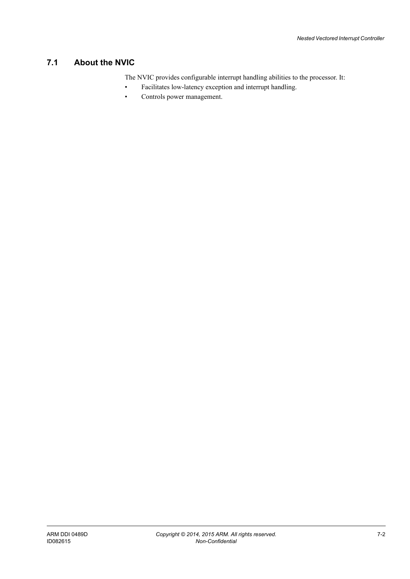## **7.1 About the NVIC**

The NVIC provides configurable interrupt handling abilities to the processor. It:

- Facilitates low-latency exception and interrupt handling.
- Controls power management.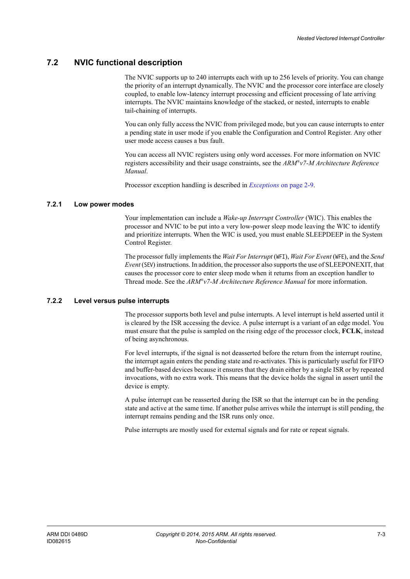## **7.2 NVIC functional description**

The NVIC supports up to 240 interrupts each with up to 256 levels of priority. You can change the priority of an interrupt dynamically. The NVIC and the processor core interface are closely coupled, to enable low-latency interrupt processing and efficient processing of late arriving interrupts. The NVIC maintains knowledge of the stacked, or nested, interrupts to enable tail-chaining of interrupts.

You can only fully access the NVIC from privileged mode, but you can cause interrupts to enter a pending state in user mode if you enable the Configuration and Control Register. Any other user mode access causes a bus fault.

You can access all NVIC registers using only word accesses. For more information on NVIC registers accessibility and their usage constraints, see the *ARM®v7-M Architecture Reference Manual*.

Processor exception handling is described in *Exceptions* [on page 2-9](#page-35-0).

### **7.2.1 Low power modes**

Your implementation can include a *Wake-up Interrupt Controller* (WIC). This enables the processor and NVIC to be put into a very low-power sleep mode leaving the WIC to identify and prioritize interrupts. When the WIC is used, you must enable SLEEPDEEP in the System Control Register.

The processor fully implements the *Wait For Interrupt* (WFI), *Wait For Event* (WFE), and the *Send Event* (SEV) instructions. In addition, the processor also supports the use of SLEEPONEXIT, that causes the processor core to enter sleep mode when it returns from an exception handler to Thread mode. See the *ARM®v7-M Architecture Reference Manual* for more information.

### **7.2.2 Level versus pulse interrupts**

The processor supports both level and pulse interrupts. A level interrupt is held asserted until it is cleared by the ISR accessing the device. A pulse interrupt is a variant of an edge model. You must ensure that the pulse is sampled on the rising edge of the processor clock, **FCLK**, instead of being asynchronous.

For level interrupts, if the signal is not deasserted before the return from the interrupt routine, the interrupt again enters the pending state and re-activates. This is particularly useful for FIFO and buffer-based devices because it ensures that they drain either by a single ISR or by repeated invocations, with no extra work. This means that the device holds the signal in assert until the device is empty.

A pulse interrupt can be reasserted during the ISR so that the interrupt can be in the pending state and active at the same time. If another pulse arrives while the interrupt is still pending, the interrupt remains pending and the ISR runs only once.

Pulse interrupts are mostly used for external signals and for rate or repeat signals.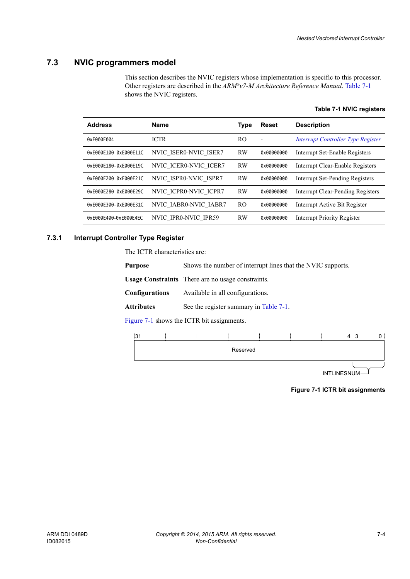## **7.3 NVIC programmers model**

<span id="page-110-0"></span>This section describes the NVIC registers whose implementation is specific to this processor. Other registers are described in the *ARM®v7-M Architecture Reference Manual*. [Table 7-1](#page-110-0) shows the NVIC registers.

|  | Table 7-1 NVIC registers |
|--|--------------------------|
|  |                          |

| <b>Address</b>        | <b>Name</b>           | <b>Type</b> | Reset      | <b>Description</b>                        |
|-----------------------|-----------------------|-------------|------------|-------------------------------------------|
| 0xE000E004            | <b>ICTR</b>           | RO.         | ٠          | <i>Interrupt Controller Type Register</i> |
| 0xE000E100-0xE000E11C | NVIC ISER0-NVIC ISER7 | <b>RW</b>   | 0x00000000 | Interrupt Set-Enable Registers            |
| 0xE000E180-0xE000E19C | NVIC ICER0-NVIC ICER7 | <b>RW</b>   | 0x00000000 | Interrupt Clear-Enable Registers          |
| 0xE000E200-0xE000E21C | NVIC ISPR0-NVIC ISPR7 | <b>RW</b>   | 0x00000000 | Interrupt Set-Pending Registers           |
| 0xE000E280-0xE000E29C | NVIC ICPR0-NVIC ICPR7 | <b>RW</b>   | 0x00000000 | Interrupt Clear-Pending Registers         |
| 0xE000E300-0xE000E31C | NVIC IABR0-NVIC IABR7 | RO.         | 0x00000000 | Interrupt Active Bit Register             |
| 0xE000E400-0xE000E4EC | NVIC IPRO-NVIC IPR59  | <b>RW</b>   | 0x00000000 | Interrupt Priority Register               |

### <span id="page-110-1"></span>**7.3.1 Interrupt Controller Type Register**

The ICTR characteristics are:

|  | Usage Constraints There are no usage constraints. |  |
|--|---------------------------------------------------|--|
|--|---------------------------------------------------|--|

**Configurations** Available in all configurations.

Attributes See the register summary in [Table 7-1](#page-110-0).

[Figure 7-1](#page-110-2) shows the ICTR bit assignments.

<span id="page-110-2"></span>

**INTLINESNUM** 

**Figure 7-1 ICTR bit assignments**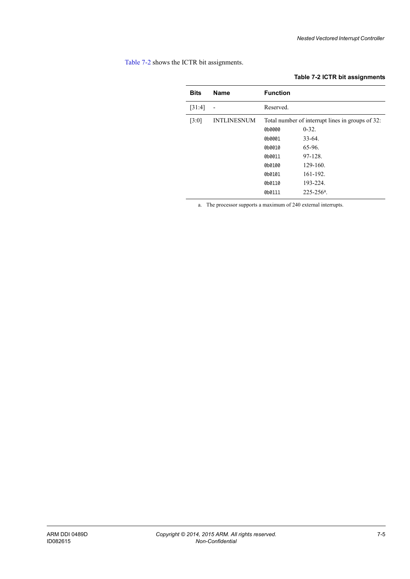<span id="page-111-0"></span>[Table 7-2](#page-111-0) shows the ICTR bit assignments.

### **Table 7-2 ICTR bit assignments**

| <b>Bits</b> | <b>Name</b>        | <b>Function</b> |                                                  |
|-------------|--------------------|-----------------|--------------------------------------------------|
| [31:4]      |                    | Reserved.       |                                                  |
| [3:0]       | <b>INTLINESNUM</b> |                 | Total number of interrupt lines in groups of 32: |
|             |                    | 0b0000          | $0-32.$                                          |
|             |                    | 0b0001          | $33 - 64$                                        |
|             |                    | 0b0010          | 65-96.                                           |
|             |                    | 0b0011          | 97-128                                           |
|             |                    | 0b0100          | 129-160.                                         |
|             |                    | 0b0101          | 161-192.                                         |
|             |                    | 0b0110          | 193-224.                                         |
|             |                    | 0b0111          | $225 - 256$ <sup>a</sup> .                       |

a. The processor supports a maximum of 240 external interrupts.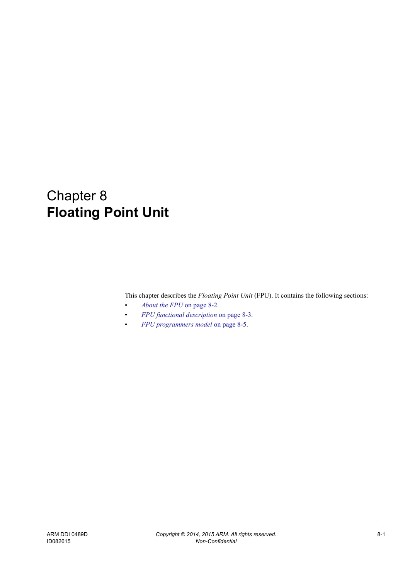# Chapter 8 **Floating Point Unit**

This chapter describes the *Floating Point Unit* (FPU). It contains the following sections:

- *[About the FPU](#page-113-0)* on page 8-2.
- *[FPU functional description](#page-114-0)* on page 8-3.
- *[FPU programmers model](#page-116-0)* on page 8-5.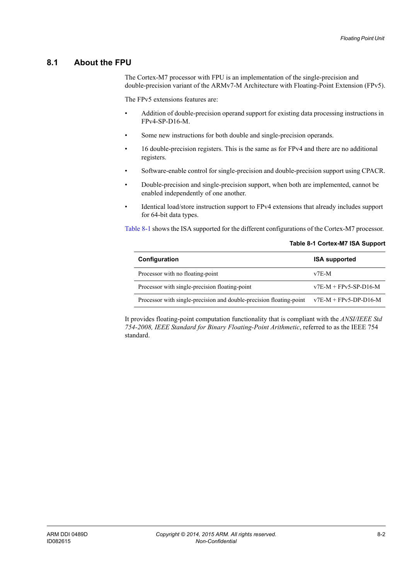**Table 8-1 Cortex-M7 ISA Support**

## <span id="page-113-0"></span>**8.1 About the FPU**

The Cortex-M7 processor with FPU is an implementation of the single-precision and double-precision variant of the ARMv7-M Architecture with Floating-Point Extension (FPv5).

The FPv5 extensions features are:

- Addition of double-precision operand support for existing data processing instructions in FPv4-SP-D16-M.
- Some new instructions for both double and single-precision operands.
- 16 double-precision registers. This is the same as for FPv4 and there are no additional registers.
- Software-enable control for single-precision and double-precision support using CPACR.
- Double-precision and single-precision support, when both are implemented, cannot be enabled independently of one another.
- Identical load/store instruction support to FPv4 extensions that already includes support for 64-bit data types.

<span id="page-113-1"></span>[Table 8-1](#page-113-1) shows the ISA supported for the different configurations of the Cortex-M7 processor.

| Configuration                                                       | <b>ISA supported</b>    |
|---------------------------------------------------------------------|-------------------------|
| Processor with no floating-point                                    | $v7E-M$                 |
| Processor with single-precision floating-point                      | $v7E-M + FPv5-SP-D16-M$ |
| Processor with single-precision and double-precision floating-point | $v7E-M + FPv5-DP-D16-M$ |

It provides floating-point computation functionality that is compliant with the *ANSI/IEEE Std 754-2008, IEEE Standard for Binary Floating-Point Arithmetic*, referred to as the IEEE 754 standard.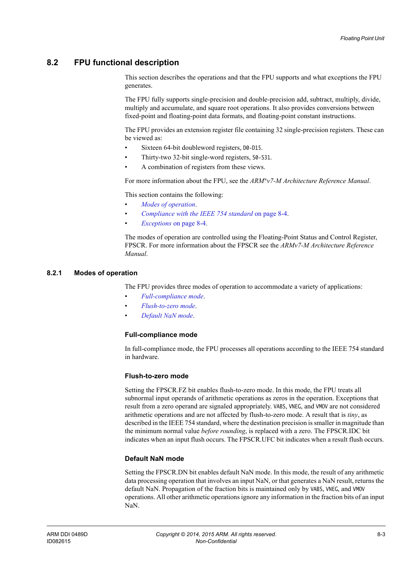## <span id="page-114-0"></span>**8.2 FPU functional description**

This section describes the operations and that the FPU supports and what exceptions the FPU generates.

The FPU fully supports single-precision and double-precision add, subtract, multiply, divide, multiply and accumulate, and square root operations. It also provides conversions between fixed-point and floating-point data formats, and floating-point constant instructions.

The FPU provides an extension register file containing 32 single-precision registers. These can be viewed as:

- Sixteen 64-bit doubleword registers,  $D0 D15$ .
- Thirty-two 32-bit single-word registers, S0-S31.
- A combination of registers from these views.

For more information about the FPU, see the *ARM®v7-M Architecture Reference Manual*.

This section contains the following:

- *[Modes of operation](#page-114-1)*.
- *[Compliance with the IEEE 754 standard](#page-115-0)* on page 8-4.
- *Exceptions* [on page 8-4.](#page-115-1)

The modes of operation are controlled using the Floating-Point Status and Control Register, FPSCR. For more information about the FPSCR see the *ARMv7-M Architecture Reference Manual*.

### <span id="page-114-1"></span>**8.2.1 Modes of operation**

The FPU provides three modes of operation to accommodate a variety of applications:

- *[Full-compliance mode](#page-114-2)*.
- *[Flush-to-zero mode](#page-114-3)*.
- *[Default NaN mode](#page-114-4)*.

### <span id="page-114-2"></span>**Full-compliance mode**

In full-compliance mode, the FPU processes all operations according to the IEEE 754 standard in hardware.

### <span id="page-114-3"></span>**Flush-to-zero mode**

Setting the FPSCR.FZ bit enables flush-to-zero mode. In this mode, the FPU treats all subnormal input operands of arithmetic operations as zeros in the operation. Exceptions that result from a zero operand are signaled appropriately. VABS, VNEG, and VMOV are not considered arithmetic operations and are not affected by flush-to-zero mode. A result that is *tiny*, as described in the IEEE 754 standard, where the destination precision is smaller in magnitude than the minimum normal value *before rounding*, is replaced with a zero. The FPSCR.IDC bit indicates when an input flush occurs. The FPSCR.UFC bit indicates when a result flush occurs.

### <span id="page-114-4"></span>**Default NaN mode**

Setting the FPSCR.DN bit enables default NaN mode. In this mode, the result of any arithmetic data processing operation that involves an input NaN, or that generates a NaN result, returns the default NaN. Propagation of the fraction bits is maintained only by VABS, VNEG, and VMOV operations. All other arithmetic operations ignore any information in the fraction bits of an input NaN.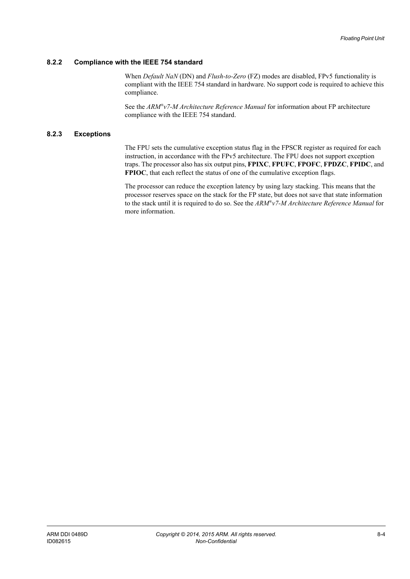### <span id="page-115-0"></span>**8.2.2 Compliance with the IEEE 754 standard**

When *Default NaN* (DN) and *Flush-to-Zero* (FZ) modes are disabled, FPv5 functionality is compliant with the IEEE 754 standard in hardware. No support code is required to achieve this compliance.

See the *ARM®v7-M Architecture Reference Manual* for information about FP architecture compliance with the IEEE 754 standard.

### <span id="page-115-1"></span>**8.2.3 Exceptions**

The FPU sets the cumulative exception status flag in the FPSCR register as required for each instruction, in accordance with the FPv5 architecture. The FPU does not support exception traps. The processor also has six output pins, **FPIXC**, **FPUFC**, **FPOFC**, **FPDZC**, **FPIDC**, and **FPIOC**, that each reflect the status of one of the cumulative exception flags.

The processor can reduce the exception latency by using lazy stacking. This means that the processor reserves space on the stack for the FP state, but does not save that state information to the stack until it is required to do so. See the *ARM®v7-M Architecture Reference Manual* for more information.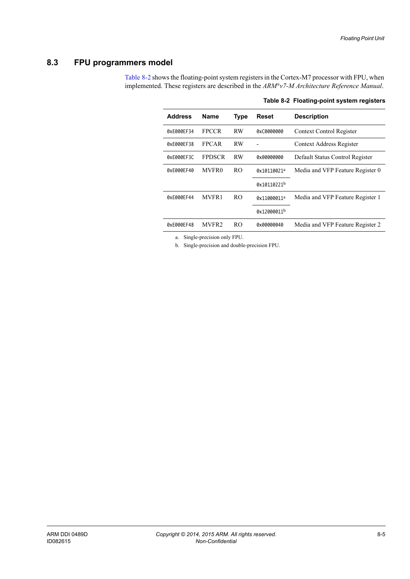## <span id="page-116-0"></span>**8.3 FPU programmers model**

<span id="page-116-1"></span>[Table 8-2](#page-116-1) shows the floating-point system registers in the Cortex-M7 processor with FPU, when implemented. These registers are described in the *ARM®v7-M Architecture Reference Manual*.

| <b>Address</b> | Name          | <b>Type</b>    | Reset       | <b>Description</b>               |
|----------------|---------------|----------------|-------------|----------------------------------|
| 0xE000EF34     | <b>FPCCR</b>  | <b>RW</b>      | 0xC0000000  | Context Control Register         |
| 0xE000EF38     | <b>FPCAR</b>  | RW             |             | Context Address Register         |
| 0xE000EF3C     | <b>FPDSCR</b> | RW             | 0x00000000  | Default Status Control Register  |
| 0xE000EF40     | MVFR0         | R <sub>O</sub> | 0x10110021ª | Media and VFP Feature Register 0 |
|                |               |                | 0x10110221b |                                  |
| 0xE000EF44     | <b>MVFR1</b>  | R <sub>O</sub> | 0x11000011ª | Media and VFP Feature Register 1 |
|                |               |                | 0x12000011b |                                  |
| 0xE000EF48     | MVFR2         | RO.            | 0x00000040  | Media and VFP Feature Register 2 |
|                |               |                |             |                                  |

<span id="page-116-3"></span><span id="page-116-2"></span>**Table 8-2 Floating-point system registers**

a. Single-precision only FPU.

b. Single-precision and double-precision FPU.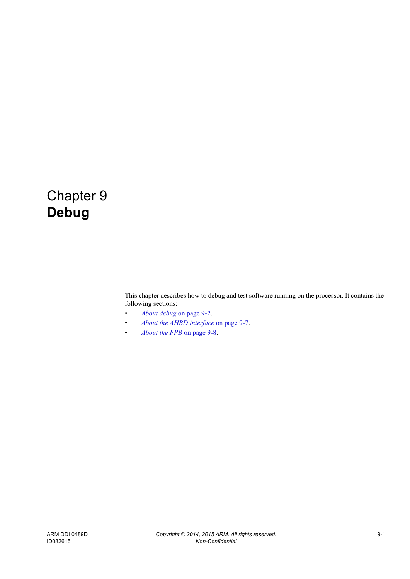## Chapter 9 **Debug**

This chapter describes how to debug and test software running on the processor. It contains the following sections:

- *[About debug](#page-118-0)* on page 9-2.
- *[About the AHBD interface](#page-123-0)* on page 9-7.
- *[About the FPB](#page-124-0)* on page 9-8.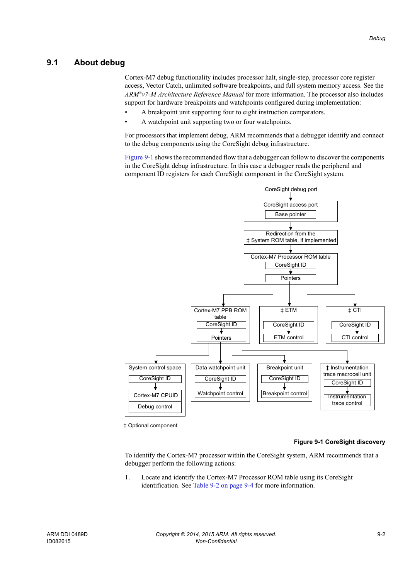### <span id="page-118-0"></span>**9.1 About debug**

Cortex-M7 debug functionality includes processor halt, single-step, processor core register access, Vector Catch, unlimited software breakpoints, and full system memory access. See the *ARM®v7-M Architecture Reference Manual* for more information. The processor also includes support for hardware breakpoints and watchpoints configured during implementation:

- A breakpoint unit supporting four to eight instruction comparators.
- A watchpoint unit supporting two or four watchpoints.

For processors that implement debug, ARM recommends that a debugger identify and connect to the debug components using the CoreSight debug infrastructure.

[Figure 9-1](#page-118-1) shows the recommended flow that a debugger can follow to discover the components in the CoreSight debug infrastructure. In this case a debugger reads the peripheral and component ID registers for each CoreSight component in the CoreSight system.



<span id="page-118-1"></span>‡ Optional component

### **Figure 9-1 CoreSight discovery**

To identify the Cortex-M7 processor within the CoreSight system, ARM recommends that a debugger perform the following actions:

1. Locate and identify the Cortex-M7 Processor ROM table using its CoreSight identification. See [Table 9-2 on page 9-4](#page-120-0) for more information.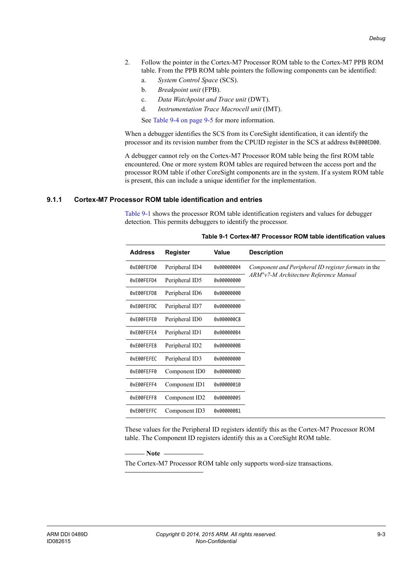- 2. Follow the pointer in the Cortex-M7 Processor ROM table to the Cortex-M7 PPB ROM table. From the PPB ROM table pointers the following components can be identified:
	- a. *System Control Space* (SCS).
	- b. *Breakpoint unit* (FPB).
	- c. *Data Watchpoint and Trace unit* (DWT).
	- d. *Instrumentation Trace Macrocell unit* (IMT).

See [Table 9-4 on page 9-5](#page-121-0) for more information.

When a debugger identifies the SCS from its CoreSight identification, it can identify the processor and its revision number from the CPUID register in the SCS at address 0xE000ED00.

A debugger cannot rely on the Cortex-M7 Processor ROM table being the first ROM table encountered. One or more system ROM tables are required between the access port and the processor ROM table if other CoreSight components are in the system. If a system ROM table is present, this can include a unique identifier for the implementation.

### <span id="page-119-1"></span>**9.1.1 Cortex-M7 Processor ROM table identification and entries**

<span id="page-119-0"></span>[Table 9-1](#page-119-0) shows the processor ROM table identification registers and values for debugger detection. This permits debuggers to identify the processor.

| <b>Address</b> |            | <b>Register</b>            | <b>Value</b> | <b>Description</b>                                  |
|----------------|------------|----------------------------|--------------|-----------------------------------------------------|
|                | 0xE00FEFD0 | Peripheral ID4             | 0x00000004   | Component and Peripheral ID register formats in the |
| 0xE00FEFD4     |            | Peripheral ID5             | 0x00000000   | ARM®v7-M Architecture Reference Manual              |
| 0xE00FEFD8     |            | Peripheral ID6             | 0x00000000   |                                                     |
|                | 0xE00FEFDC | Peripheral ID7             | 0x00000000   |                                                     |
| 0xE00FEFE0     |            | Peripheral ID0             | 0x000000C8   |                                                     |
| 0xE00FEFE4     |            | Peripheral ID1             | 0x000000B4   |                                                     |
| 0xE00FEFE8     |            | Peripheral ID <sub>2</sub> | 0x0000000B   |                                                     |
|                | 0xE00FEFEC | Peripheral ID3             | 0x00000000   |                                                     |
| 0xE00FEFF0     |            | Component ID0              | 0x0000000D   |                                                     |
| 0xE00FEFF4     |            | Component ID1              | 0x00000010   |                                                     |
| 0xE00FEFF8     |            | Component ID2              | 0x00000005   |                                                     |
|                | 0xE00FEFFC | Component ID3              | 0x000000B1   |                                                     |

#### **Table 9-1 Cortex-M7 Processor ROM table identification values**

These values for the Peripheral ID registers identify this as the Cortex-M7 Processor ROM table. The Component ID registers identify this as a CoreSight ROM table.

 $-$  Note  $-$ 

The Cortex-M7 Processor ROM table only supports word-size transactions.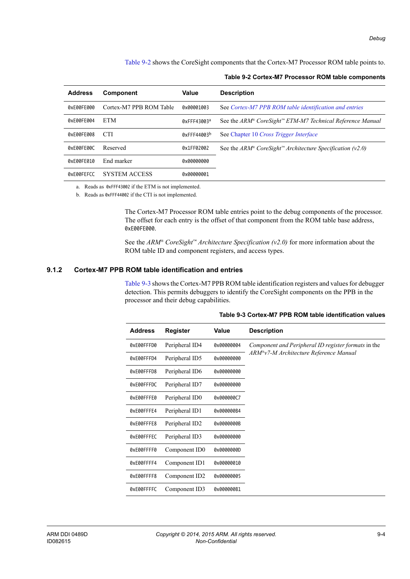<span id="page-120-0"></span>[Table 9-2](#page-120-0) shows the CoreSight components that the Cortex-M7 Processor ROM table points to.

| <b>Address</b>           | <b>Component</b>        | Value                   | <b>Description</b>                                                                |
|--------------------------|-------------------------|-------------------------|-----------------------------------------------------------------------------------|
| 0xE00FE000               | Cortex-M7 PPB ROM Table | 0x00001003              | See Cortex-M7 PPB ROM table identification and entries                            |
| 0xE00FE004               | <b>ETM</b>              | 0xFFF43003a             | See the $ARM^{\circ}$ CoreSight <sup>**</sup> ETM-M7 Technical Reference Manual   |
| 0xE00FE008               | <b>CTI</b>              | 0xFFF44003 <sup>b</sup> | See Chapter 10 Cross Trigger Interface                                            |
| 0xE00FE00C               | Reserved                | 0x1FF02002              | See the ARM <sup>®</sup> CoreSight <sup>™</sup> Architecture Specification (v2.0) |
| <b>QXFQQFFQ1Q</b>        | End marker              | 0x00000000              |                                                                                   |
| <b><i>OXFOOFFFCC</i></b> | <b>SYSTEM ACCESS</b>    | AxAAAAAAA1              |                                                                                   |

### **Table 9-2 Cortex-M7 Processor ROM table components**

a. Reads as 0xFFF43002 if the ETM is not implemented.

b. Reads as 0xFFF44002 if the CTI is not implemented.

The Cortex-M7 Processor ROM table entries point to the debug components of the processor. The offset for each entry is the offset of that component from the ROM table base address, 0xE00FE000.

See the *ARM® CoreSight™ Architecture Specification (v2.0)* for more information about the ROM table ID and component registers, and access types.

### <span id="page-120-2"></span>**9.1.2 Cortex-M7 PPB ROM table identification and entries**

<span id="page-120-1"></span>[Table 9-3](#page-120-1) shows the Cortex-M7 PPB ROM table identification registers and values for debugger detection. This permits debuggers to identify the CoreSight components on the PPB in the processor and their debug capabilities.

| <b>Address</b> | <b>Register</b>            | Value      | <b>Description</b>                                  |
|----------------|----------------------------|------------|-----------------------------------------------------|
| 0xE00FFFD0     | Peripheral ID4             | 0x00000004 | Component and Peripheral ID register formats in the |
| 0xE00FFFD4     | Peripheral ID5             | 0x00000000 | ARM®v7-M Architecture Reference Manual              |
| 0xE00FFFD8     | Peripheral ID6             | 0x00000000 |                                                     |
| 0xE00FFFDC     | Peripheral ID7             | 0x00000000 |                                                     |
| 0xE00FFFE0     | Peripheral ID0             | 0x000000C7 |                                                     |
| 0xE00FFFE4     | Peripheral ID1             | 0x000000B4 |                                                     |
| 0xE00FFFE8     | Peripheral ID <sub>2</sub> | 0x0000000B |                                                     |
| 0xE00FFFEC     | Peripheral ID3             | 0x00000000 |                                                     |
| 0xE00FFFF0     | Component ID0              | 0x0000000D |                                                     |
| 0xE00FFFF4     | Component ID1              | 0x00000010 |                                                     |
| 0xE00FFFF8     | Component ID <sub>2</sub>  | 0x00000005 |                                                     |
| 0xE00FFFFC     | Component ID3              | 0x000000B1 |                                                     |

#### **Table 9-3 Cortex-M7 PPB ROM table identification values**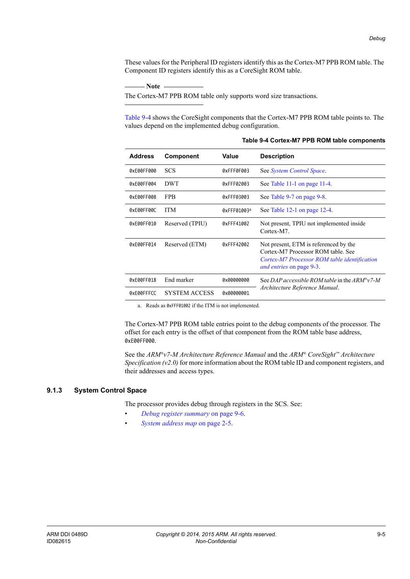These values for the Peripheral ID registers identify this as the Cortex-M7 PPB ROM table. The Component ID registers identify this as a CoreSight ROM table.

- Note

The Cortex-M7 PPB ROM table only supports word size transactions.

<span id="page-121-0"></span>[Table 9-4](#page-121-0) shows the CoreSight components that the Cortex-M7 PPB ROM table points to. The values depend on the implemented debug configuration.

| <b>Address</b> | Component            | Value       | <b>Description</b>                                                                                                                                     |
|----------------|----------------------|-------------|--------------------------------------------------------------------------------------------------------------------------------------------------------|
| 0xE00FF000     | <b>SCS</b>           | 0xFFF0F003  | See System Control Space.                                                                                                                              |
| 0xE00FF004     | <b>DWT</b>           | 0xFFF02003  | See Table 11-1 on page 11-4.                                                                                                                           |
| 0xE00FF008     | <b>FPB</b>           | 0xFFF03003  | See Table 9-7 on page 9-8.                                                                                                                             |
| 0xE00FF00C     | <b>ITM</b>           | 0xFFF01003a | See Table 12-1 on page 12-4.                                                                                                                           |
| 0xE00FF010     | Reserved (TPIU)      | 0xFFF41002  | Not present, TPIU not implemented inside<br>Cortex-M7                                                                                                  |
| 0xE00FF014     | Reserved (ETM)       | 0xFFF42002  | Not present, ETM is referenced by the<br>Cortex-M7 Processor ROM table See<br>Cortex-M7 Processor ROM table identification<br>and entries on page 9-3. |
| 0xE00FF018     | End marker           | 0x00000000  | See DAP accessible ROM table in the $ARM^{\circ}v7-M$                                                                                                  |
| 0xE00FFFCC     | <b>SYSTEM ACCESS</b> | 0x00000001  | Architecture Reference Manual.                                                                                                                         |

**Table 9-4 Cortex-M7 PPB ROM table components**

a. Reads as 0xFFF01002 if the ITM is not implemented.

The Cortex-M7 PPB ROM table entries point to the debug components of the processor. The offset for each entry is the offset of that component from the ROM table base address, 0xE00FF000.

See the *ARM®v7-M Architecture Reference Manual* and the *ARM® CoreSight™ Architecture Specification (v2.0)* for more information about the ROM table ID and component registers, and their addresses and access types.

### <span id="page-121-1"></span>**9.1.3 System Control Space**

The processor provides debug through registers in the SCS. See:

- *[Debug register summary](#page-122-0)* on page 9-6.
- *[System address map](#page-31-0)* on page 2-5.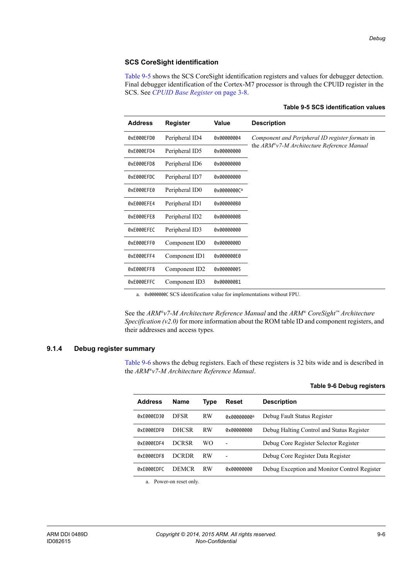### **SCS CoreSight identification**

<span id="page-122-1"></span>[Table 9-5](#page-122-1) shows the SCS CoreSight identification registers and values for debugger detection. Final debugger identification of the Cortex-M7 processor is through the CPUID register in the SCS. See *[CPUID Base Register](#page-43-0)* on page 3-8.

| <b>Address</b> | <b>Register</b>           | Value       | <b>Description</b>                                     |
|----------------|---------------------------|-------------|--------------------------------------------------------|
| 0xE000EFD0     | Peripheral ID4            | 0x00000004  | Component and Peripheral ID register formats in        |
| 0xE000EFD4     | Peripheral ID5            | 0x00000000  | the $ARM^{\circ}\nu$ 7-M Architecture Reference Manual |
| 0xE000EFD8     | Peripheral ID6            | 0x00000000  |                                                        |
| 0xE000EFDC     | Peripheral ID7            | 0x00000000  |                                                        |
| 0xE000EFE0     | Peripheral ID0            | 0x0000000Ca |                                                        |
| 0xE000EFE4     | Peripheral ID1            | 0x000000B0  |                                                        |
| 0xE000EFE8     | Peripheral ID2            | 0x0000000B  |                                                        |
| 0xE000EFEC     | Peripheral ID3            | 0x00000000  |                                                        |
| 0xE000EFF0     | Component ID0             | 0x0000000D  |                                                        |
| 0xE000EFF4     | Component ID1             | 0x000000E0  |                                                        |
| 0xE000EFF8     | Component ID <sub>2</sub> | 0x00000005  |                                                        |
| 0xE000EFFC     | Component ID3             | 0x000000B1  |                                                        |

### **Table 9-5 SCS identification values**

a. 0x0000000C SCS identification value for implementations without FPU.

See the *ARM®v7-M Architecture Reference Manual* and the *ARM® CoreSight™ Architecture Specification (v2.0)* for more information about the ROM table ID and component registers, and their addresses and access types.

### <span id="page-122-0"></span>**9.1.4 Debug register summary**

<span id="page-122-2"></span>[Table 9-6](#page-122-2) shows the debug registers. Each of these registers is 32 bits wide and is described in the *ARM®v7-M Architecture Reference Manual*.

|  |  | Table 9-6 Debug registers |
|--|--|---------------------------|
|  |  |                           |

| <b>Address</b>           | <b>Name</b>  | Type      | Reset                    | <b>Description</b>                           |
|--------------------------|--------------|-----------|--------------------------|----------------------------------------------|
| 0xF000FD30               | <b>DESR</b>  | <b>RW</b> | 0x00000000a              | Debug Fault Status Register                  |
| <b>QXFQQQFDFQ</b>        | <b>DHCSR</b> | <b>RW</b> | 0x00000000               | Debug Halting Control and Status Register    |
| 0xE000EDF4               | <b>DCRSR</b> | WΟ        | $\overline{\phantom{0}}$ | Debug Core Register Selector Register        |
| <b>QXFQQQFDF8</b>        | <b>DCRDR</b> | <b>RW</b> |                          | Debug Core Register Data Register            |
| <b><i>OXFOOOFDEC</i></b> | <b>DEMCR</b> | <b>RW</b> | AxAAAAAAAA               | Debug Exception and Monitor Control Register |
|                          |              |           |                          |                                              |

a. Power-on reset only.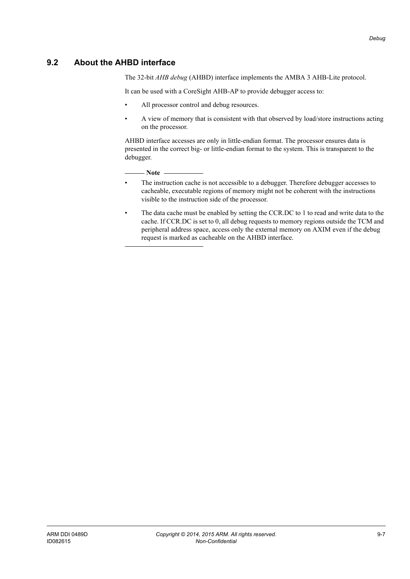## <span id="page-123-0"></span>**9.2 About the AHBD interface**

The 32-bit *AHB debug* (AHBD) interface implements the AMBA 3 AHB-Lite protocol.

It can be used with a CoreSight AHB-AP to provide debugger access to:

- All processor control and debug resources.
- A view of memory that is consistent with that observed by load/store instructions acting on the processor.

AHBD interface accesses are only in little-endian format. The processor ensures data is presented in the correct big- or little-endian format to the system. This is transparent to the debugger.

 $-$  Note  $-$ 

- The instruction cache is not accessible to a debugger. Therefore debugger accesses to cacheable, executable regions of memory might not be coherent with the instructions visible to the instruction side of the processor.
- The data cache must be enabled by setting the CCR.DC to 1 to read and write data to the cache. If CCR.DC is set to 0, all debug requests to memory regions outside the TCM and peripheral address space, access only the external memory on AXIM even if the debug request is marked as cacheable on the AHBD interface.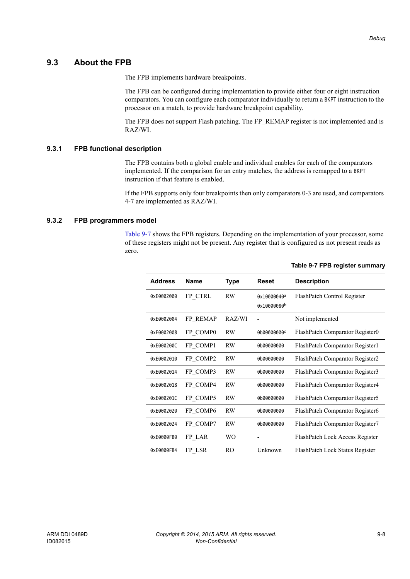**Table 9-7 FPB register summary**

### <span id="page-124-0"></span>**9.3 About the FPB**

The FPB implements hardware breakpoints.

The FPB can be configured during implementation to provide either four or eight instruction comparators. You can configure each comparator individually to return a BKPT instruction to the processor on a match, to provide hardware breakpoint capability.

The FPB does not support Flash patching. The FP\_REMAP register is not implemented and is RAZ/WI.

### **9.3.1 FPB functional description**

The FPB contains both a global enable and individual enables for each of the comparators implemented. If the comparison for an entry matches, the address is remapped to a BKPT instruction if that feature is enabled.

If the FPB supports only four breakpoints then only comparators 0-3 are used, and comparators 4-7 are implemented as RAZ/WI.

### **9.3.2 FPB programmers model**

<span id="page-124-1"></span>[Table 9-7](#page-124-1) shows the FPB registers. Depending on the implementation of your processor, some of these registers might not be present. Any register that is configured as not present reads as zero.

| <b>Address</b> | Name     | Type      | Reset                      | <b>Description</b>              |
|----------------|----------|-----------|----------------------------|---------------------------------|
| 0xE0002000     | FP CTRL  | <b>RW</b> | 0x10000040a<br>0x10000080b | FlashPatch Control Register     |
| 0xE0002004     | FP REMAP | RAZ/WI    |                            | Not implemented                 |
| 0xE0002008     | FP COMP0 | <b>RW</b> | 0b00000000c                | FlashPatch Comparator Register0 |
| 0xE000200C     | FP_COMP1 | <b>RW</b> | 0b00000000                 | FlashPatch Comparator Register1 |
| 0xE0002010     | FP COMP2 | <b>RW</b> | 0b00000000                 | FlashPatch Comparator Register2 |
| 0xE0002014     | FP COMP3 | <b>RW</b> | 0b00000000                 | FlashPatch Comparator Register3 |
| 0xE0002018     | FP COMP4 | <b>RW</b> | 0b00000000                 | FlashPatch Comparator Register4 |
| 0xE000201C     | FP COMP5 | <b>RW</b> | 0b00000000                 | FlashPatch Comparator Register5 |
| 0xE0002020     | FP COMP6 | RW        | 0b00000000                 | FlashPatch Comparator Register6 |
| 0xE0002024     | FP COMP7 | RW        | 0b00000000                 | FlashPatch Comparator Register7 |
| 0xE0000FB0     | FP LAR   | WO        |                            | FlashPatch Lock Access Register |
| 0xE0000FB4     | FP LSR   | RO        | Unknown                    | FlashPatch Lock Status Register |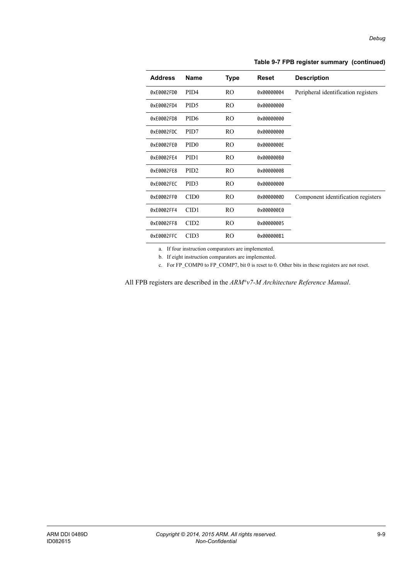| <b>Address</b> | <b>Name</b>      | Type | <b>Reset</b> | <b>Description</b>                  |
|----------------|------------------|------|--------------|-------------------------------------|
| 0xE0002FD0     | PID <sub>4</sub> | RO.  | 0x00000004   | Peripheral identification registers |
| 0xE0002FD4     | PID <sub>5</sub> | RO.  | 0x00000000   |                                     |
| 0xE0002FD8     | PID <sub>6</sub> | RO.  | 0x00000000   |                                     |
| 0xE0002FDC     | PID7             | RO.  | 0x00000000   |                                     |
| 0xE0002FE0     | PID <sub>0</sub> | RO.  | 0x0000000E   |                                     |
| 0xE0002FE4     | PID <sub>1</sub> | RO.  | 0x000000B0   |                                     |
| 0xE0002FE8     | PID <sub>2</sub> | RO.  | 0x0000000B   |                                     |
| 0xE0002FEC     | PID <sub>3</sub> | RO.  | 0x00000000   |                                     |
| 0xE0002FF0     | CID <sub>0</sub> | RO.  | 0x0000000D   | Component identification registers  |
| 0xE0002FF4     | CID1             | RO.  | 0x000000E0   |                                     |
| 0xE0002FF8     | CID <sub>2</sub> | RO   | 0x00000005   |                                     |
| 0xE0002FFC     | CID <sub>3</sub> | RO   | 0x000000B1   |                                     |

### **Table 9-7 FPB register summary (continued)**

a. If four instruction comparators are implemented.

b. If eight instruction comparators are implemented.

c. For FP\_COMP0 to FP\_COMP7, bit 0 is reset to 0. Other bits in these registers are not reset.

All FPB registers are described in the *ARM®v7-M Architecture Reference Manual*.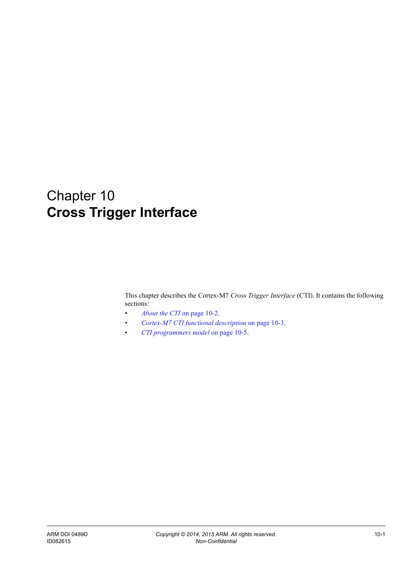# <span id="page-126-0"></span>Chapter 10 **Cross Trigger Interface**

This chapter describes the Cortex-M7 *Cross Trigger Interface* (CTI). It contains the following sections:

- *[About the CTI](#page-127-0)* on page 10-2.
- *[Cortex-M7 CTI functional description](#page-128-0)* on page 10-3.
- *[CTI programmers model](#page-130-0)* on page 10-5.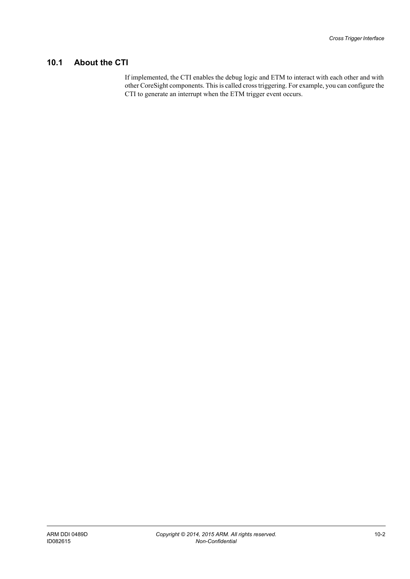## <span id="page-127-0"></span>**10.1 About the CTI**

If implemented, the CTI enables the debug logic and ETM to interact with each other and with other CoreSight components. This is called cross triggering. For example, you can configure the CTI to generate an interrupt when the ETM trigger event occurs.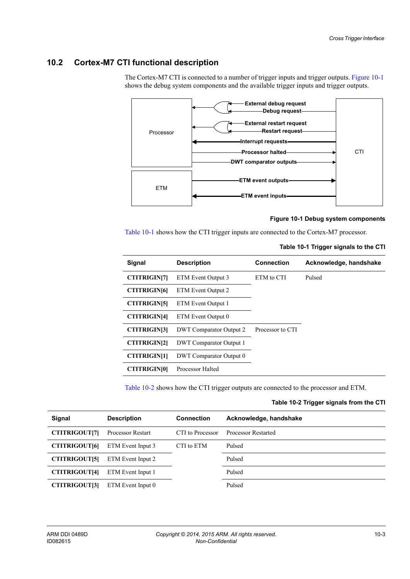## <span id="page-128-0"></span>**10.2 Cortex-M7 CTI functional description**

The Cortex-M7 CTI is connected to a number of trigger inputs and trigger outputs. [Figure 10-1](#page-128-1) shows the debug system components and the available trigger inputs and trigger outputs.



### **Figure 10-1 Debug system components**

<span id="page-128-2"></span><span id="page-128-1"></span>[Table 10-1](#page-128-2) shows how the CTI trigger inputs are connected to the Cortex-M7 processor.

#### **Table 10-1 Trigger signals to the CTI**

| Signal              | <b>Description</b>             | <b>Connection</b> | Acknowledge, handshake |
|---------------------|--------------------------------|-------------------|------------------------|
| <b>CTITRIGIN[7]</b> | ETM Event Output 3             | ETM to CTI        | Pulsed                 |
| <b>CTITRIGIN[6]</b> | ETM Event Output 2             |                   |                        |
| <b>CTITRIGIN[5]</b> | ETM Event Output 1             |                   |                        |
| <b>CTITRIGIN[4]</b> | ETM Event Output 0             |                   |                        |
| <b>CTITRIGIN31</b>  | <b>DWT</b> Comparator Output 2 | Processor to CTI  |                        |
| <b>CTITRIGINI21</b> | <b>DWT</b> Comparator Output 1 |                   |                        |
| <b>CTITRIGIN[1]</b> | <b>DWT</b> Comparator Output 0 |                   |                        |
| <b>CTITRIGIN[0]</b> | <b>Processor Halted</b>        |                   |                        |

<span id="page-128-3"></span>[Table 10-2](#page-128-3) shows how the CTI trigger outputs are connected to the processor and ETM.

### **Table 10-2 Trigger signals from the CTI**

| Signal               | <b>Description</b>       | <b>Connection</b> | Acknowledge, handshake     |
|----------------------|--------------------------|-------------------|----------------------------|
| <b>CTITRIGOUT[7]</b> | <b>Processor Restart</b> | CTI to Processor  | <b>Processor Restarted</b> |
| <b>CTITRIGOUT[6]</b> | ETM Event Input 3        | CTI to ETM        | Pulsed                     |
| <b>CTITRIGOUT[5]</b> | ETM Event Input 2        |                   | Pulsed                     |
| <b>CTITRIGOUT[4]</b> | ETM Event Input 1        |                   | Pulsed                     |
| <b>CTITRIGOUT[3]</b> | ETM Event Input 0        |                   | Pulsed                     |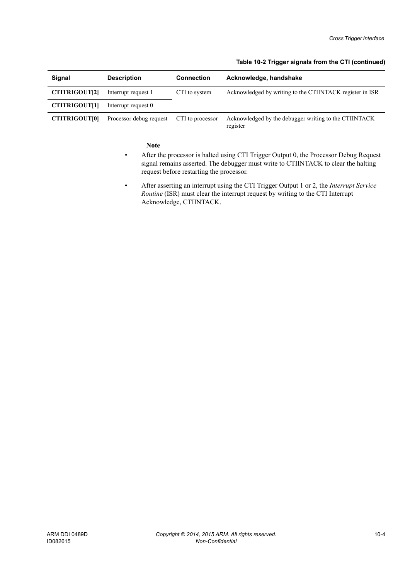### **Table 10-2 Trigger signals from the CTI (continued)**

| Signal               | <b>Description</b>      | <b>Connection</b> | Acknowledge, handshake                                            |
|----------------------|-------------------------|-------------------|-------------------------------------------------------------------|
| <b>CTITRIGOUT[2]</b> | Interrupt request 1     | CTI to system     | Acknowledged by writing to the CTIINTACK register in ISR          |
| CTITRIGOUT[1]        | Interrupt request 0     |                   |                                                                   |
| <b>CTITRIGOUTI01</b> | Processor debug request | CTI to processor  | Acknowledged by the debugger writing to the CTIINTACK<br>register |

- Note -

- After the processor is halted using CTI Trigger Output 0, the Processor Debug Request signal remains asserted. The debugger must write to CTIINTACK to clear the halting request before restarting the processor.
- After asserting an interrupt using the CTI Trigger Output 1 or 2, the *Interrupt Service Routine* (ISR) must clear the interrupt request by writing to the CTI Interrupt Acknowledge, CTIINTACK.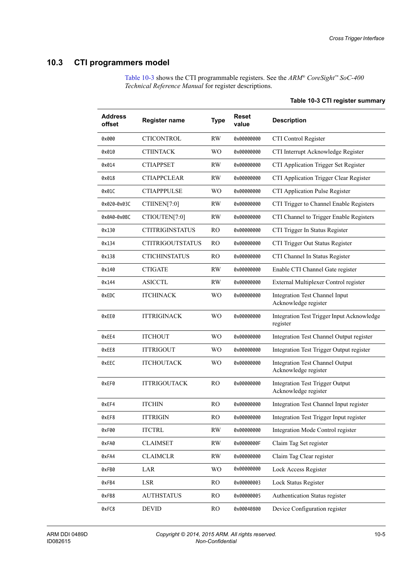## <span id="page-130-0"></span>**10.3 CTI programmers model**

<span id="page-130-1"></span>[Table 10-3](#page-130-1) shows the CTI programmable registers. See the *ARM® CoreSight™ SoC-400 Technical Reference Manual* for register descriptions.

| <b>Address</b><br>offset | <b>Register name</b>    | <b>Type</b>    | <b>Reset</b><br>value | <b>Description</b>                                             |
|--------------------------|-------------------------|----------------|-----------------------|----------------------------------------------------------------|
| 0x000                    | <b>CTICONTROL</b>       | <b>RW</b>      | 0x00000000            | CTI Control Register                                           |
| 0x010                    | <b>CTIINTACK</b>        | <b>WO</b>      | 0x00000000            | CTI Interrupt Acknowledge Register                             |
| 0x014                    | <b>CTIAPPSET</b>        | RW.            | 0x00000000            | CTI Application Trigger Set Register                           |
| 0x018                    | <b>CTIAPPCLEAR</b>      | RW             | 0x00000000            | CTI Application Trigger Clear Register                         |
| 0x01C                    | <b>CTIAPPPULSE</b>      | <b>WO</b>      | 0x00000000            | CTI Application Pulse Register                                 |
| 0x020-0x03C              | CTIINEN[7:0]            | RW             | 0x00000000            | CTI Trigger to Channel Enable Registers                        |
| 0x0A0-0x0BC              | CTIOUTEN[7:0]           | RW             | 0x00000000            | CTI Channel to Trigger Enable Registers                        |
| 0x130                    | <b>CTITRIGINSTATUS</b>  | R <sub>O</sub> | 0x00000000            | CTI Trigger In Status Register                                 |
| 0x134                    | <b>CTITRIGOUTSTATUS</b> | RO             | 0x00000000            | CTI Trigger Out Status Register                                |
| 0x138                    | <b>CTICHINSTATUS</b>    | RO.            | 0x00000000            | CTI Channel In Status Register                                 |
| 0x140                    | <b>CTIGATE</b>          | <b>RW</b>      | 0x00000000            | Enable CTI Channel Gate register                               |
| 0x144                    | <b>ASICCTL</b>          | <b>RW</b>      | 0x00000000            | External Multiplexer Control register                          |
| 0xEDC                    | <b>ITCHINACK</b>        | <b>WO</b>      | 0x00000000            | <b>Integration Test Channel Input</b><br>Acknowledge register  |
| 0xEE0                    | <b>ITTRIGINACK</b>      | <b>WO</b>      | 0x00000000            | Integration Test Trigger Input Acknowledge<br>register         |
| 0xEE4                    | <b>ITCHOUT</b>          | <b>WO</b>      | 0x00000000            | Integration Test Channel Output register                       |
| 0xEE8                    | <b>ITTRIGOUT</b>        | <b>WO</b>      | 0x00000000            | Integration Test Trigger Output register                       |
| 0xEEC                    | <b>ITCHOUTACK</b>       | <b>WO</b>      | 0x00000000            | <b>Integration Test Channel Output</b><br>Acknowledge register |
| 0xEF0                    | <b>ITTRIGOUTACK</b>     | RO.            | 0x00000000            | <b>Integration Test Trigger Output</b><br>Acknowledge register |
| 0xEF4                    | <b>ITCHIN</b>           | RO.            | 0x00000000            | Integration Test Channel Input register                        |
| 0xEF8                    | ITTRIGIN                | RO.            | 0x00000000            | Integration Test Trigger Input register                        |
| 0xF00                    | <b>ITCTRL</b>           | $\mathbf{RW}$  | 0x00000000            | Integration Mode Control register                              |
| 0xFA0                    | <b>CLAIMSET</b>         | RW             | 0x0000000F            | Claim Tag Set register                                         |
| 0xFA4                    | <b>CLAIMCLR</b>         | RW             | 0x00000000            | Claim Tag Clear register                                       |
| 0xFB0                    | LAR                     | <b>WO</b>      | 0x00000000            | Lock Access Register                                           |
| 0xFB4                    | LSR                     | RO.            | 0x00000003            | Lock Status Register                                           |
| 0xFB8                    | <b>AUTHSTATUS</b>       | RO             | 0x00000005            | Authentication Status register                                 |
| 0xFC8                    | <b>DEVID</b>            | RO.            | 0x00040800            | Device Configuration register                                  |

### **Table 10-3 CTI register summary**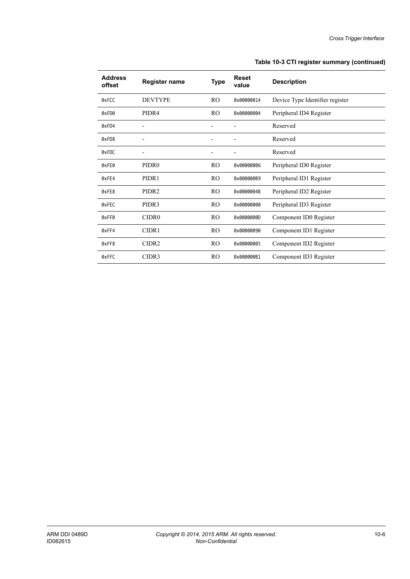### **Table 10-3 CTI register summary (continued)**

| <b>Address</b><br>offset | <b>Register name</b> | <b>Type</b>    | <b>Reset</b><br>value | <b>Description</b>              |
|--------------------------|----------------------|----------------|-----------------------|---------------------------------|
| 0xFCC                    | <b>DEVTYPE</b>       | R <sub>O</sub> | 0x00000014            | Device Type Identifier register |
| 0xFD0                    | PIDR4                | RO.            | 0x00000004            | Peripheral ID4 Register         |
| 0xFD4                    |                      |                |                       | Reserved                        |
| 0xFD8                    |                      |                |                       | Reserved                        |
| 0xFDC                    |                      |                |                       | Reserved                        |
| 0xFE0                    | PIDR <sub>0</sub>    | RO.            | 0x00000006            | Peripheral ID0 Register         |
| 0xFE4                    | PIDR <sub>1</sub>    | RO.            | 0x000000B9            | Peripheral ID1 Register         |
| 0xFE8                    | PIDR <sub>2</sub>    | RO.            | 0x0000004B            | Peripheral ID2 Register         |
| 0xFEC                    | PIDR3                | RO.            | 0x00000000            | Peripheral ID3 Register         |
| 0xFF0                    | CIDR <sub>0</sub>    | RO.            | 0x0000000D            | Component ID0 Register          |
| 0xFF4                    | CIDR1                | RO.            | 0x00000090            | Component ID1 Register          |
| 0xFF8                    | CIDR <sub>2</sub>    | RO.            | 0x00000005            | Component ID2 Register          |
| 0xFFC                    | CIDR3                | RO.            | 0x000000B1            | Component ID3 Register          |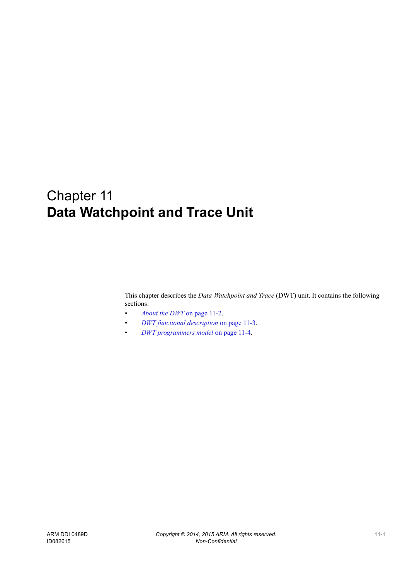# Chapter 11 **Data Watchpoint and Trace Unit**

This chapter describes the *Data Watchpoint and Trace* (DWT) unit. It contains the following sections:

- *[About the DWT](#page-133-0)* on page 11-2.
- *[DWT functional description](#page-134-0)* on page 11-3.
- *[DWT programmers model](#page-135-1)* on page 11-4.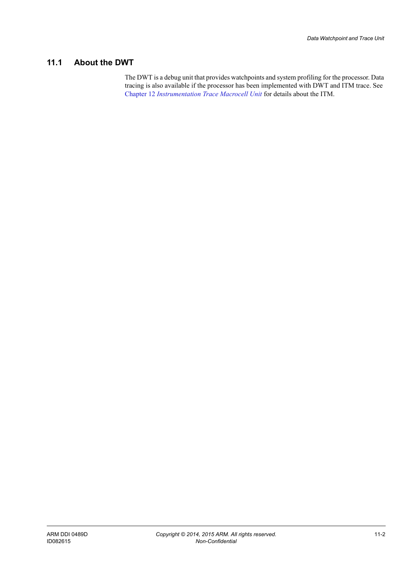## <span id="page-133-0"></span>**11.1 About the DWT**

The DWT is a debug unit that provides watchpoints and system profiling for the processor. Data tracing is also available if the processor has been implemented with DWT and ITM trace. See Chapter 12 *[Instrumentation Trace Macrocell Unit](#page-137-0)* for details about the ITM.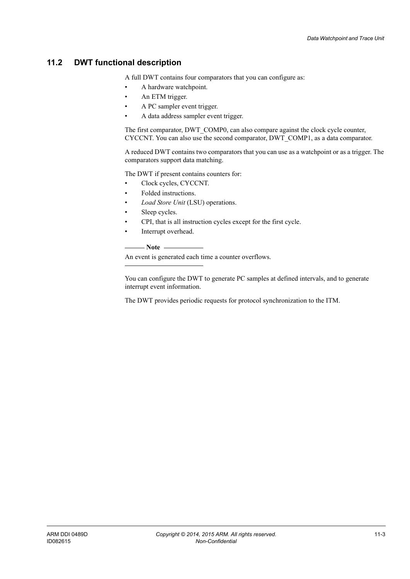## <span id="page-134-0"></span>**11.2 DWT functional description**

A full DWT contains four comparators that you can configure as:

- A hardware watchpoint.
- An ETM trigger.
- A PC sampler event trigger.
- A data address sampler event trigger.

The first comparator, DWT\_COMP0, can also compare against the clock cycle counter, CYCCNT. You can also use the second comparator, DWT\_COMP1, as a data comparator.

A reduced DWT contains two comparators that you can use as a watchpoint or as a trigger. The comparators support data matching.

The DWT if present contains counters for:

- Clock cycles, CYCCNT.
- Folded instructions.
- *Load Store Unit* (LSU) operations.
- Sleep cycles.
- CPI, that is all instruction cycles except for the first cycle.
- Interrupt overhead.

**Note**

An event is generated each time a counter overflows.

You can configure the DWT to generate PC samples at defined intervals, and to generate interrupt event information.

The DWT provides periodic requests for protocol synchronization to the ITM.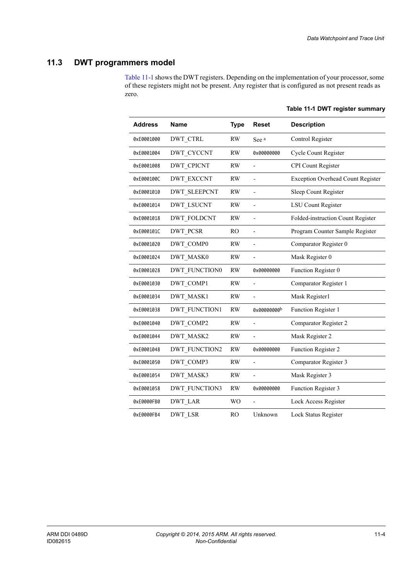## <span id="page-135-1"></span>**11.3 DWT programmers model**

<span id="page-135-2"></span><span id="page-135-0"></span>[Table 11-1](#page-135-2) shows the DWT registers. Depending on the implementation of your processor, some of these registers might not be present. Any register that is configured as not present reads as zero.

| <b>Address</b> | <b>Name</b>          | <b>Type</b>    | <b>Reset</b>   | <b>Description</b>                       |
|----------------|----------------------|----------------|----------------|------------------------------------------|
| 0xE0001000     | <b>DWT CTRL</b>      | <b>RW</b>      | See a          | Control Register                         |
| 0xE0001004     | DWT CYCCNT           | <b>RW</b>      | 0x00000000     | Cycle Count Register                     |
| 0xE0001008     | <b>DWT CPICNT</b>    | <b>RW</b>      | $\overline{a}$ | <b>CPI</b> Count Register                |
| 0xE000100C     | <b>DWT EXCCNT</b>    | <b>RW</b>      | ÷,             | <b>Exception Overhead Count Register</b> |
| 0xE0001010     | <b>DWT SLEEPCNT</b>  | <b>RW</b>      | $\overline{a}$ | Sleep Count Register                     |
| 0xE0001014     | <b>DWT LSUCNT</b>    | <b>RW</b>      | $\overline{a}$ | <b>LSU Count Register</b>                |
| 0xE0001018     | <b>DWT FOLDCNT</b>   | <b>RW</b>      | $\overline{a}$ | Folded-instruction Count Register        |
| 0xE000101C     | <b>DWT PCSR</b>      | RO.            | $\overline{a}$ | Program Counter Sample Register          |
| 0xE0001020     | DWT COMP0            | RW             | L,             | Comparator Register 0                    |
| 0xE0001024     | DWT MASK0            | <b>RW</b>      |                | Mask Register 0                          |
| 0xE0001028     | <b>DWT FUNCTION0</b> | RW             | 0x00000000     | Function Register 0                      |
| 0xE0001030     | DWT COMP1            | RW             |                | Comparator Register 1                    |
| 0xE0001034     | DWT MASK1            | <b>RW</b>      | L,             | Mask Register1                           |
| 0xE0001038     | <b>DWT FUNCTION1</b> | <b>RW</b>      | 0x00000000b    | Function Register 1                      |
| 0xE0001040     | DWT COMP2            | <b>RW</b>      |                | Comparator Register 2                    |
| 0xE0001044     | DWT_MASK2            | <b>RW</b>      |                | Mask Register 2                          |
| 0xE0001048     | <b>DWT FUNCTION2</b> | <b>RW</b>      | 0x00000000     | Function Register 2                      |
| 0xE0001050     | DWT COMP3            | <b>RW</b>      | L,             | Comparator Register 3                    |
| 0xE0001054     | DWT MASK3            | <b>RW</b>      | $\overline{a}$ | Mask Register 3                          |
| 0xE0001058     | <b>DWT FUNCTION3</b> | <b>RW</b>      | 0x00000000     | Function Register 3                      |
| 0xE0000FB0     | <b>DWT LAR</b>       | W <sub>O</sub> | ÷,             | Lock Access Register                     |
| 0xE0000FB4     | DWT LSR              | R <sub>O</sub> | Unknown        | Lock Status Register                     |

**Table 11-1 DWT register summary**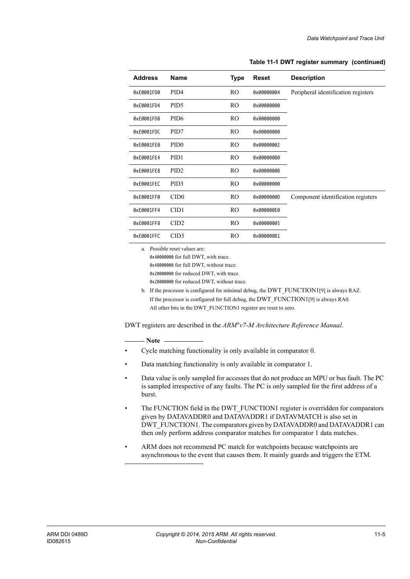| <b>Address</b> | Name             | Type           | <b>Reset</b> | <b>Description</b>                  |
|----------------|------------------|----------------|--------------|-------------------------------------|
| 0xE0001FD0     | PID <sub>4</sub> | RO.            | 0x00000004   | Peripheral identification registers |
| 0xE0001FD4     | PID <sub>5</sub> | RO             | 0x00000000   |                                     |
| 0xE0001FD8     | PID <sub>6</sub> | RO             | 0x00000000   |                                     |
| 0xE0001FDC     | PID7             | RO.            | 0x00000000   |                                     |
| 0xE0001FE0     | PID <sub>0</sub> | RO             | 0x00000002   |                                     |
| 0xE0001FE4     | PID <sub>1</sub> | RO             | 0x000000B0   |                                     |
| 0xE0001FE8     | PID <sub>2</sub> | RO             | 0x0000000B   |                                     |
| 0xE0001FEC     | PID <sub>3</sub> | R <sub>O</sub> | 0x00000000   |                                     |
| 0xE0001FF0     | CID <sub>0</sub> | RO.            | 0x0000000D   | Component identification registers  |
| 0xE0001FF4     | CID1             | RO.            | 0x000000E0   |                                     |
| 0xE0001FF8     | CID2             | RO.            | 0x00000005   |                                     |
| 0xE0001FFC     | CID3             | RO.            | 0x000000B1   |                                     |

#### **Table 11-1 DWT register summary (continued)**

a. Possible reset values are:

0x40000000 for full DWT, with trace. 0x48000000 for full DWT, without trace. 0x20000000 for reduced DWT, with trace. 0x28000000 for reduced DWT, without trace.

b. If the processor is configured for minimal debug, the DWT\_FUNCTION1[9] is always RAZ. If the processor is configured for full debug, the DWT\_FUNCTION1[9] is always RA0. All other bits in the DWT\_FUNCTION1 register are reset to zero.

DWT registers are described in the *ARM®v7-M Architecture Reference Manual*.

**Note**

- Cycle matching functionality is only available in comparator 0.
- Data matching functionality is only available in comparator 1.
- Data value is only sampled for accesses that do not produce an MPU or bus fault. The PC is sampled irrespective of any faults. The PC is only sampled for the first address of a burst.
- The FUNCTION field in the DWT\_FUNCTION1 register is overridden for comparators given by DATAVADDR0 and DATAVADDR1 if DATAVMATCH is also set in DWT\_FUNCTION1. The comparators given by DATAVADDR0 and DATAVADDR1 can then only perform address comparator matches for comparator 1 data matches.
- ARM does not recommend PC match for watchpoints because watchpoints are asynchronous to the event that causes them. It mainly guards and triggers the ETM.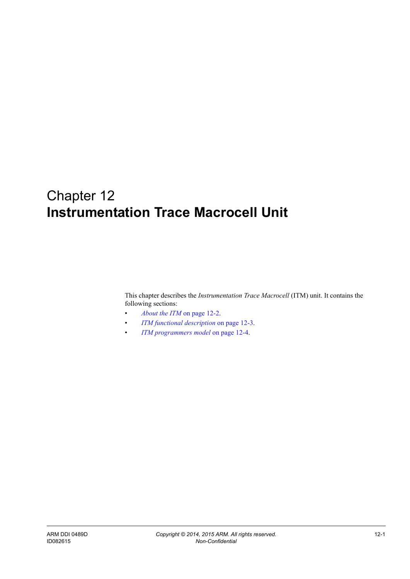## <span id="page-137-0"></span>Chapter 12 **Instrumentation Trace Macrocell Unit**

This chapter describes the *Instrumentation Trace Macrocell* (ITM) unit. It contains the following sections:

- *[About the ITM](#page-138-0)* on page 12-2.
- *[ITM functional description](#page-139-0)* on page 12-3.
- *[ITM programmers model](#page-140-1)* on page 12-4.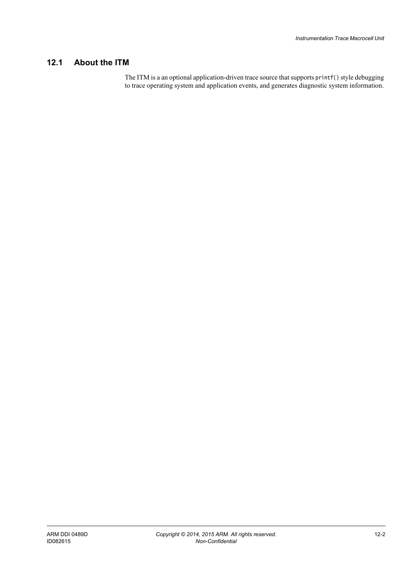## <span id="page-138-0"></span>**12.1 About the ITM**

The ITM is a an optional application-driven trace source that supports printf() style debugging to trace operating system and application events, and generates diagnostic system information.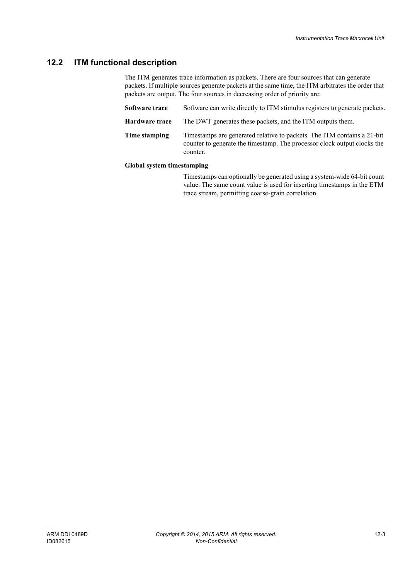## <span id="page-139-0"></span>**12.2 ITM functional description**

The ITM generates trace information as packets. There are four sources that can generate packets. If multiple sources generate packets at the same time, the ITM arbitrates the order that packets are output. The four sources in decreasing order of priority are:

| Software trace | Software can write directly to ITM stimulus registers to generate packets.                                                                                      |
|----------------|-----------------------------------------------------------------------------------------------------------------------------------------------------------------|
| Hardware trace | The DWT generates these packets, and the ITM outputs them.                                                                                                      |
| Time stamping  | Timestamps are generated relative to packets. The ITM contains a 21-bit<br>counter to generate the timestamp. The processor clock output clocks the<br>counter. |

### **Global system timestamping**

Timestamps can optionally be generated using a system-wide 64-bit count value. The same count value is used for inserting timestamps in the ETM trace stream, permitting coarse-grain correlation.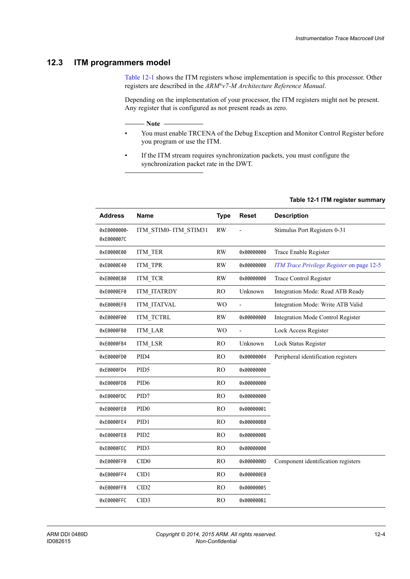## <span id="page-140-1"></span>**12.3 ITM programmers model**

[Table 12-1](#page-140-2) shows the ITM registers whose implementation is specific to this processor. Other registers are described in the *ARM®v7-M Architecture Reference Manual*.

Depending on the implementation of your processor, the ITM registers might not be present. Any register that is configured as not present reads as zero.

 $-$  Note  $-$ 

- You must enable TRCENA of the Debug Exception and Monitor Control Register before you program or use the ITM.
- <span id="page-140-2"></span><span id="page-140-0"></span>• If the ITM stream requires synchronization packets, you must configure the synchronization packet rate in the DWT.

| <b>Address</b>            | <b>Name</b>          | <b>Type</b>    | <b>Reset</b>   | <b>Description</b>                        |
|---------------------------|----------------------|----------------|----------------|-------------------------------------------|
| 0xE0000000-<br>0xE000007C | ITM STIMO-ITM STIM31 | <b>RW</b>      |                | Stimulus Port Registers 0-31              |
| 0xE0000E00                | ITM TER              | <b>RW</b>      | 0x00000000     | Trace Enable Register                     |
| 0xE0000E40                | ITM TPR              | <b>RW</b>      | 0x00000000     | ITM Trace Privilege Register on page 12-5 |
| 0xE0000E80                | ITM TCR              | <b>RW</b>      | 0x00000000     | <b>Trace Control Register</b>             |
| 0xE0000EF0                | <b>ITM ITATRDY</b>   | RO             | Unknown        | Integration Mode: Read ATB Ready          |
| 0xE0000EF8                | ITM ITATVAL          | <b>WO</b>      |                | Integration Mode: Write ATB Valid         |
| 0xE0000F00                | ITM TCTRL            | <b>RW</b>      | 0x00000000     | <b>Integration Mode Control Register</b>  |
| 0xE0000FB0                | <b>ITM LAR</b>       | W <sub>O</sub> | $\overline{a}$ | Lock Access Register                      |
| 0xE0000FB4                | ITM LSR              | <b>RO</b>      | Unknown        | Lock Status Register                      |
| 0xE0000FD0                | PID <sub>4</sub>     | R <sub>O</sub> | 0x00000004     | Peripheral identification registers       |
| 0xE0000FD4                | PID5                 | <b>RO</b>      | 0x00000000     |                                           |
| 0xE0000FD8                | PID <sub>6</sub>     | R <sub>O</sub> | 0x00000000     |                                           |
| 0xE0000FDC                | PID7                 | R <sub>O</sub> | 0x00000000     |                                           |
| 0xE0000FE0                | PID <sub>0</sub>     | RO             | 0x00000001     |                                           |
| 0xE0000FE4                | PID1                 | RO             | 0x000000B0     |                                           |
| 0xE0000FE8                | PID <sub>2</sub>     | R <sub>O</sub> | 0x0000000B     |                                           |
| 0xE0000FEC                | PID <sub>3</sub>     | RO             | 0x00000000     |                                           |
| 0xE0000FF0                | CID <sub>0</sub>     | <b>RO</b>      | 0x0000000D     | Component identification registers        |
| 0xE0000FF4                | CID1                 | <b>RO</b>      | 0x000000E0     |                                           |
| 0xE0000FF8                | CID <sub>2</sub>     | RO             | 0x00000005     |                                           |
| 0xE0000FFC                | CID <sub>3</sub>     | R <sub>O</sub> | 0x000000B1     |                                           |

### **Table 12-1 ITM register summary**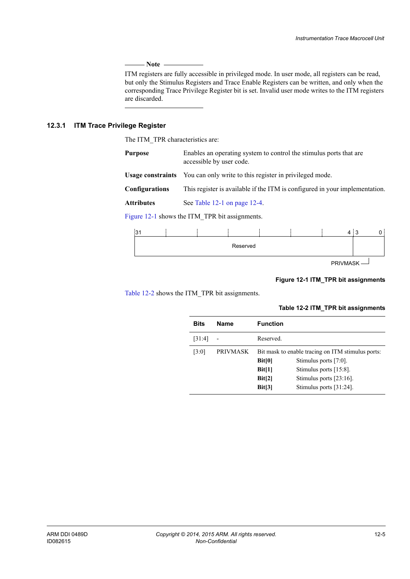### - Note ——

 ITM registers are fully accessible in privileged mode. In user mode, all registers can be read, but only the Stimulus Registers and Trace Enable Registers can be written, and only when the corresponding Trace Privilege Register bit is set. Invalid user mode writes to the ITM registers are discarded.

### <span id="page-141-0"></span>**12.3.1 ITM Trace Privilege Register**

The ITM\_TPR characteristics are:

| Purpose        | Enables an operating system to control the stimulus ports that are<br>accessible by user code. |
|----------------|------------------------------------------------------------------------------------------------|
|                | <b>Usage constraints</b> You can only write to this register in privileged mode.               |
| Configurations | This register is available if the ITM is configured in your implementation.                    |
| Attributes     | See Table 12-1 on page 12-4.                                                                   |

[Figure 12-1](#page-141-1) shows the ITM\_TPR bit assignments.



PRIVMASK

### **Figure 12-1 ITM\_TPR bit assignments**

<span id="page-141-2"></span><span id="page-141-1"></span>[Table 12-2](#page-141-2) shows the ITM\_TPR bit assignments.

### **Table 12-2 ITM\_TPR bit assignments**

| <b>Bits</b> | <b>Name</b>     | <b>Function</b>                                   |                            |  |
|-------------|-----------------|---------------------------------------------------|----------------------------|--|
| [31:4]      |                 | Reserved.                                         |                            |  |
| [3:0]       | <b>PRIVMASK</b> | Bit mask to enable tracing on ITM stimulus ports: |                            |  |
|             |                 | Bit[0]                                            | Stimulus ports $[7:0]$ .   |  |
|             |                 | Bit[1]                                            | Stimulus ports $[15:8]$ .  |  |
|             |                 | Bit[2]                                            | Stimulus ports $[23:16]$ . |  |
|             |                 | Bit[3]                                            | Stimulus ports $[31:24]$ . |  |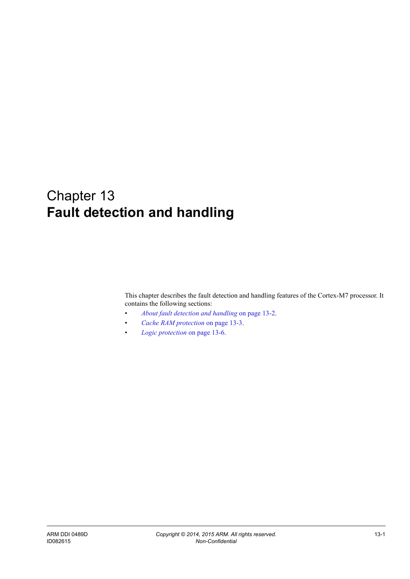# Chapter 13 **Fault detection and handling**

This chapter describes the fault detection and handling features of the Cortex-M7 processor. It contains the following sections:

- *[About fault detection and handling](#page-143-0)* on page 13-2.
- *[Cache RAM protection](#page-144-0)* on page 13-3.
- *[Logic protection](#page-147-0)* on page 13-6.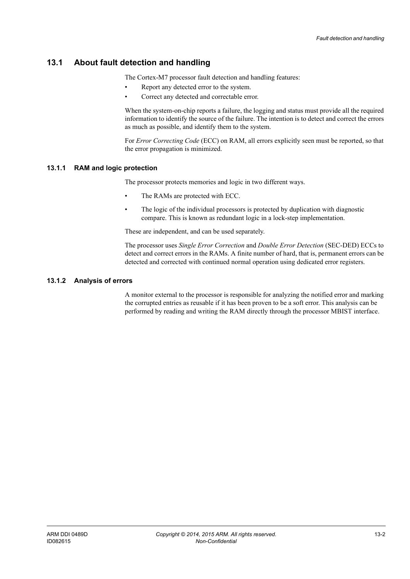## <span id="page-143-0"></span>**13.1 About fault detection and handling**

The Cortex-M7 processor fault detection and handling features:

- Report any detected error to the system.
- Correct any detected and correctable error.

When the system-on-chip reports a failure, the logging and status must provide all the required information to identify the source of the failure. The intention is to detect and correct the errors as much as possible, and identify them to the system.

For *Error Correcting Code* (ECC) on RAM, all errors explicitly seen must be reported, so that the error propagation is minimized.

### **13.1.1 RAM and logic protection**

The processor protects memories and logic in two different ways.

- The RAMs are protected with ECC.
- The logic of the individual processors is protected by duplication with diagnostic compare. This is known as redundant logic in a lock-step implementation.

These are independent, and can be used separately.

The processor uses *Single Error Correction* and *Double Error Detection* (SEC-DED) ECCs to detect and correct errors in the RAMs. A finite number of hard, that is, permanent errors can be detected and corrected with continued normal operation using dedicated error registers.

### **13.1.2 Analysis of errors**

A monitor external to the processor is responsible for analyzing the notified error and marking the corrupted entries as reusable if it has been proven to be a soft error. This analysis can be performed by reading and writing the RAM directly through the processor MBIST interface.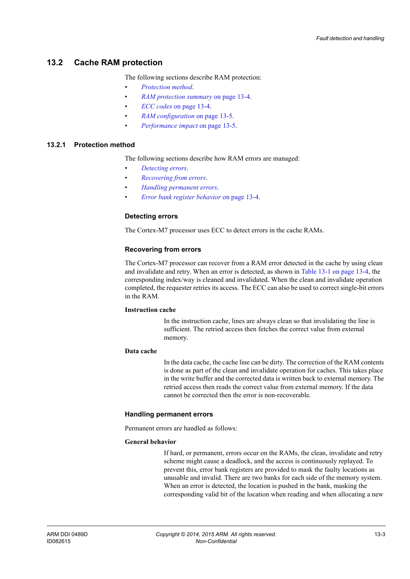## **13.2 Cache RAM protection**

The following sections describe RAM protection:

- *[Protection method](#page-144-1)*.
- *[RAM protection summary](#page-145-0)* on page 13-4.
- *ECC codes* [on page 13-4.](#page-145-1)
- *[RAM configuration](#page-146-1)* on page 13-5.
- *[Performance impact](#page-146-0)* on page 13-5.

#### <span id="page-144-4"></span><span id="page-144-1"></span>**13.2.1 Protection method**

The following sections describe how RAM errors are managed:

- *[Detecting errors](#page-144-0)*.
- *[Recovering from errors](#page-144-2)*.
- *[Handling permanent errors](#page-144-3)*.
- *[Error bank register behavior](#page-145-2)* on page 13-4.

#### <span id="page-144-0"></span>**Detecting errors**

The Cortex-M7 processor uses ECC to detect errors in the cache RAMs.

#### <span id="page-144-2"></span>**Recovering from errors**

The Cortex-M7 processor can recover from a RAM error detected in the cache by using clean and invalidate and retry. When an error is detected, as shown in [Table 13-1 on page 13-4](#page-145-3), the corresponding index/way is cleaned and invalidated. When the clean and invalidate operation completed, the requester retries its access. The ECC can also be used to correct single-bit errors in the RAM.

#### **Instruction cache**

In the instruction cache, lines are always clean so that invalidating the line is sufficient. The retried access then fetches the correct value from external memory.

#### **Data cache**

In the data cache, the cache line can be dirty. The correction of the RAM contents is done as part of the clean and invalidate operation for caches. This takes place in the write buffer and the corrected data is written back to external memory. The retried access then reads the correct value from external memory. If the data cannot be corrected then the error is non-recoverable.

#### <span id="page-144-3"></span>**Handling permanent errors**

Permanent errors are handled as follows:

#### **General behavior**

If hard, or permanent, errors occur on the RAMs, the clean, invalidate and retry scheme might cause a deadlock, and the access is continuously replayed. To prevent this, error bank registers are provided to mask the faulty locations as unusable and invalid. There are two banks for each side of the memory system. When an error is detected, the location is pushed in the bank, masking the corresponding valid bit of the location when reading and when allocating a new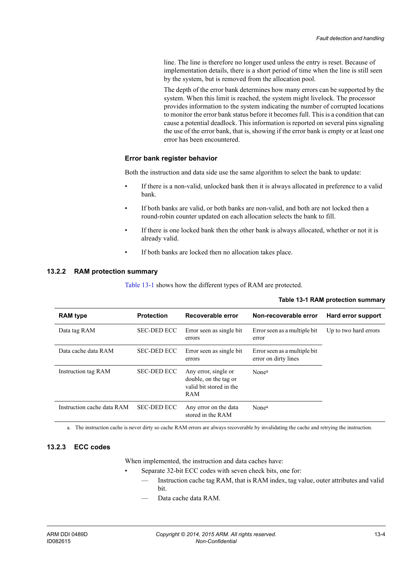line. The line is therefore no longer used unless the entry is reset. Because of implementation details, there is a short period of time when the line is still seen by the system, but is removed from the allocation pool.

The depth of the error bank determines how many errors can be supported by the system. When this limit is reached, the system might livelock. The processor provides information to the system indicating the number of corrupted locations to monitor the error bank status before it becomes full. This is a condition that can cause a potential deadlock. This information is reported on several pins signaling the use of the error bank, that is, showing if the error bank is empty or at least one error has been encountered.

#### <span id="page-145-2"></span>**Error bank register behavior**

Both the instruction and data side use the same algorithm to select the bank to update:

- If there is a non-valid, unlocked bank then it is always allocated in preference to a valid bank.
- If both banks are valid, or both banks are non-valid, and both are not locked then a round-robin counter updated on each allocation selects the bank to fill.
- If there is one locked bank then the other bank is always allocated, whether or not it is already valid.
- If both banks are locked then no allocation takes place.

#### <span id="page-145-0"></span>**13.2.2 RAM protection summary**

<span id="page-145-3"></span>[Table 13-1](#page-145-3) shows how the different types of RAM are protected.

| <b>RAM</b> type            | <b>Protection</b>  | Recoverable error                                                               | Non-recoverable error                                | Hard error support    |
|----------------------------|--------------------|---------------------------------------------------------------------------------|------------------------------------------------------|-----------------------|
| Data tag RAM               | <b>SEC-DED ECC</b> | Error seen as single bit.<br>errors                                             | Error seen as a multiple bit<br>error                | Up to two hard errors |
| Data cache data RAM        | <b>SEC-DED ECC</b> | Error seen as single bit.<br>errors                                             | Error seen as a multiple bit<br>error on dirty lines |                       |
| Instruction tag RAM        | <b>SEC-DED ECC</b> | Any error, single or<br>double, on the tag or<br>valid bit stored in the<br>RAM | Nonea                                                |                       |
| Instruction cache data RAM | <b>SEC-DED ECC</b> | Any error on the data<br>stored in the RAM                                      | Nonea                                                |                       |

#### <span id="page-145-4"></span>**Table 13-1 RAM protection summary**

a. The instruction cache is never dirty so cache RAM errors are always recoverable by invalidating the cache and retrying the instruction.

#### <span id="page-145-1"></span>**13.2.3 ECC codes**

When implemented, the instruction and data caches have:

- Separate 32-bit ECC codes with seven check bits, one for:
	- Instruction cache tag RAM, that is RAM index, tag value, outer attributes and valid bit.
	- Data cache data RAM.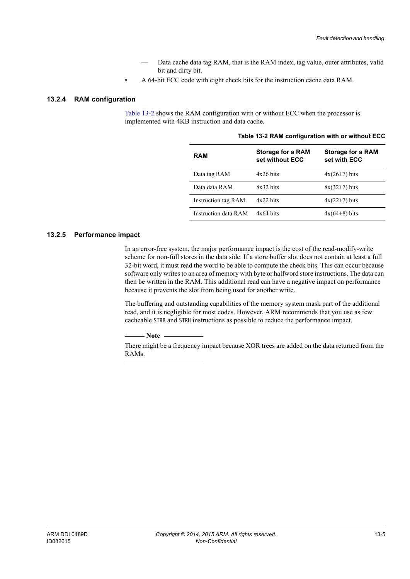- Data cache data tag RAM, that is the RAM index, tag value, outer attributes, valid bit and dirty bit.
- A 64-bit ECC code with eight check bits for the instruction cache data RAM.

## <span id="page-146-1"></span>**13.2.4 RAM configuration**

<span id="page-146-2"></span>[Table 13-2](#page-146-2) shows the RAM configuration with or without ECC when the processor is implemented with 4KB instruction and data cache.

| <b>RAM</b>           | <b>Storage for a RAM</b><br>set without ECC | <b>Storage for a RAM</b><br>set with ECC |
|----------------------|---------------------------------------------|------------------------------------------|
| Data tag RAM         | $4x26$ bits                                 | $4x(26+7)$ bits                          |
| Data data RAM        | $8x32$ hits                                 | $8x(32+7)$ bits                          |
| Instruction tag RAM  | $4x22$ hits                                 | $4x(22+7)$ bits                          |
| Instruction data RAM | $4x64$ bits                                 | $4x(64+8)$ bits                          |

#### **Table 13-2 RAM configuration with or without ECC**

## <span id="page-146-0"></span>**13.2.5 Performance impact**

In an error-free system, the major performance impact is the cost of the read-modify-write scheme for non-full stores in the data side. If a store buffer slot does not contain at least a full 32-bit word, it must read the word to be able to compute the check bits. This can occur because software only writes to an area of memory with byte or halfword store instructions. The data can then be written in the RAM. This additional read can have a negative impact on performance because it prevents the slot from being used for another write.

The buffering and outstanding capabilities of the memory system mask part of the additional read, and it is negligible for most codes. However, ARM recommends that you use as few cacheable STRB and STRH instructions as possible to reduce the performance impact.

 $-$  Note  $-$ 

 There might be a frequency impact because XOR trees are added on the data returned from the RAMs.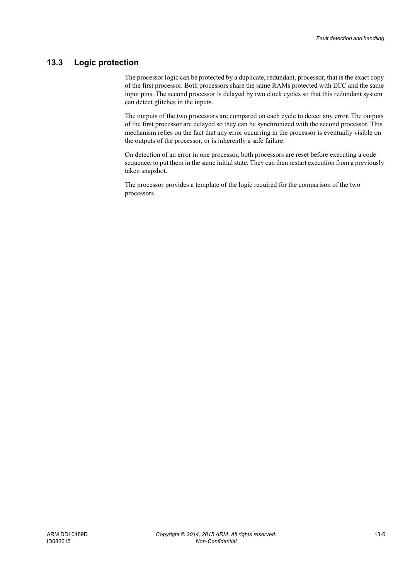# **13.3 Logic protection**

The processor logic can be protected by a duplicate, redundant, processor, that is the exact copy of the first processor. Both processors share the same RAMs protected with ECC and the same input pins. The second processor is delayed by two clock cycles so that this redundant system can detect glitches in the inputs.

The outputs of the two processors are compared on each cycle to detect any error. The outputs of the first processor are delayed so they can be synchronized with the second processor. This mechanism relies on the fact that any error occurring in the processor is eventually visible on the outputs of the processor, or is inherently a safe failure.

On detection of an error in one processor, both processors are reset before executing a code sequence, to put them in the same initial state. They can then restart execution from a previously taken snapshot.

The processor provides a template of the logic required for the comparison of the two processors.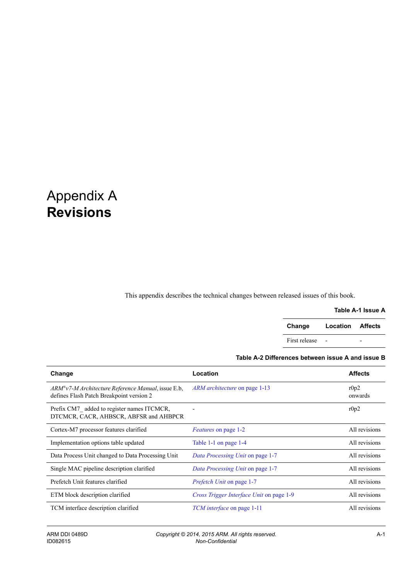# Appendix A **Revisions**

This appendix describes the technical changes between released issues of this book.

#### **Table A-1 Issue A**

| Change        | Location Affects |  |
|---------------|------------------|--|
| First release |                  |  |

## **Table A-2 Differences between issue A and issue B**

| Change                                                                                         | Location                                 | <b>Affects</b>  |
|------------------------------------------------------------------------------------------------|------------------------------------------|-----------------|
| ARM®v7-M Architecture Reference Manual, issue E.b,<br>defines Flash Patch Breakpoint version 2 | <i>ARM architecture</i> on page 1-13     | r0p2<br>onwards |
| Prefix CM7 added to register names ITCMCR,<br>DTCMCR, CACR, AHBSCR, ABFSR and AHBPCR           |                                          | r0p2            |
| Cortex-M7 processor features clarified                                                         | Features on page 1-2                     | All revisions   |
| Implementation options table updated                                                           | Table 1-1 on page 1-4                    | All revisions   |
| Data Process Unit changed to Data Processing Unit                                              | Data Processing Unit on page 1-7         | All revisions   |
| Single MAC pipeline description clarified                                                      | Data Processing Unit on page 1-7         | All revisions   |
| Prefetch Unit features clarified                                                               | <i>Prefetch Unit</i> on page 1-7         | All revisions   |
| ETM block description clarified                                                                | Cross Trigger Interface Unit on page 1-9 | All revisions   |
| TCM interface description clarified                                                            | <i>TCM interface</i> on page 1-11        | All revisions   |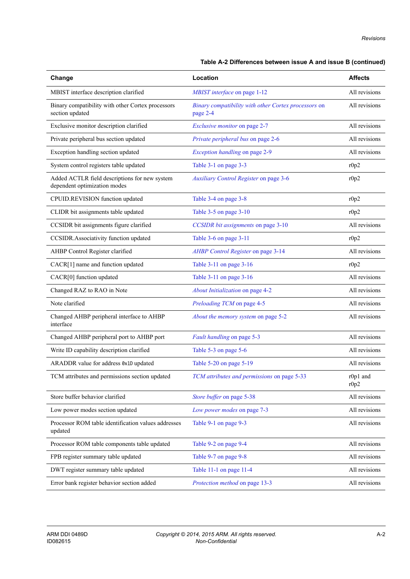## **Table A-2 Differences between issue A and issue B (continued)**

| Change                                                                        | Location                                                         | <b>Affects</b>   |
|-------------------------------------------------------------------------------|------------------------------------------------------------------|------------------|
| MBIST interface description clarified                                         | MBIST interface on page 1-12                                     | All revisions    |
| Binary compatibility with other Cortex processors<br>section updated          | Binary compatibility with other Cortex processors on<br>page 2-4 | All revisions    |
| Exclusive monitor description clarified                                       | Exclusive monitor on page 2-7                                    | All revisions    |
| Private peripheral bus section updated                                        | Private peripheral bus on page 2-6                               | All revisions    |
| Exception handling section updated                                            | Exception handling on page 2-9                                   | All revisions    |
| System control registers table updated                                        | Table 3-1 on page 3-3                                            | r0p2             |
| Added ACTLR field descriptions for new system<br>dependent optimization modes | Auxiliary Control Register on page 3-6                           | r0p2             |
| CPUID.REVISION function updated                                               | Table 3-4 on page 3-8                                            | r0p2             |
| CLIDR bit assignments table updated                                           | Table 3-5 on page 3-10                                           | r0p2             |
| CCSIDR bit assignments figure clarified                                       | CCSIDR bit assignments on page 3-10                              | All revisions    |
| CCSIDR.Associativity function updated                                         | Table 3-6 on page 3-11                                           | r0p2             |
| AHBP Control Register clarified                                               | AHBP Control Register on page 3-14                               | All revisions    |
| CACR[1] name and function updated                                             | Table 3-11 on page 3-16                                          | r0p2             |
| CACR[0] function updated                                                      | Table 3-11 on page 3-16                                          | All revisions    |
| Changed RAZ to RAO in Note                                                    | About Initialization on page 4-2                                 | All revisions    |
| Note clarified                                                                | Preloading TCM on page 4-5                                       | All revisions    |
| Changed AHBP peripheral interface to AHBP<br>interface                        | About the memory system on page 5-2                              | All revisions    |
| Changed AHBP peripheral port to AHBP port                                     | Fault handling on page 5-3                                       | All revisions    |
| Write ID capability description clarified                                     | Table 5-3 on page 5-6                                            | All revisions    |
| ARADDR value for address 0x1D updated                                         | Table 5-20 on page 5-19                                          | All revisions    |
| TCM attributes and permissions section updated                                | TCM attributes and permissions on page 5-33                      | r0p1 and<br>r0p2 |
| Store buffer behavior clarified                                               | Store buffer on page 5-38                                        | All revisions    |
| Low power modes section updated                                               | Low power modes on page 7-3                                      | All revisions    |
| Processor ROM table identification values addresses<br>updated                | Table 9-1 on page 9-3                                            | All revisions    |
| Processor ROM table components table updated                                  | Table 9-2 on page 9-4                                            | All revisions    |
| FPB register summary table updated                                            | Table 9-7 on page 9-8                                            | All revisions    |
| DWT register summary table updated                                            | Table 11-1 on page 11-4                                          | All revisions    |
| Error bank register behavior section added                                    | Protection method on page 13-3                                   | All revisions    |